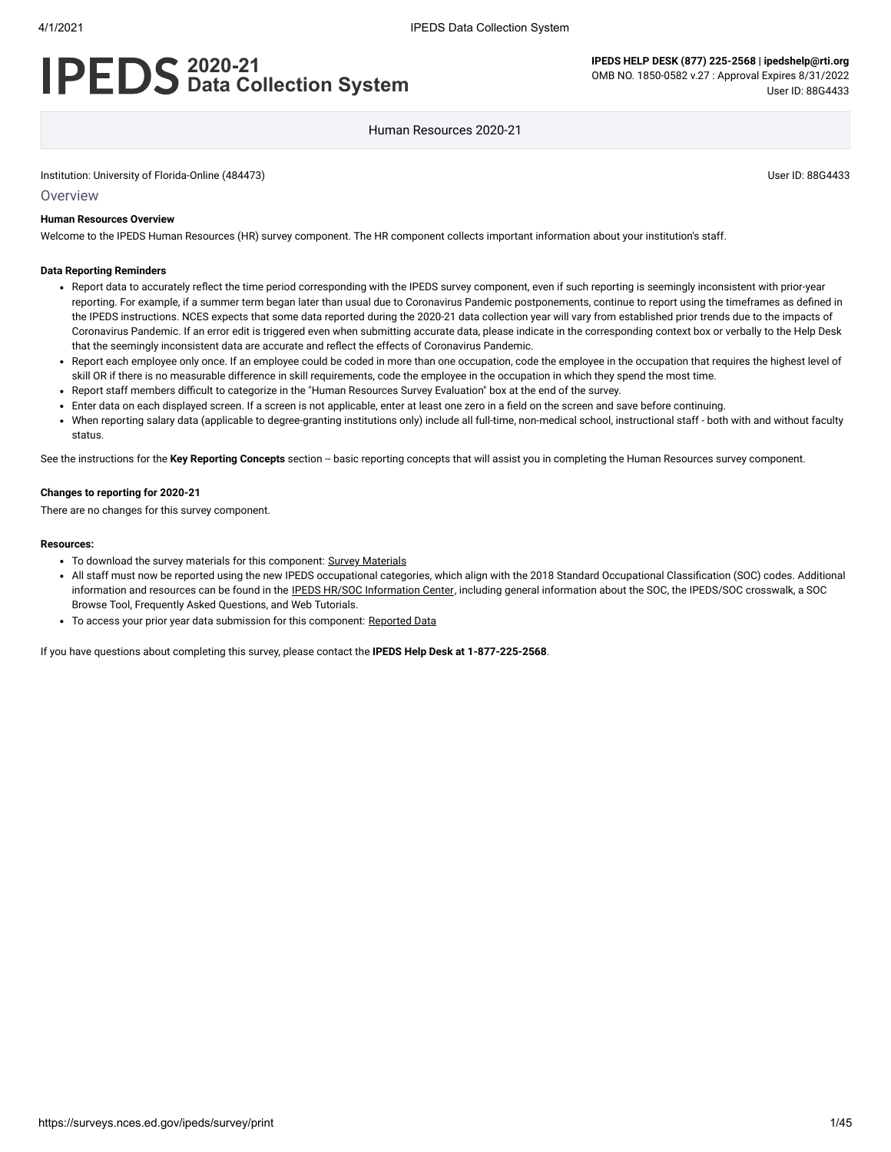# **2020-21 Data Collection System**

### Human Resources 2020-21

Institution: University of Florida-Online (484473) User ID: 88G4433

**Overview** 

#### **Human Resources Overview**

Welcome to the IPEDS Human Resources (HR) survey component. The HR component collects important information about your institution's staff.

#### **Data Reporting Reminders**

- Report data to accurately reflect the time period corresponding with the IPEDS survey component, even if such reporting is seemingly inconsistent with prior-year reporting. For example, if a summer term began later than usual due to Coronavirus Pandemic postponements, continue to report using the timeframes as defined in the IPEDS instructions. NCES expects that some data reported during the 2020-21 data collection year will vary from established prior trends due to the impacts of Coronavirus Pandemic. If an error edit is triggered even when submitting accurate data, please indicate in the corresponding context box or verbally to the Help Desk that the seemingly inconsistent data are accurate and reflect the effects of Coronavirus Pandemic.
- Report each employee only once. If an employee could be coded in more than one occupation, code the employee in the occupation that requires the highest level of skill OR if there is no measurable difference in skill requirements, code the employee in the occupation in which they spend the most time.
- Report staff members difficult to categorize in the "Human Resources Survey Evaluation" box at the end of the survey.
- Enter data on each displayed screen. If a screen is not applicable, enter at least one zero in a field on the screen and save before continuing.  $\bullet$
- When reporting salary data (applicable to degree-granting institutions only) include all full-time, non-medical school, instructional staff both with and without faculty status.

See the instructions for the Key Reporting Concepts section -- basic reporting concepts that will assist you in completing the Human Resources survey component.

#### **Changes to reporting for 2020-21**

There are no changes for this survey component.

#### **Resources:**

- To download the survey materials for this component: Survey [Materials](https://surveys.nces.ed.gov/ipeds/public/survey-materials/index)
- All staff must now be reported using the new IPEDS occupational categories, which align with the 2018 Standard Occupational Classification (SOC) codes. Additional information and resources can be found in the IPEDS HR/SOC [Information Center,](https://nces.ed.gov/ipeds/report-your-data/taxonomies-standard-occupational-classification-soc-codes) including general information about the SOC, the IPEDS/SOC crosswalk, a SOC Browse Tool, Frequently Asked Questions, and Web Tutorials.
- To access your prior year data submission for this component: [Reported Data](https://surveys.nces.ed.gov/IPEDS_py/DataForms.aspx?f0e9e4efc4dfb8afb3afafb2aea1eef0edf1e0f4c4dfb8aca1f0eee0edc4dfb8b3b3c2afafaeaea1f0e9e4efc9dce8e0b8d0e9e4f1e0edeee4eff49beae19bc1e7eaede4dfdca8cae9e7e4e9e0a1ebedeadee0eeeeb8e0f3efe0ede9dce7a1eddfefb8afaaacaaadabadac9bacacb5adabb5aead9bbcc8)

If you have questions about completing this survey, please contact the **IPEDS Help Desk at 1-877-225-2568**.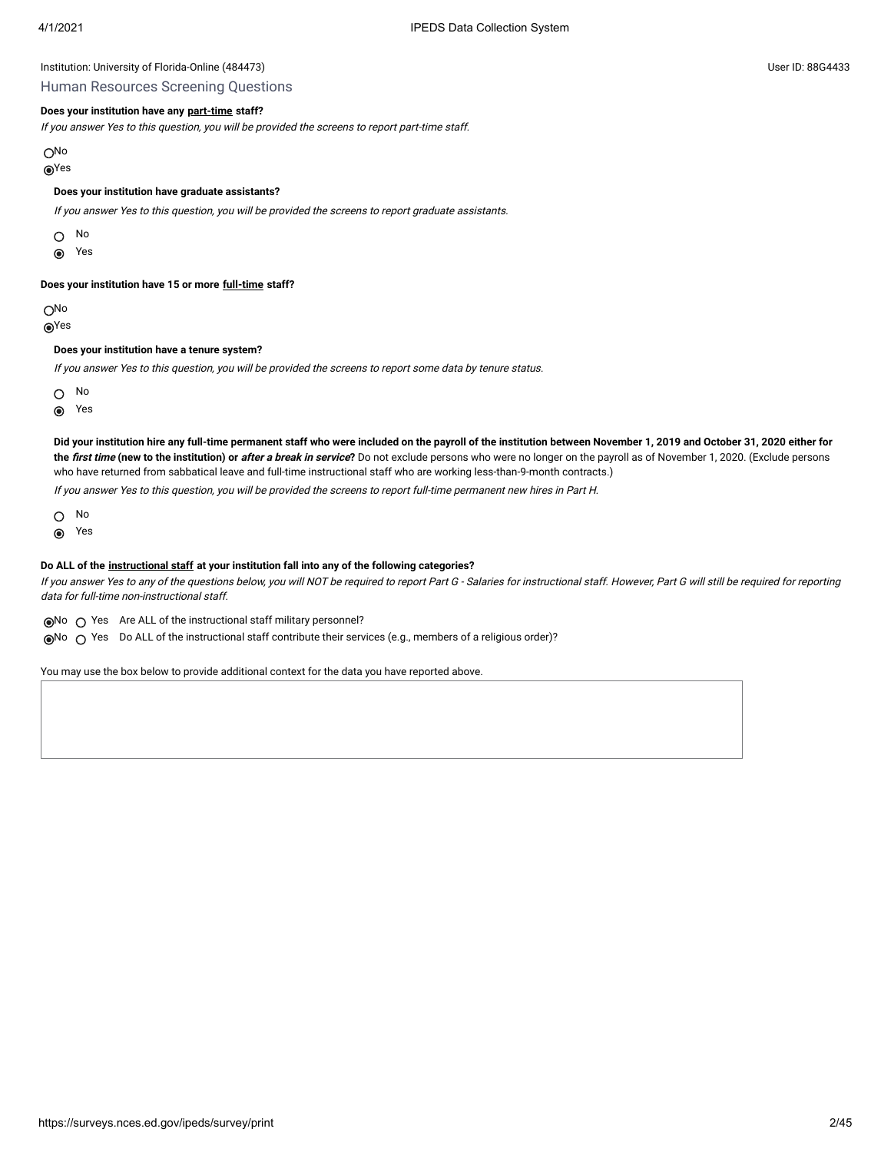#### Human Resources Screening Questions

### **Does your institution have any [part-time](javascript:openglossary(467)) staff?**

If you answer Yes to this question, you will be provided the screens to report part-time staff.

No

### Yes

#### **Does your institution have graduate assistants?**

If you answer Yes to this question, you will be provided the screens to report graduate assistants.

 $\bigcap$  No

**◎** Yes

### **Does your institution have 15 or more [full-time](javascript:openglossary(257)) staff?**

ON<sub>o</sub>

Yes

#### **Does your institution have a tenure system?**

If you answer Yes to this question, you will be provided the screens to report some data by tenure status.

O No

 $\odot$ Yes

**Did your institution hire any full-time permanent staff who were included on the payroll of the institution between November 1, 2019 and October 31, 2020 either for** the first time (new to the institution) or after a break in service? Do not exclude persons who were no longer on the payroll as of November 1, 2020. (Exclude persons who have returned from sabbatical leave and full-time instructional staff who are working less-than-9-month contracts.)

If you answer Yes to this question, you will be provided the screens to report full-time permanent new hires in Part H.

No

Yes  $\odot$ 

### **Do ALL of the [instructional staff](javascript:openglossary(996)) at your institution fall into any of the following categories?**

If you answer Yes to any of the questions below, you will NOT be required to report Part G - Salaries for instructional staff. However, Part G will still be required for reporting data for full-time non-instructional staff.

 $\odot$ No  $\odot$  Yes Are ALL of the instructional staff military personnel?

 $\odot$ No  $\bigcirc$  Yes Do ALL of the instructional staff contribute their services (e.g., members of a religious order)?

You may use the box below to provide additional context for the data you have reported above.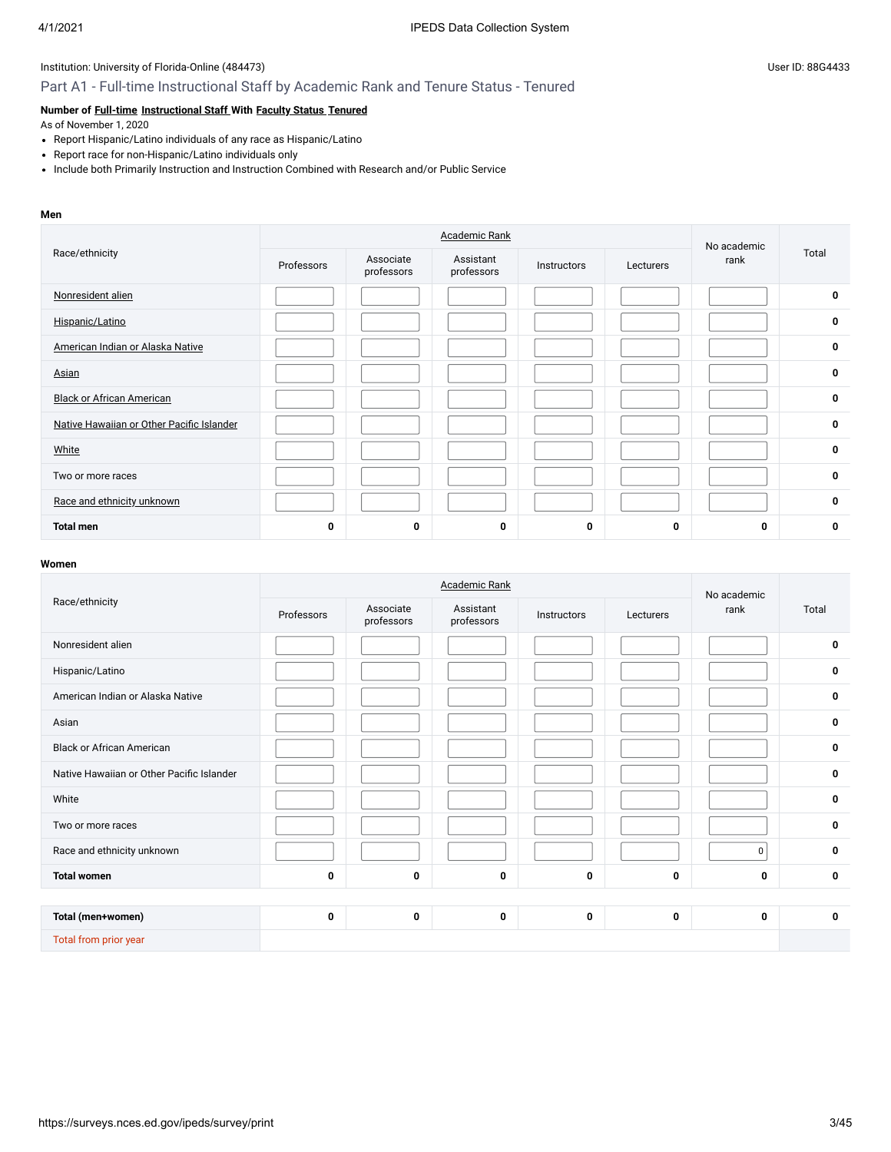## Part A1 - Full-time Instructional Staff by Academic Rank and Tenure Status - Tenured

### **Number of [Full-time](javascript:openglossary(257)) [Instructional Staff](javascript:openglossary(996)) With [Faculty Status](javascript:openglossary(1009)) [Tenured](javascript:openglossary(639))**

As of November 1, 2020

- Report Hispanic/Latino individuals of any race as Hispanic/Latino
- Report race for non-Hispanic/Latino individuals only
- Include both Primarily Instruction and Instruction Combined with Research and/or Public Service

#### **Men**

|                                           |            | No academic             |                         |             |           |      |             |
|-------------------------------------------|------------|-------------------------|-------------------------|-------------|-----------|------|-------------|
| Race/ethnicity                            | Professors | Associate<br>professors | Assistant<br>professors | Instructors | Lecturers | rank | Total       |
| Nonresident alien                         |            |                         |                         |             |           |      | 0           |
| Hispanic/Latino                           |            |                         |                         |             |           |      | 0           |
| American Indian or Alaska Native          |            |                         |                         |             |           |      | 0           |
| Asian                                     |            |                         |                         |             |           |      | $\mathbf 0$ |
| <b>Black or African American</b>          |            |                         |                         |             |           |      | 0           |
| Native Hawaiian or Other Pacific Islander |            |                         |                         |             |           |      | 0           |
| White                                     |            |                         |                         |             |           |      | 0           |
| Two or more races                         |            |                         |                         |             |           |      | 0           |
| Race and ethnicity unknown                |            |                         |                         |             |           |      | 0           |
| <b>Total men</b>                          | 0          | 0                       | 0                       | 0           | 0         | 0    | 0           |

|                                           |             |                         | <b>Academic Rank</b>    |             |           | No academic |             |
|-------------------------------------------|-------------|-------------------------|-------------------------|-------------|-----------|-------------|-------------|
| Race/ethnicity                            | Professors  | Associate<br>professors | Assistant<br>professors | Instructors | Lecturers | rank        | Total       |
| Nonresident alien                         |             |                         |                         |             |           |             | 0           |
| Hispanic/Latino                           |             |                         |                         |             |           |             | 0           |
| American Indian or Alaska Native          |             |                         |                         |             |           |             | 0           |
| Asian                                     |             |                         |                         |             |           |             | 0           |
| <b>Black or African American</b>          |             |                         |                         |             |           |             | 0           |
| Native Hawaiian or Other Pacific Islander |             |                         |                         |             |           |             | 0           |
| White                                     |             |                         |                         |             |           |             | $\mathbf 0$ |
| Two or more races                         |             |                         |                         |             |           |             | 0           |
| Race and ethnicity unknown                |             |                         |                         |             |           | $\mathbf 0$ | 0           |
| <b>Total women</b>                        | $\mathbf 0$ | 0                       | 0                       | 0           | 0         | 0           | $\mathbf 0$ |
|                                           |             |                         |                         |             |           |             |             |
| Total (men+women)                         | 0           | 0                       | 0                       | 0           | 0         | 0           | 0           |
| Total from prior year                     |             |                         |                         |             |           |             |             |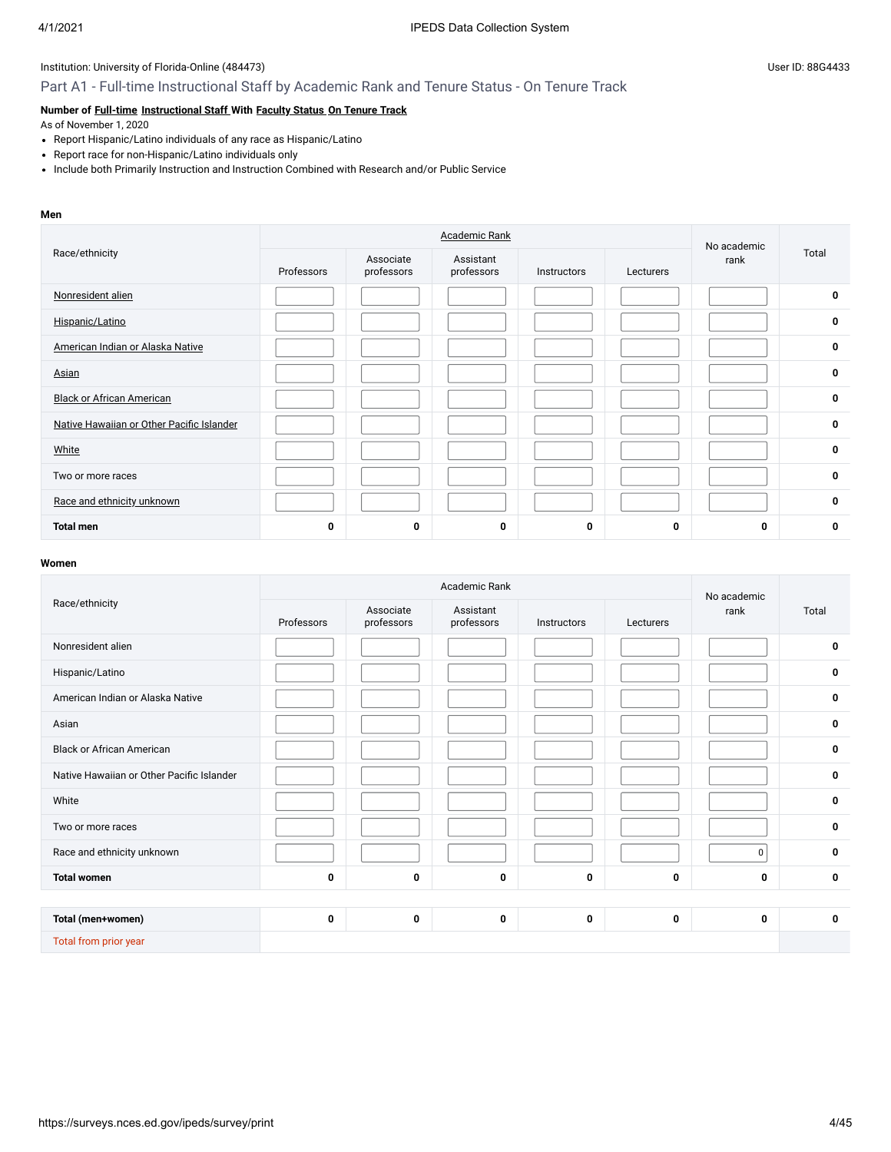## Part A1 - Full-time Instructional Staff by Academic Rank and Tenure Status - On Tenure Track

## **Number of [Full-time](javascript:openglossary(257)) [Instructional Staff](javascript:openglossary(996)) With [Faculty Status](javascript:openglossary(1009)) [On Tenure Track](javascript:openglossary(641))**

As of November 1, 2020

- Report Hispanic/Latino individuals of any race as Hispanic/Latino
- Report race for non-Hispanic/Latino individuals only
- Include both Primarily Instruction and Instruction Combined with Research and/or Public Service

#### **Men**

|                                           |            | No academic             |                         |             |           |      |             |
|-------------------------------------------|------------|-------------------------|-------------------------|-------------|-----------|------|-------------|
| Race/ethnicity                            | Professors | Associate<br>professors | Assistant<br>professors | Instructors | Lecturers | rank | Total       |
| Nonresident alien                         |            |                         |                         |             |           |      | $\mathbf 0$ |
| Hispanic/Latino                           |            |                         |                         |             |           |      | 0           |
| American Indian or Alaska Native          |            |                         |                         |             |           |      | 0           |
| Asian                                     |            |                         |                         |             |           |      | 0           |
| <b>Black or African American</b>          |            |                         |                         |             |           |      | 0           |
| Native Hawaiian or Other Pacific Islander |            |                         |                         |             |           |      | $\mathbf 0$ |
| White                                     |            |                         |                         |             |           |      | 0           |
| Two or more races                         |            |                         |                         |             |           |      | 0           |
| Race and ethnicity unknown                |            |                         |                         |             |           |      | 0           |
| <b>Total men</b>                          | 0          | 0                       | 0                       | 0           | 0         | 0    | 0           |

|                                           |            |                         | Academic Rank           |             |           | No academic |             |
|-------------------------------------------|------------|-------------------------|-------------------------|-------------|-----------|-------------|-------------|
| Race/ethnicity                            | Professors | Associate<br>professors | Assistant<br>professors | Instructors | Lecturers | rank        | Total       |
| Nonresident alien                         |            |                         |                         |             |           |             | 0           |
| Hispanic/Latino                           |            |                         |                         |             |           |             | $\bf{0}$    |
| American Indian or Alaska Native          |            |                         |                         |             |           |             | $\mathbf 0$ |
| Asian                                     |            |                         |                         |             |           |             | 0           |
| <b>Black or African American</b>          |            |                         |                         |             |           |             | 0           |
| Native Hawaiian or Other Pacific Islander |            |                         |                         |             |           |             | 0           |
| White                                     |            |                         |                         |             |           |             | 0           |
| Two or more races                         |            |                         |                         |             |           |             | 0           |
| Race and ethnicity unknown                |            |                         |                         |             |           | 0           | 0           |
| <b>Total women</b>                        | 0          | 0                       | 0                       | 0           | 0         | 0           | $\mathbf 0$ |
|                                           |            |                         |                         |             |           |             |             |
| Total (men+women)                         | 0          | 0                       | 0                       | 0           | 0         | 0           | $\mathbf 0$ |
| Total from prior year                     |            |                         |                         |             |           |             |             |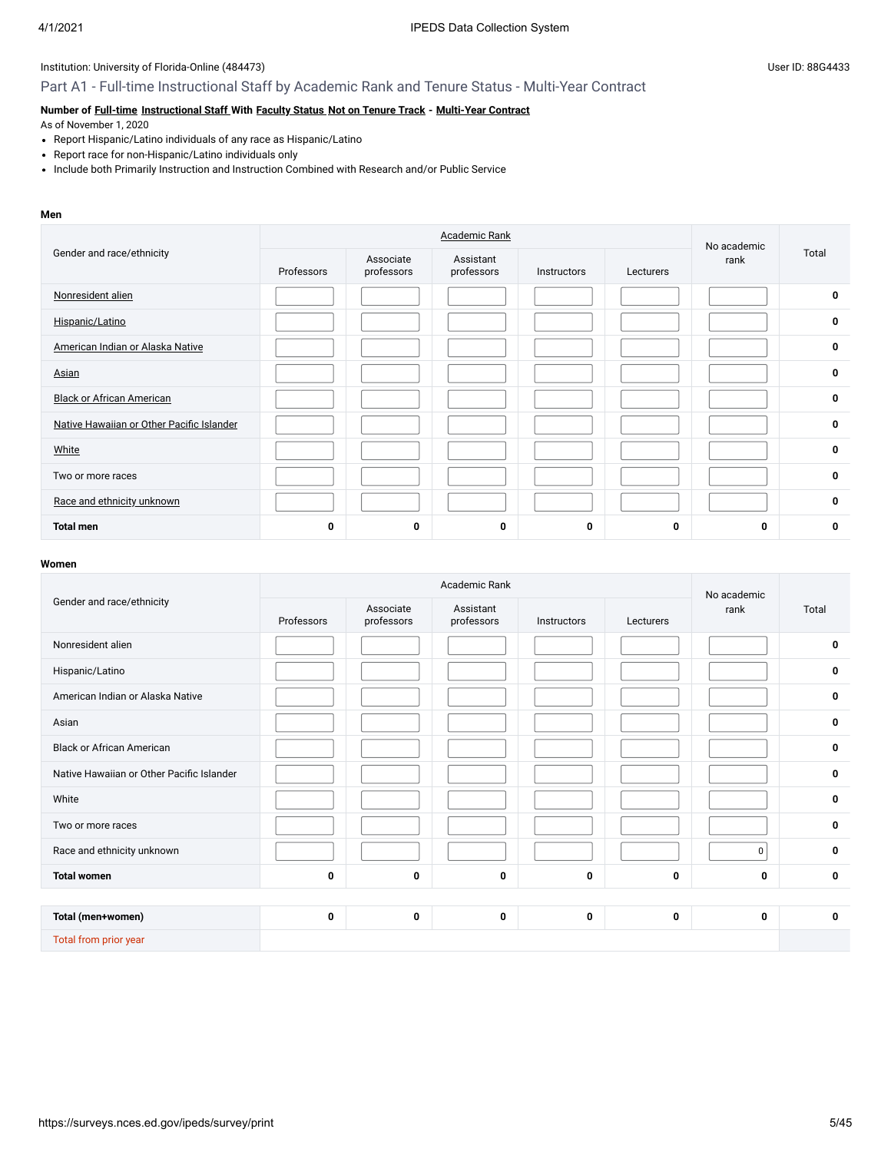### Part A1 - Full-time Instructional Staff by Academic Rank and Tenure Status - Multi-Year Contract

# **Number of [Full-time](javascript:openglossary(257)) [Instructional Staff](javascript:openglossary(996)) With [Faculty Status](javascript:openglossary(1009)) [Not on Tenure Track](javascript:openglossary(966)) - [Multi-Year Contract](javascript:openglossary(981))**

As of November 1, 2020

- Report Hispanic/Latino individuals of any race as Hispanic/Latino
- Report race for non-Hispanic/Latino individuals only
- Include both Primarily Instruction and Instruction Combined with Research and/or Public Service

#### **Men**

|                                           |            | No academic             |                         |             |           |      |       |
|-------------------------------------------|------------|-------------------------|-------------------------|-------------|-----------|------|-------|
| Gender and race/ethnicity                 | Professors | Associate<br>professors | Assistant<br>professors | Instructors | Lecturers | rank | Total |
| Nonresident alien                         |            |                         |                         |             |           |      | 0     |
| Hispanic/Latino                           |            |                         |                         |             |           |      | 0     |
| American Indian or Alaska Native          |            |                         |                         |             |           |      | 0     |
| Asian                                     |            |                         |                         |             |           |      | 0     |
| <b>Black or African American</b>          |            |                         |                         |             |           |      | 0     |
| Native Hawaiian or Other Pacific Islander |            |                         |                         |             |           |      | 0     |
| White                                     |            |                         |                         |             |           |      | 0     |
| Two or more races                         |            |                         |                         |             |           |      | 0     |
| Race and ethnicity unknown                |            |                         |                         |             |           |      | 0     |
| <b>Total men</b>                          | 0          | 0                       | 0                       | 0           | 0         | 0    | 0     |

|                                           |             |                         | Academic Rank           |             |           | No academic |             |
|-------------------------------------------|-------------|-------------------------|-------------------------|-------------|-----------|-------------|-------------|
| Gender and race/ethnicity                 | Professors  | Associate<br>professors | Assistant<br>professors | Instructors | Lecturers | rank        | Total       |
| Nonresident alien                         |             |                         |                         |             |           |             | 0           |
| Hispanic/Latino                           |             |                         |                         |             |           |             | 0           |
| American Indian or Alaska Native          |             |                         |                         |             |           |             | $\mathbf 0$ |
| Asian                                     |             |                         |                         |             |           |             | 0           |
| <b>Black or African American</b>          |             |                         |                         |             |           |             | 0           |
| Native Hawaiian or Other Pacific Islander |             |                         |                         |             |           |             | 0           |
| White                                     |             |                         |                         |             |           |             | 0           |
| Two or more races                         |             |                         |                         |             |           |             | $\mathbf 0$ |
| Race and ethnicity unknown                |             |                         |                         |             |           | $\mathbf 0$ | 0           |
| <b>Total women</b>                        | 0           | 0                       | 0                       | 0           | 0         | 0           | $\mathbf 0$ |
|                                           |             |                         |                         |             |           |             |             |
| Total (men+women)                         | $\mathbf 0$ | 0                       | 0                       | 0           | 0         | 0           | $\mathbf 0$ |
| Total from prior year                     |             |                         |                         |             |           |             |             |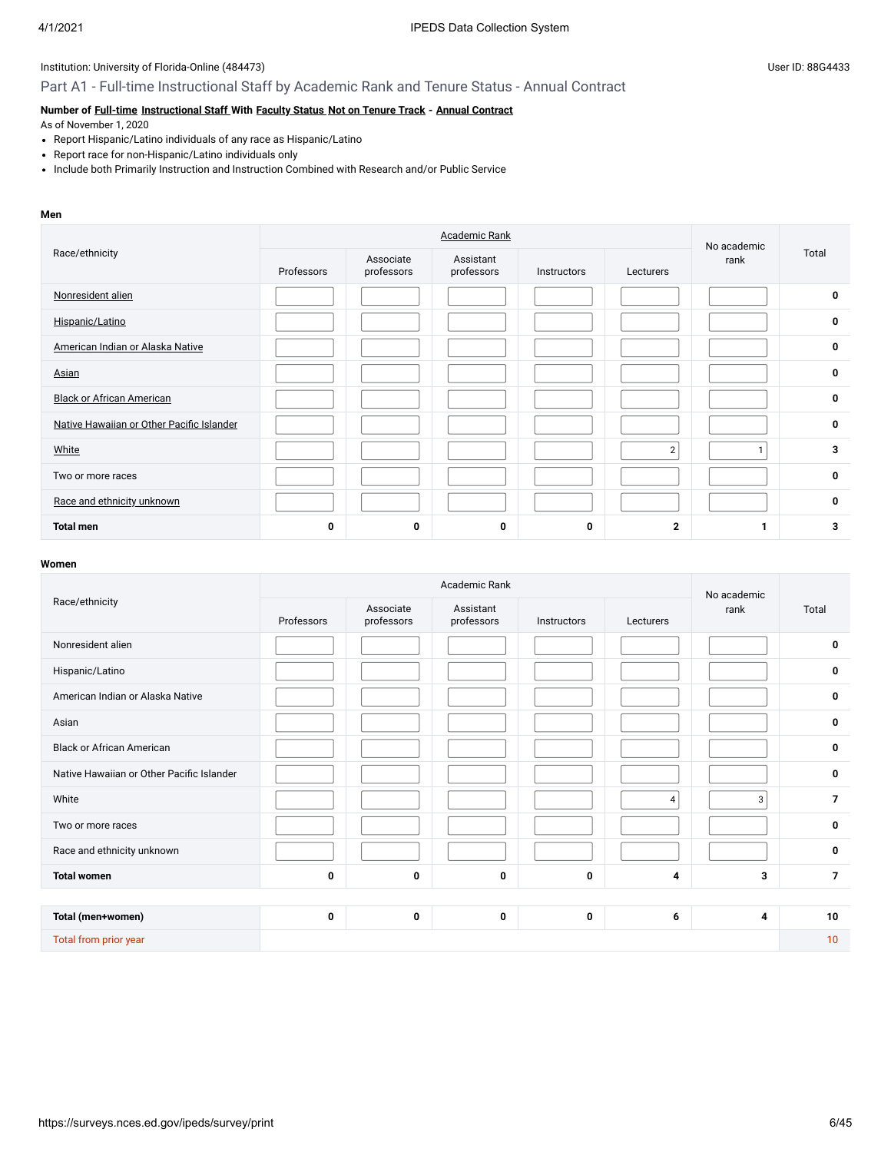# Part A1 - Full-time Instructional Staff by Academic Rank and Tenure Status - Annual Contract

# **Number of [Full-time](javascript:openglossary(257)) [Instructional Staff](javascript:openglossary(996)) With [Faculty Status](javascript:openglossary(1009)) [Not on Tenure Track](javascript:openglossary(966)) - [Annual Contract](javascript:openglossary(979))**

As of November 1, 2020

- Report Hispanic/Latino individuals of any race as Hispanic/Latino
- Report race for non-Hispanic/Latino individuals only
- Include both Primarily Instruction and Instruction Combined with Research and/or Public Service

#### **Men**

|                                           |            | No academic             |                         |             |                |      |             |
|-------------------------------------------|------------|-------------------------|-------------------------|-------------|----------------|------|-------------|
| Race/ethnicity                            | Professors | Associate<br>professors | Assistant<br>professors | Instructors | Lecturers      | rank | Total       |
| Nonresident alien                         |            |                         |                         |             |                |      | $\mathbf 0$ |
| Hispanic/Latino                           |            |                         |                         |             |                |      | 0           |
| American Indian or Alaska Native          |            |                         |                         |             |                |      | 0           |
| Asian                                     |            |                         |                         |             |                |      | 0           |
| <b>Black or African American</b>          |            |                         |                         |             |                |      | 0           |
| Native Hawaiian or Other Pacific Islander |            |                         |                         |             |                |      | $\mathbf 0$ |
| White                                     |            |                         |                         |             | $\overline{2}$ |      | 3           |
| Two or more races                         |            |                         |                         |             |                |      | 0           |
| Race and ethnicity unknown                |            |                         |                         |             |                |      | 0           |
| <b>Total men</b>                          | 0          | 0                       | 0                       | 0           | $\mathbf{2}$   |      | 3           |

|                                           |            | No academic             |                         |             |                |      |                |
|-------------------------------------------|------------|-------------------------|-------------------------|-------------|----------------|------|----------------|
| Race/ethnicity                            | Professors | Associate<br>professors | Assistant<br>professors | Instructors | Lecturers      | rank | Total          |
| Nonresident alien                         |            |                         |                         |             |                |      | 0              |
| Hispanic/Latino                           |            |                         |                         |             |                |      | 0              |
| American Indian or Alaska Native          |            |                         |                         |             |                |      | $\mathbf 0$    |
| Asian                                     |            |                         |                         |             |                |      | 0              |
| <b>Black or African American</b>          |            |                         |                         |             |                |      | 0              |
| Native Hawaiian or Other Pacific Islander |            |                         |                         |             |                |      | 0              |
| White                                     |            |                         |                         |             | $\overline{4}$ | 3    | $\overline{7}$ |
| Two or more races                         |            |                         |                         |             |                |      | 0              |
| Race and ethnicity unknown                |            |                         |                         |             |                |      | 0              |
| <b>Total women</b>                        | 0          | 0                       | $\mathbf 0$             | 0           | 4              | 3    | $\overline{7}$ |
|                                           |            |                         |                         |             |                |      |                |
| Total (men+women)                         | 0          | 0                       | 0                       | 0           | 6              | 4    | 10             |
| Total from prior year                     |            |                         |                         |             |                |      | 10             |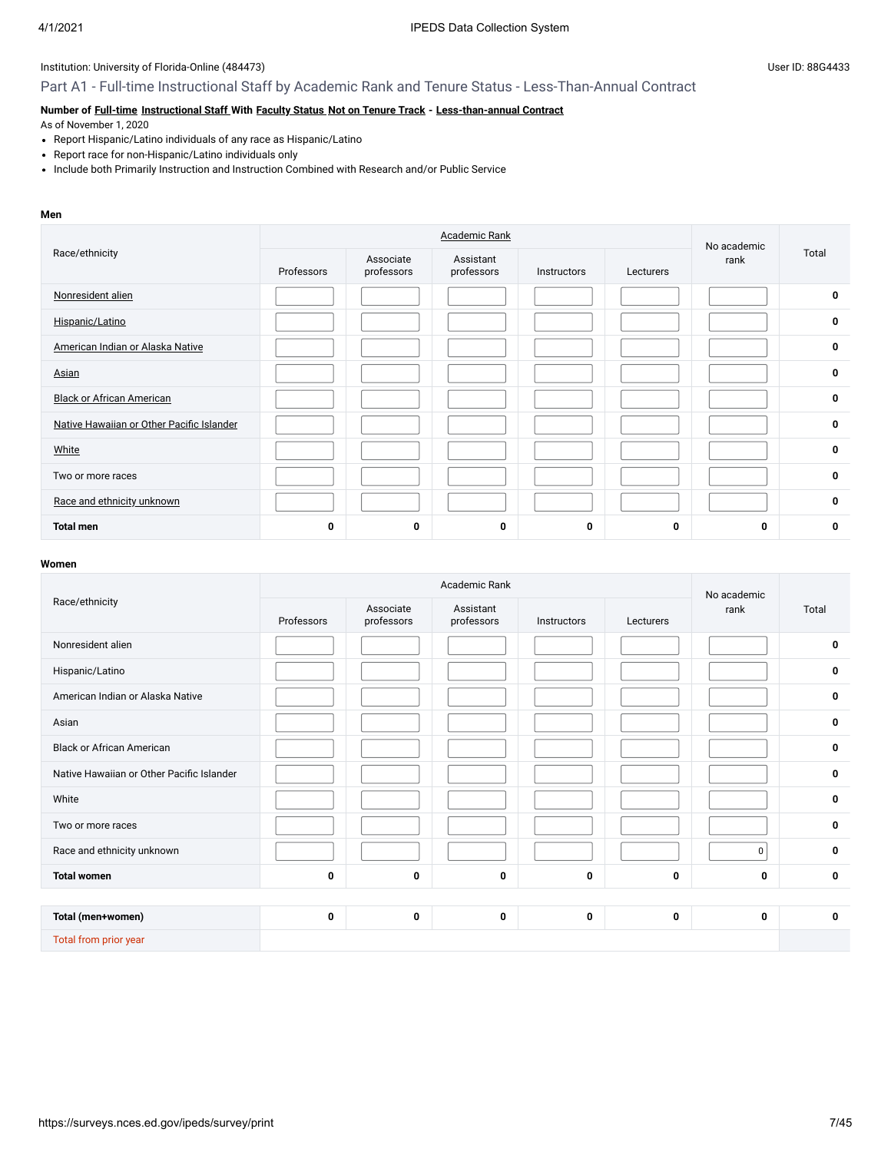### Part A1 - Full-time Instructional Staff by Academic Rank and Tenure Status - Less-Than-Annual Contract

# **Number of [Full-time](javascript:openglossary(257)) [Instructional Staff](javascript:openglossary(996)) With [Faculty Status](javascript:openglossary(1009)) [Not on Tenure Track](javascript:openglossary(966)) - [Less-than-annual Contract](javascript:openglossary(980))**

As of November 1, 2020

- Report Hispanic/Latino individuals of any race as Hispanic/Latino
- Report race for non-Hispanic/Latino individuals only
- Include both Primarily Instruction and Instruction Combined with Research and/or Public Service

#### **Men**

|                                           |             | No academic             |                         |             |           |      |             |
|-------------------------------------------|-------------|-------------------------|-------------------------|-------------|-----------|------|-------------|
| Race/ethnicity                            | Professors  | Associate<br>professors | Assistant<br>professors | Instructors | Lecturers | rank | Total       |
| Nonresident alien                         |             |                         |                         |             |           |      | $\mathbf 0$ |
| Hispanic/Latino                           |             |                         |                         |             |           |      | $\mathbf 0$ |
| American Indian or Alaska Native          |             |                         |                         |             |           |      | 0           |
| Asian                                     |             |                         |                         |             |           |      | 0           |
| <b>Black or African American</b>          |             |                         |                         |             |           |      | 0           |
| Native Hawaiian or Other Pacific Islander |             |                         |                         |             |           |      | $\mathbf 0$ |
| White                                     |             |                         |                         |             |           |      | 0           |
| Two or more races                         |             |                         |                         |             |           |      | 0           |
| Race and ethnicity unknown                |             |                         |                         |             |           |      | 0           |
| <b>Total men</b>                          | $\mathbf 0$ | 0                       | 0                       | 0           | 0         | 0    | 0           |

|                                           |            |                         | Academic Rank           |             |           | No academic |             |
|-------------------------------------------|------------|-------------------------|-------------------------|-------------|-----------|-------------|-------------|
| Race/ethnicity                            | Professors | Associate<br>professors | Assistant<br>professors | Instructors | Lecturers | rank        | Total       |
| Nonresident alien                         |            |                         |                         |             |           |             | $\mathbf 0$ |
| Hispanic/Latino                           |            |                         |                         |             |           |             | $\mathbf 0$ |
| American Indian or Alaska Native          |            |                         |                         |             |           |             | $\mathbf 0$ |
| Asian                                     |            |                         |                         |             |           |             | $\mathbf 0$ |
| <b>Black or African American</b>          |            |                         |                         |             |           |             | $\mathbf 0$ |
| Native Hawaiian or Other Pacific Islander |            |                         |                         |             |           |             | $\mathbf 0$ |
| White                                     |            |                         |                         |             |           |             | $\mathbf 0$ |
| Two or more races                         |            |                         |                         |             |           |             | $\mathbf 0$ |
| Race and ethnicity unknown                |            |                         |                         |             |           | 0           | $\mathbf 0$ |
| <b>Total women</b>                        | 0          | 0                       | 0                       | 0           | 0         | 0           | $\mathbf 0$ |
|                                           |            |                         |                         |             |           |             |             |
| Total (men+women)                         | 0          | 0                       | 0                       | 0           | 0         | 0           | $\mathbf 0$ |
| Total from prior year                     |            |                         |                         |             |           |             |             |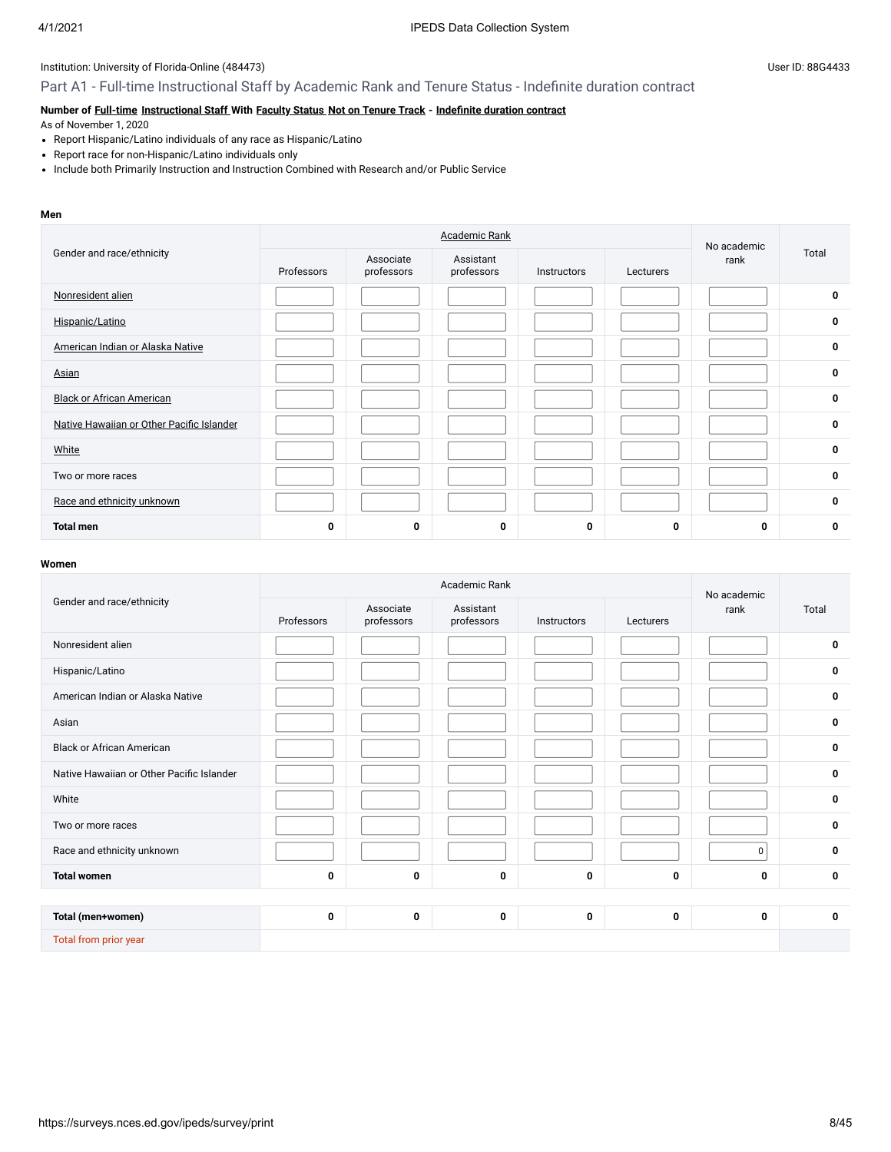## Part A1 - Full-time Instructional Staff by Academic Rank and Tenure Status - Indefinite duration contract

# **Number of [Full-time](javascript:openglossary(257)) [Instructional Staff](javascript:openglossary(996)) With [Faculty Status](javascript:openglossary(1009)) [Not on Tenure Track](javascript:openglossary(966)) - [Indefinite duration contract](javascript:openglossary(1075))**

As of November 1, 2020

- Report Hispanic/Latino individuals of any race as Hispanic/Latino
- Report race for non-Hispanic/Latino individuals only
- Include both Primarily Instruction and Instruction Combined with Research and/or Public Service

#### **Men**

|                                           |            | No academic             |                         |             |           |      |             |
|-------------------------------------------|------------|-------------------------|-------------------------|-------------|-----------|------|-------------|
| Gender and race/ethnicity                 | Professors | Associate<br>professors | Assistant<br>professors | Instructors | Lecturers | rank | Total       |
| Nonresident alien                         |            |                         |                         |             |           |      | 0           |
| Hispanic/Latino                           |            |                         |                         |             |           |      | $\mathbf 0$ |
| American Indian or Alaska Native          |            |                         |                         |             |           |      | $\mathbf 0$ |
| Asian                                     |            |                         |                         |             |           |      | $\mathbf 0$ |
| <b>Black or African American</b>          |            |                         |                         |             |           |      | 0           |
| Native Hawaiian or Other Pacific Islander |            |                         |                         |             |           |      | 0           |
| White                                     |            |                         |                         |             |           |      | $\mathbf 0$ |
| Two or more races                         |            |                         |                         |             |           |      | 0           |
| Race and ethnicity unknown                |            |                         |                         |             |           |      | $\mathbf 0$ |
| <b>Total men</b>                          | 0          | 0                       | 0                       | 0           | 0         | 0    | 0           |

|                                           |            | No academic             |                         |             |           |      |             |
|-------------------------------------------|------------|-------------------------|-------------------------|-------------|-----------|------|-------------|
| Gender and race/ethnicity                 | Professors | Associate<br>professors | Assistant<br>professors | Instructors | Lecturers | rank | Total       |
| Nonresident alien                         |            |                         |                         |             |           |      | 0           |
| Hispanic/Latino                           |            |                         |                         |             |           |      | $\mathbf 0$ |
| American Indian or Alaska Native          |            |                         |                         |             |           |      | $\mathbf 0$ |
| Asian                                     |            |                         |                         |             |           |      | $\mathbf 0$ |
| <b>Black or African American</b>          |            |                         |                         |             |           |      | $\mathbf 0$ |
| Native Hawaiian or Other Pacific Islander |            |                         |                         |             |           |      | $\mathbf 0$ |
| White                                     |            |                         |                         |             |           |      | $\mathbf 0$ |
| Two or more races                         |            |                         |                         |             |           |      | $\mathbf 0$ |
| Race and ethnicity unknown                |            |                         |                         |             |           | 0    | $\mathbf 0$ |
| <b>Total women</b>                        | 0          | 0                       | 0                       | 0           | 0         | 0    | $\mathbf 0$ |
|                                           |            |                         |                         |             |           |      |             |
| Total (men+women)                         | 0          | 0                       | 0                       | 0           | 0         | 0    | $\mathbf 0$ |
| Total from prior year                     |            |                         |                         |             |           |      |             |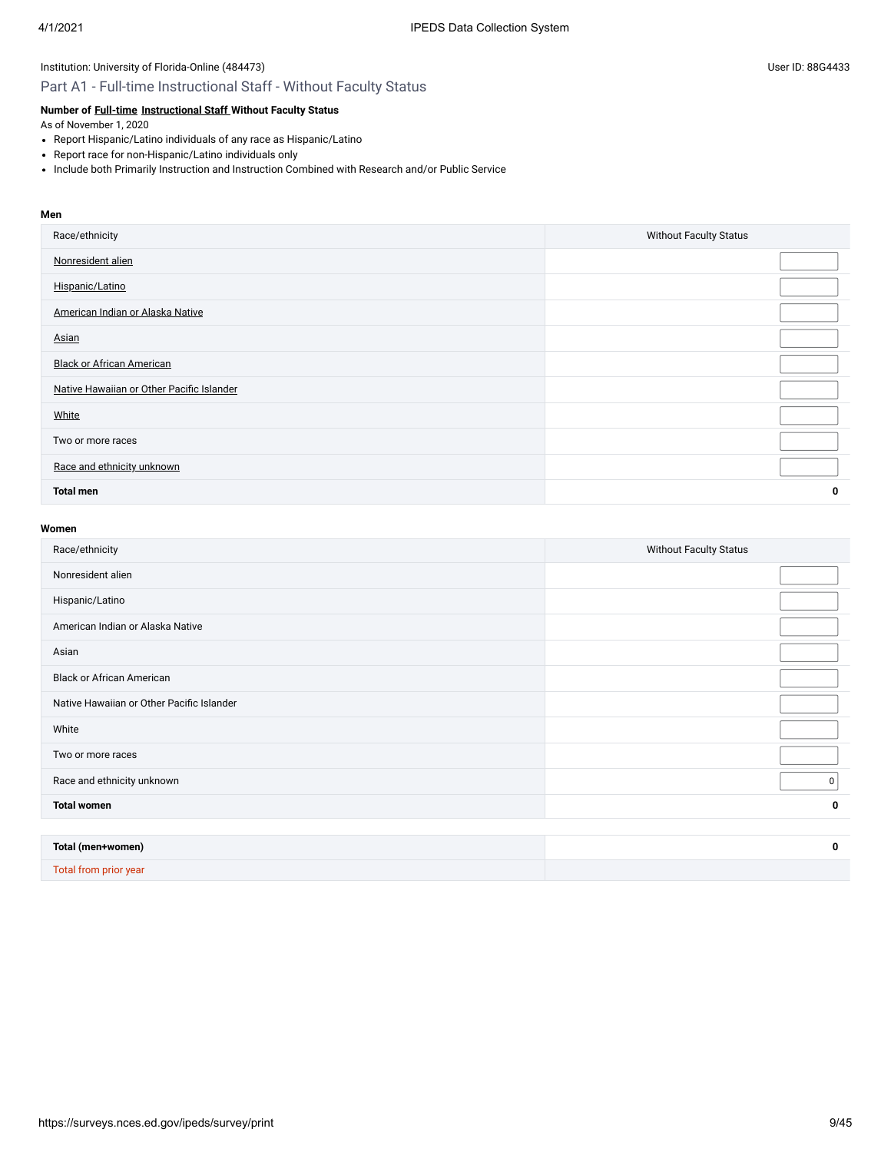### Part A1 - Full-time Instructional Staff - Without Faculty Status

### **Number of [Full-time](javascript:openglossary(257)) [Instructional Staff](javascript:openglossary(996)) Without Faculty Status**

As of November 1, 2020

- Report Hispanic/Latino individuals of any race as Hispanic/Latino
- Report race for non-Hispanic/Latino individuals only
- Include both Primarily Instruction and Instruction Combined with Research and/or Public Service

#### **Men**

| Race/ethnicity                            | <b>Without Faculty Status</b> |
|-------------------------------------------|-------------------------------|
| Nonresident alien                         |                               |
| Hispanic/Latino                           |                               |
| American Indian or Alaska Native          |                               |
| Asian                                     |                               |
| <b>Black or African American</b>          |                               |
| Native Hawaiian or Other Pacific Islander |                               |
| White                                     |                               |
| Two or more races                         |                               |
| Race and ethnicity unknown                |                               |
| <b>Total men</b>                          | 0                             |

#### **Women**

| Race/ethnicity                            | <b>Without Faculty Status</b> |
|-------------------------------------------|-------------------------------|
| Nonresident alien                         |                               |
| Hispanic/Latino                           |                               |
| American Indian or Alaska Native          |                               |
| Asian                                     |                               |
| <b>Black or African American</b>          |                               |
| Native Hawaiian or Other Pacific Islander |                               |
| White                                     |                               |
| Two or more races                         |                               |
| Race and ethnicity unknown                | 0                             |
| <b>Total women</b>                        | $\mathbf 0$                   |
|                                           |                               |
| Total (men+women)                         | 0                             |
|                                           |                               |

Total from prior year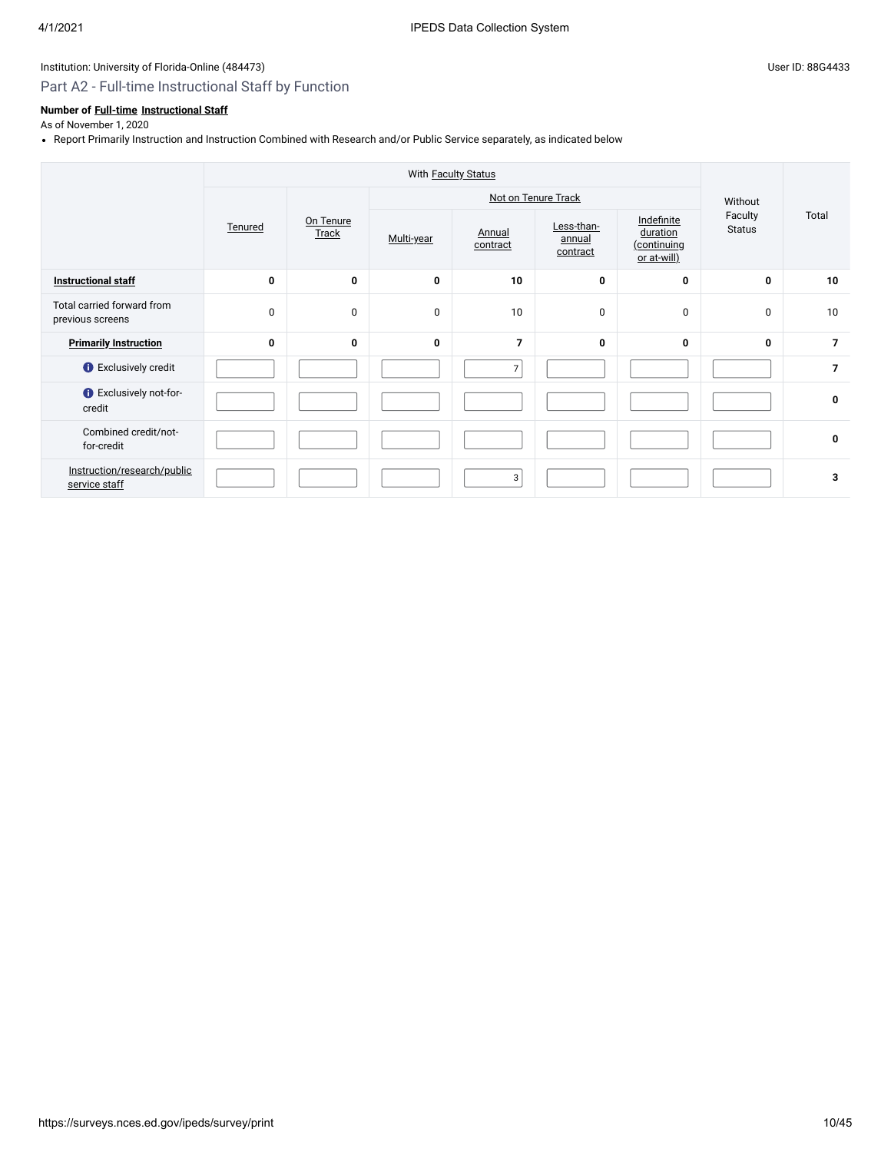# Part A2 - Full-time Instructional Staff by Function

## **Number of [Full-time](javascript:openglossary(257)) [Instructional Staff](javascript:openglossary(996))**

As of November 1, 2020

Report Primarily Instruction and Instruction Combined with Research and/or Public Service separately, as indicated below

|                                                | With <b>Faculty Status</b> |             |                    |                     |                    |                                  |                                                             |                          |       |
|------------------------------------------------|----------------------------|-------------|--------------------|---------------------|--------------------|----------------------------------|-------------------------------------------------------------|--------------------------|-------|
|                                                |                            |             |                    | Not on Tenure Track |                    |                                  |                                                             |                          |       |
|                                                |                            | Tenured     | On Tenure<br>Track | Multi-year          | Annual<br>contract | Less-than-<br>annual<br>contract | Indefinite<br>duration<br><u>(continuing</u><br>or at-will) | Faculty<br><b>Status</b> | Total |
| <b>Instructional staff</b>                     | $\mathbf 0$                | 0           | 0                  | 10                  | 0                  | $\mathbf{0}$                     | 0                                                           | 10                       |       |
| Total carried forward from<br>previous screens | $\mathbf 0$                | $\mathbf 0$ | $\mathbf 0$        | 10                  | 0                  | 0                                | $\mathbf 0$                                                 | 10                       |       |
| <b>Primarily Instruction</b>                   | $\mathbf 0$                | 0           | 0                  | $\overline{7}$      | 0                  | $\mathbf{0}$                     | $\mathbf 0$                                                 | $\overline{7}$           |       |
| <b>O</b> Exclusively credit                    |                            |             |                    | $\overline{7}$      |                    |                                  |                                                             | $\overline{7}$           |       |
| <b>O</b> Exclusively not-for-<br>credit        |                            |             |                    |                     |                    |                                  |                                                             | $\mathbf 0$              |       |
| Combined credit/not-<br>for-credit             |                            |             |                    |                     |                    |                                  |                                                             | 0                        |       |
| Instruction/research/public<br>service staff   |                            |             |                    | 3                   |                    |                                  |                                                             | 3                        |       |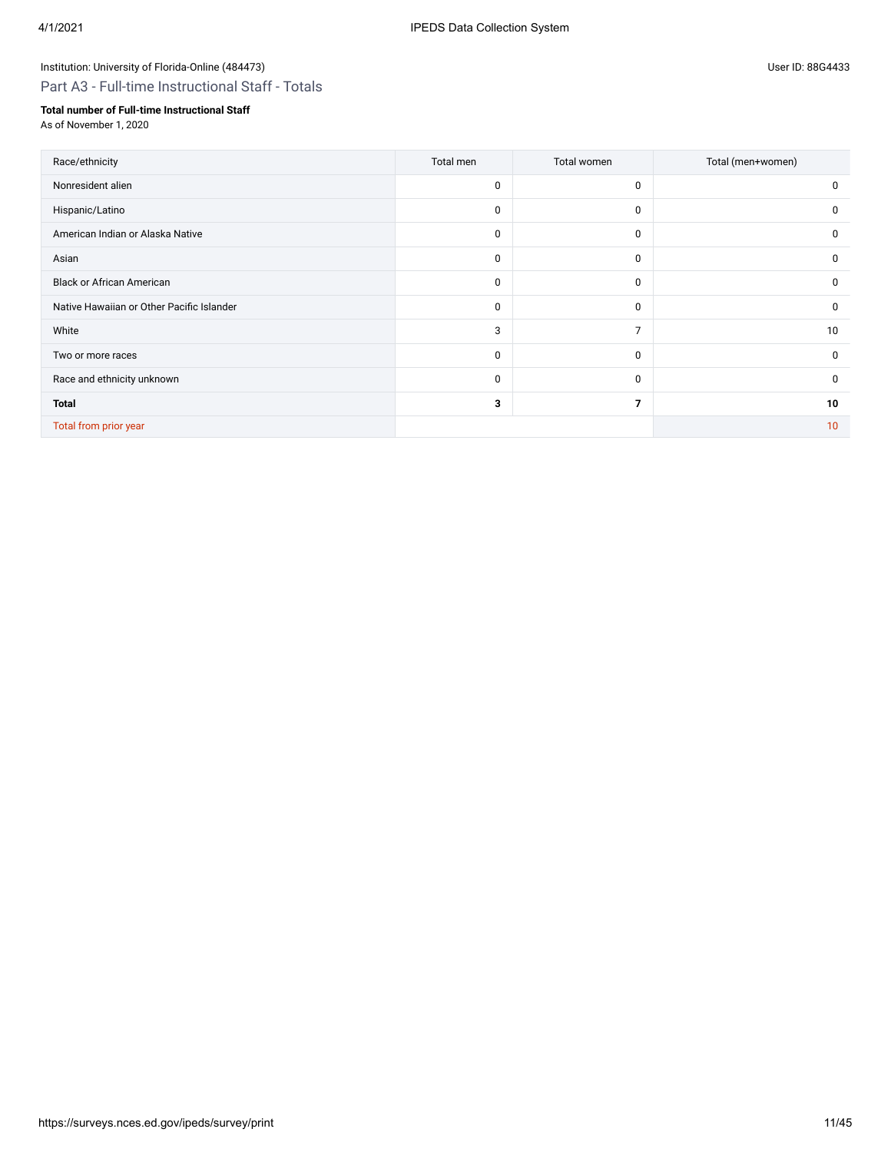Part A3 - Full-time Instructional Staff - Totals

### **Total number of Full-time Instructional Staff**

As of November 1, 2020

| Race/ethnicity                            | Total men   | Total women    | Total (men+women) |
|-------------------------------------------|-------------|----------------|-------------------|
| Nonresident alien                         | $\mathbf 0$ | 0              | 0                 |
| Hispanic/Latino                           | $\mathbf 0$ | $\mathbf 0$    | $\mathbf 0$       |
| American Indian or Alaska Native          | 0           | $\mathbf 0$    | 0                 |
| Asian                                     | 0           | $\mathbf 0$    | 0                 |
| <b>Black or African American</b>          | 0           | $\mathbf 0$    | 0                 |
| Native Hawaiian or Other Pacific Islander | 0           | $\mathbf 0$    | 0                 |
| White                                     | 3           | $\overline{7}$ | 10                |
| Two or more races                         | $\mathbf 0$ | $\mathbf 0$    | $\mathbf 0$       |
| Race and ethnicity unknown                | $\mathbf 0$ | $\mathbf 0$    | 0                 |
| <b>Total</b>                              | 3           | 7              | 10                |
| Total from prior year                     |             |                | 10                |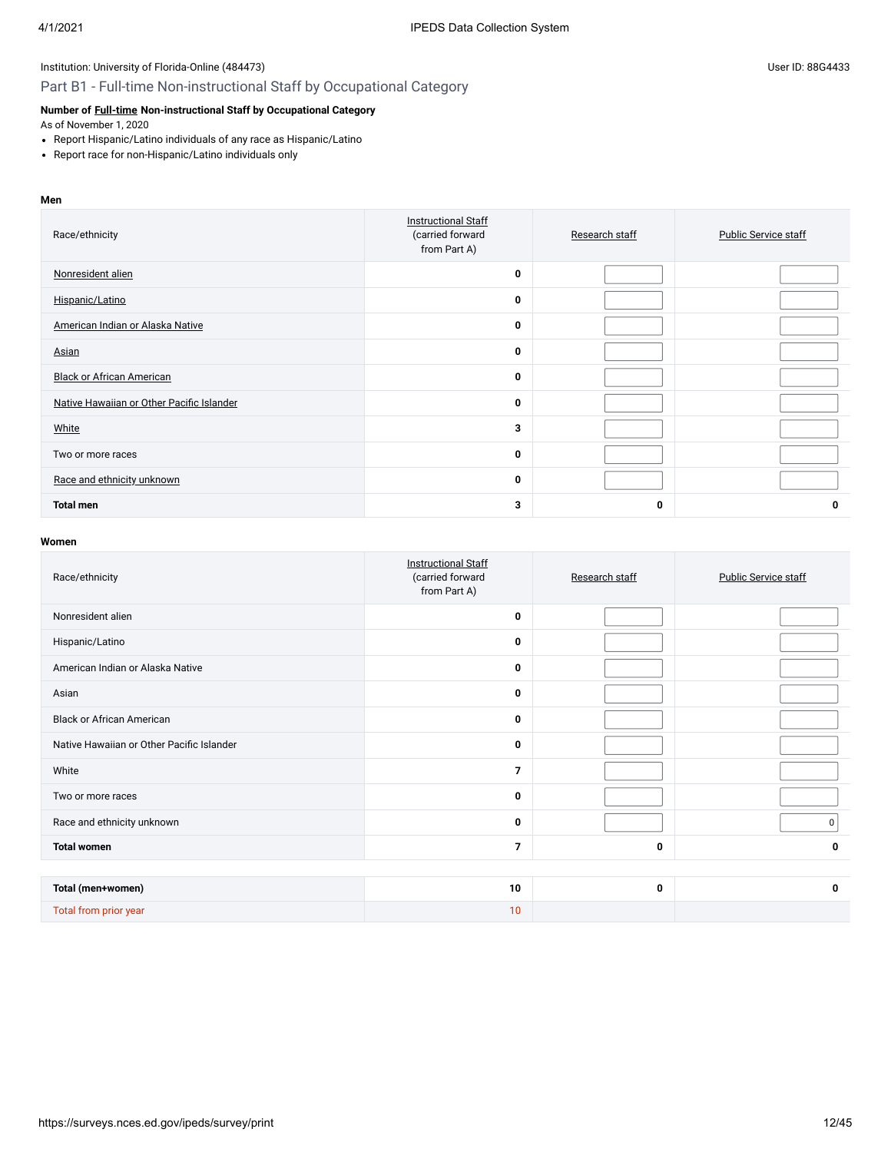### Part B1 - Full-time Non-instructional Staff by Occupational Category

### **Number of [Full-time](javascript:openglossary(257)) Non-instructional Staff by Occupational Category**

As of November 1, 2020

- Report Hispanic/Latino individuals of any race as Hispanic/Latino
- Report race for non-Hispanic/Latino individuals only

#### **Men**

| Race/ethnicity                            | <b>Instructional Staff</b><br>(carried forward<br>from Part A) | Research staff | <b>Public Service staff</b> |
|-------------------------------------------|----------------------------------------------------------------|----------------|-----------------------------|
| Nonresident alien                         | $\mathbf 0$                                                    |                |                             |
| Hispanic/Latino                           | 0                                                              |                |                             |
| American Indian or Alaska Native          | 0                                                              |                |                             |
| Asian                                     | $\mathbf 0$                                                    |                |                             |
| <b>Black or African American</b>          | 0                                                              |                |                             |
| Native Hawaiian or Other Pacific Islander | $\mathbf 0$                                                    |                |                             |
| White                                     | 3                                                              |                |                             |
| Two or more races                         | 0                                                              |                |                             |
| Race and ethnicity unknown                | $\mathbf 0$                                                    |                |                             |
| <b>Total men</b>                          | 3                                                              | 0              | 0                           |

| Race/ethnicity                            | <b>Instructional Staff</b><br>(carried forward<br>from Part A) | Research staff | <b>Public Service staff</b> |
|-------------------------------------------|----------------------------------------------------------------|----------------|-----------------------------|
| Nonresident alien                         | 0                                                              |                |                             |
| Hispanic/Latino                           | 0                                                              |                |                             |
| American Indian or Alaska Native          | 0                                                              |                |                             |
| Asian                                     | 0                                                              |                |                             |
| <b>Black or African American</b>          | $\mathbf 0$                                                    |                |                             |
| Native Hawaiian or Other Pacific Islander | 0                                                              |                |                             |
| White                                     | $\overline{7}$                                                 |                |                             |
| Two or more races                         | 0                                                              |                |                             |
| Race and ethnicity unknown                | 0                                                              |                | 0                           |
| <b>Total women</b>                        | $\overline{7}$                                                 | 0              | 0                           |
|                                           |                                                                |                |                             |
| Total (men+women)                         | 10                                                             | 0              | $\mathbf 0$                 |
| Total from prior year                     | 10                                                             |                |                             |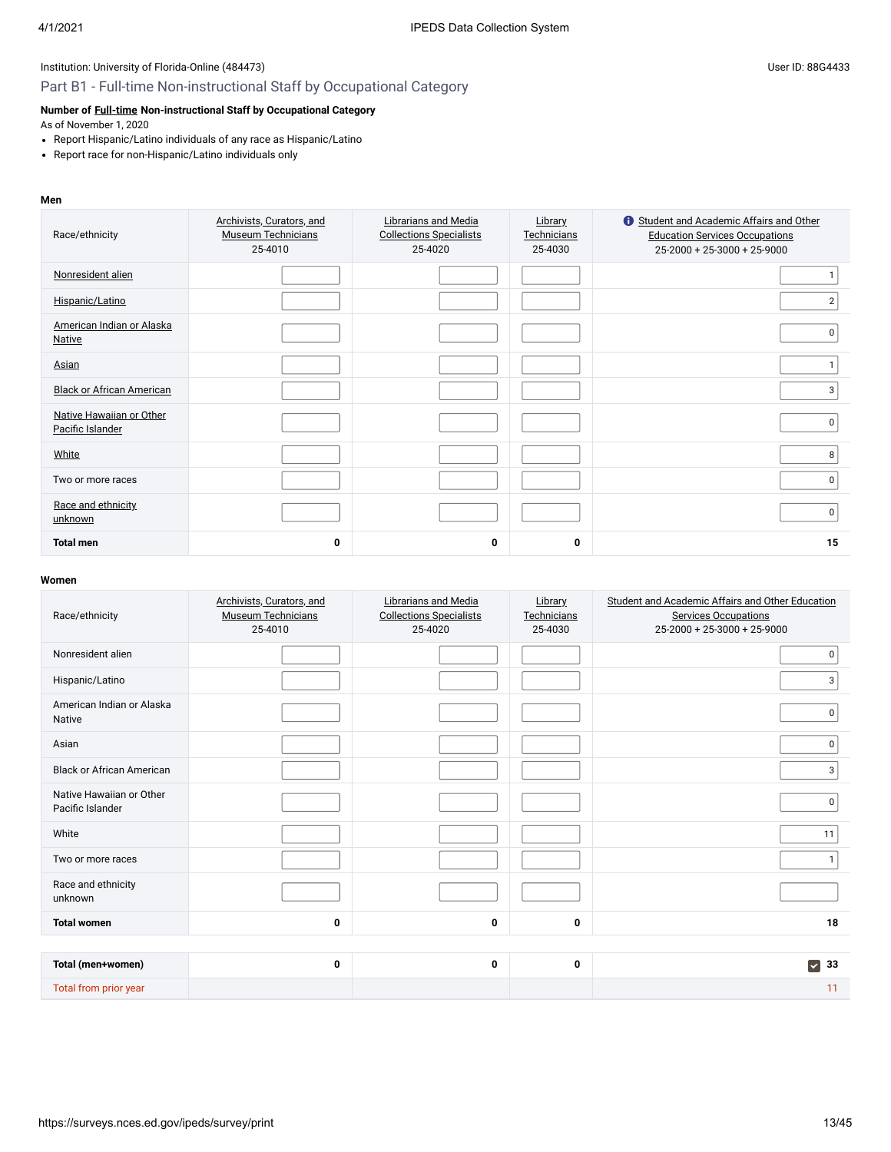### Part B1 - Full-time Non-instructional Staff by Occupational Category

### **Number of [Full-time](javascript:openglossary(257)) Non-instructional Staff by Occupational Category**

As of November 1, 2020

- Report Hispanic/Latino individuals of any race as Hispanic/Latino
- Report race for non-Hispanic/Latino individuals only

#### **Men**

| Race/ethnicity                               | Archivists, Curators, and<br><b>Museum Technicians</b><br>25-4010 | Librarians and Media<br><b>Collections Specialists</b><br>25-4020 | Library<br>Technicians<br>25-4030 | Student and Academic Affairs and Other<br><b>Education Services Occupations</b><br>25-2000 + 25-3000 + 25-9000 |
|----------------------------------------------|-------------------------------------------------------------------|-------------------------------------------------------------------|-----------------------------------|----------------------------------------------------------------------------------------------------------------|
| Nonresident alien                            |                                                                   |                                                                   |                                   |                                                                                                                |
| Hispanic/Latino                              |                                                                   |                                                                   |                                   | $\overline{2}$                                                                                                 |
| American Indian or Alaska<br><b>Native</b>   |                                                                   |                                                                   |                                   | 0                                                                                                              |
| Asian                                        |                                                                   |                                                                   |                                   |                                                                                                                |
| <b>Black or African American</b>             |                                                                   |                                                                   |                                   | 3                                                                                                              |
| Native Hawaiian or Other<br>Pacific Islander |                                                                   |                                                                   |                                   | 0                                                                                                              |
| White                                        |                                                                   |                                                                   |                                   | 8                                                                                                              |
| Two or more races                            |                                                                   |                                                                   |                                   | 0                                                                                                              |
| Race and ethnicity<br>unknown                |                                                                   |                                                                   |                                   | 0                                                                                                              |
| <b>Total men</b>                             | $\mathbf 0$                                                       | 0                                                                 | 0                                 | 15                                                                                                             |

| Race/ethnicity                               | Archivists, Curators, and<br><b>Museum Technicians</b><br>25-4010 | Librarians and Media<br><b>Collections Specialists</b><br>25-4020 | <b>Library</b><br>Technicians<br>25-4030 | Student and Academic Affairs and Other Education<br><b>Services Occupations</b><br>$25-2000 + 25-3000 + 25-9000$ |
|----------------------------------------------|-------------------------------------------------------------------|-------------------------------------------------------------------|------------------------------------------|------------------------------------------------------------------------------------------------------------------|
| Nonresident alien                            |                                                                   |                                                                   |                                          | $\mathbf 0$                                                                                                      |
| Hispanic/Latino                              |                                                                   |                                                                   |                                          | $\mathbf{3}$                                                                                                     |
| American Indian or Alaska<br>Native          |                                                                   |                                                                   |                                          | $\overline{0}$                                                                                                   |
| Asian                                        |                                                                   |                                                                   |                                          | $\overline{0}$                                                                                                   |
| <b>Black or African American</b>             |                                                                   |                                                                   |                                          | $\mathbf{3}$                                                                                                     |
| Native Hawaiian or Other<br>Pacific Islander |                                                                   |                                                                   |                                          | $\overline{0}$                                                                                                   |
| White                                        |                                                                   |                                                                   |                                          | 11                                                                                                               |
| Two or more races                            |                                                                   |                                                                   |                                          | 1                                                                                                                |
| Race and ethnicity<br>unknown                |                                                                   |                                                                   |                                          |                                                                                                                  |
| <b>Total women</b>                           | $\mathbf 0$                                                       | 0                                                                 | $\mathbf 0$                              | 18                                                                                                               |
|                                              |                                                                   |                                                                   |                                          |                                                                                                                  |
| Total (men+women)                            | $\mathbf 0$                                                       | 0                                                                 | $\mathbf 0$                              | $\blacktriangleright$<br>33                                                                                      |
| Total from prior year                        |                                                                   |                                                                   |                                          | 11                                                                                                               |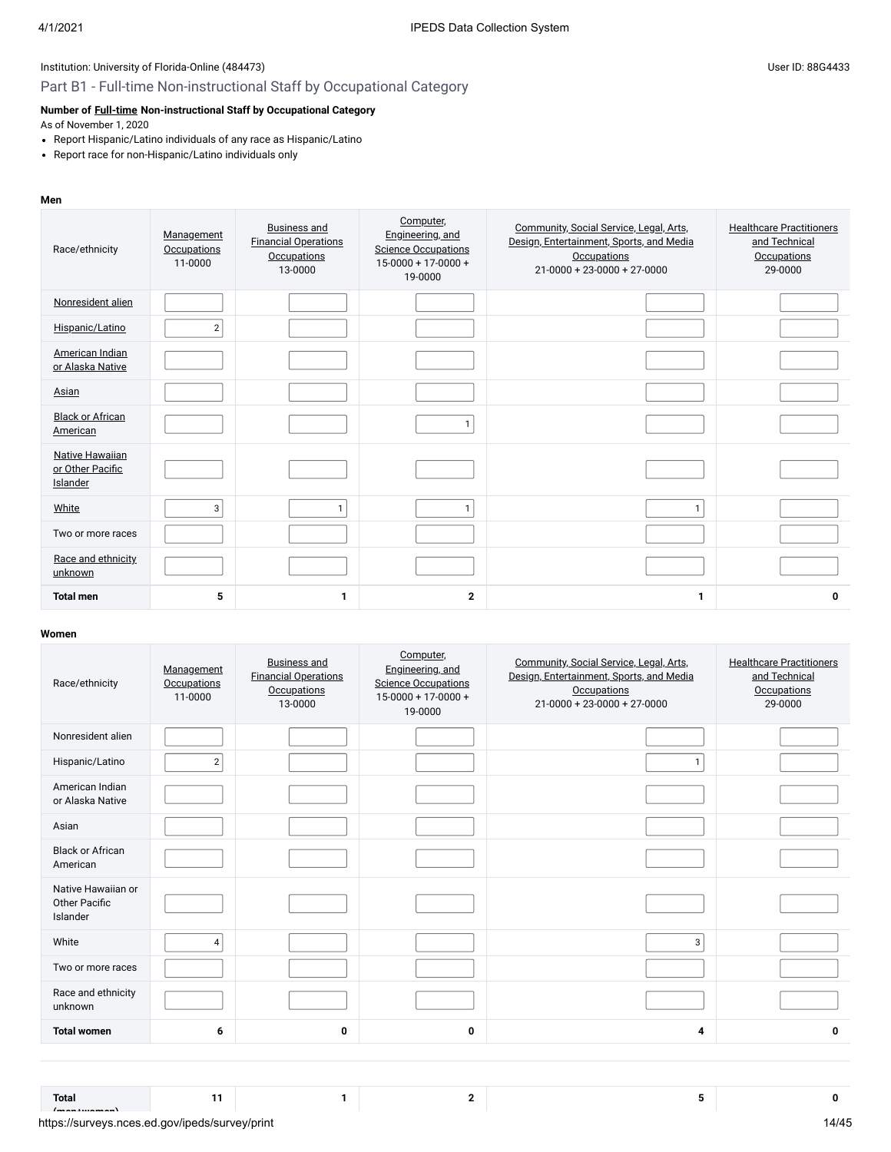### Part B1 - Full-time Non-instructional Staff by Occupational Category

### **Number of [Full-time](javascript:openglossary(257)) Non-instructional Staff by Occupational Category**

As of November 1, 2020

- Report Hispanic/Latino individuals of any race as Hispanic/Latino
- Report race for non-Hispanic/Latino individuals only

#### **Men**

| Race/ethnicity                                         | Management<br><b>Occupations</b><br>11-0000 | <b>Business and</b><br><b>Financial Operations</b><br>Occupations<br>13-0000 | Computer,<br>Engineering, and<br><b>Science Occupations</b><br>$15-0000 + 17-0000 +$<br>19-0000 | Community, Social Service, Legal, Arts,<br>Design, Entertainment, Sports, and Media<br>Occupations<br>$21 - 0000 + 23 - 0000 + 27 - 0000$ | <b>Healthcare Practitioners</b><br>and Technical<br><b>Occupations</b><br>29-0000 |
|--------------------------------------------------------|---------------------------------------------|------------------------------------------------------------------------------|-------------------------------------------------------------------------------------------------|-------------------------------------------------------------------------------------------------------------------------------------------|-----------------------------------------------------------------------------------|
| Nonresident alien                                      |                                             |                                                                              |                                                                                                 |                                                                                                                                           |                                                                                   |
| Hispanic/Latino                                        | $\overline{2}$                              |                                                                              |                                                                                                 |                                                                                                                                           |                                                                                   |
| American Indian<br>or Alaska Native                    |                                             |                                                                              |                                                                                                 |                                                                                                                                           |                                                                                   |
| Asian                                                  |                                             |                                                                              |                                                                                                 |                                                                                                                                           |                                                                                   |
| <b>Black or African</b><br>American                    |                                             |                                                                              | $\mathbf{1}$                                                                                    |                                                                                                                                           |                                                                                   |
| <b>Native Hawaiian</b><br>or Other Pacific<br>Islander |                                             |                                                                              |                                                                                                 |                                                                                                                                           |                                                                                   |
| White                                                  | 3                                           | $\mathbf{1}$                                                                 | $\mathbf{1}$                                                                                    | $\mathbf{1}$                                                                                                                              |                                                                                   |
| Two or more races                                      |                                             |                                                                              |                                                                                                 |                                                                                                                                           |                                                                                   |
| Race and ethnicity<br>unknown                          |                                             |                                                                              |                                                                                                 |                                                                                                                                           |                                                                                   |
| <b>Total men</b>                                       | 5                                           | 1                                                                            | $\mathbf{2}$                                                                                    | 1                                                                                                                                         | 0                                                                                 |

#### **Women**

| Race/ethnicity                                         | Management<br><b>Occupations</b><br>11-0000 | <b>Business and</b><br><b>Financial Operations</b><br><b>Occupations</b><br>13-0000 | Computer,<br>Engineering, and<br><b>Science Occupations</b><br>$15 - 0000 + 17 - 0000 +$<br>19-0000 | Community, Social Service, Legal, Arts,<br>Design, Entertainment, Sports, and Media<br><b>Occupations</b><br>$21 - 0000 + 23 - 0000 + 27 - 0000$ | <b>Healthcare Practitioners</b><br>and Technical<br><b>Occupations</b><br>29-0000 |
|--------------------------------------------------------|---------------------------------------------|-------------------------------------------------------------------------------------|-----------------------------------------------------------------------------------------------------|--------------------------------------------------------------------------------------------------------------------------------------------------|-----------------------------------------------------------------------------------|
| Nonresident alien                                      |                                             |                                                                                     |                                                                                                     |                                                                                                                                                  |                                                                                   |
| Hispanic/Latino                                        | $\overline{2}$                              |                                                                                     |                                                                                                     | 1                                                                                                                                                |                                                                                   |
| American Indian<br>or Alaska Native                    |                                             |                                                                                     |                                                                                                     |                                                                                                                                                  |                                                                                   |
| Asian                                                  |                                             |                                                                                     |                                                                                                     |                                                                                                                                                  |                                                                                   |
| <b>Black or African</b><br>American                    |                                             |                                                                                     |                                                                                                     |                                                                                                                                                  |                                                                                   |
| Native Hawaiian or<br><b>Other Pacific</b><br>Islander |                                             |                                                                                     |                                                                                                     |                                                                                                                                                  |                                                                                   |
| White                                                  | $\overline{4}$                              |                                                                                     |                                                                                                     | 3                                                                                                                                                |                                                                                   |
| Two or more races                                      |                                             |                                                                                     |                                                                                                     |                                                                                                                                                  |                                                                                   |
| Race and ethnicity<br>unknown                          |                                             |                                                                                     |                                                                                                     |                                                                                                                                                  |                                                                                   |
| <b>Total women</b>                                     | 6                                           | 0                                                                                   | 0                                                                                                   | 4                                                                                                                                                | 0                                                                                 |

**11 1 2 5 0**

**Total**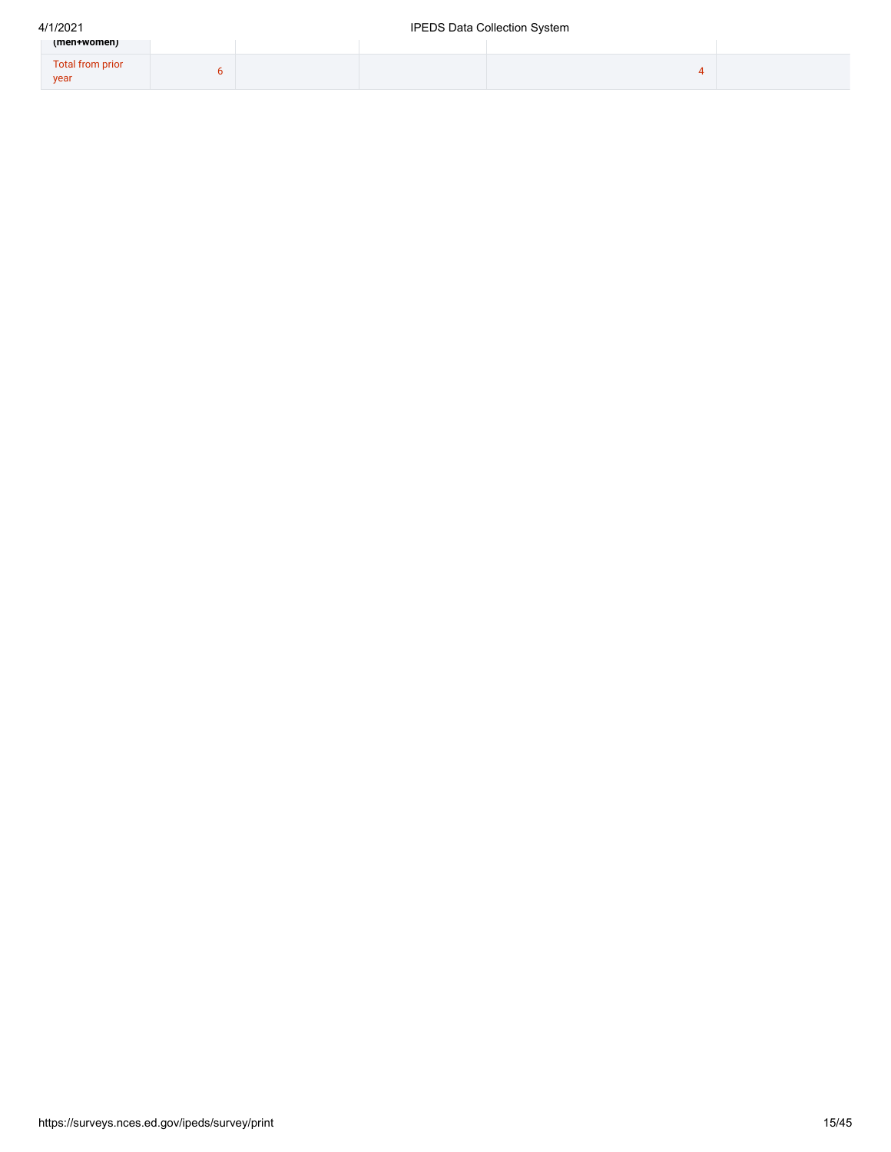| (men+women)              |  |  |  |
|--------------------------|--|--|--|
| Total from prior<br>year |  |  |  |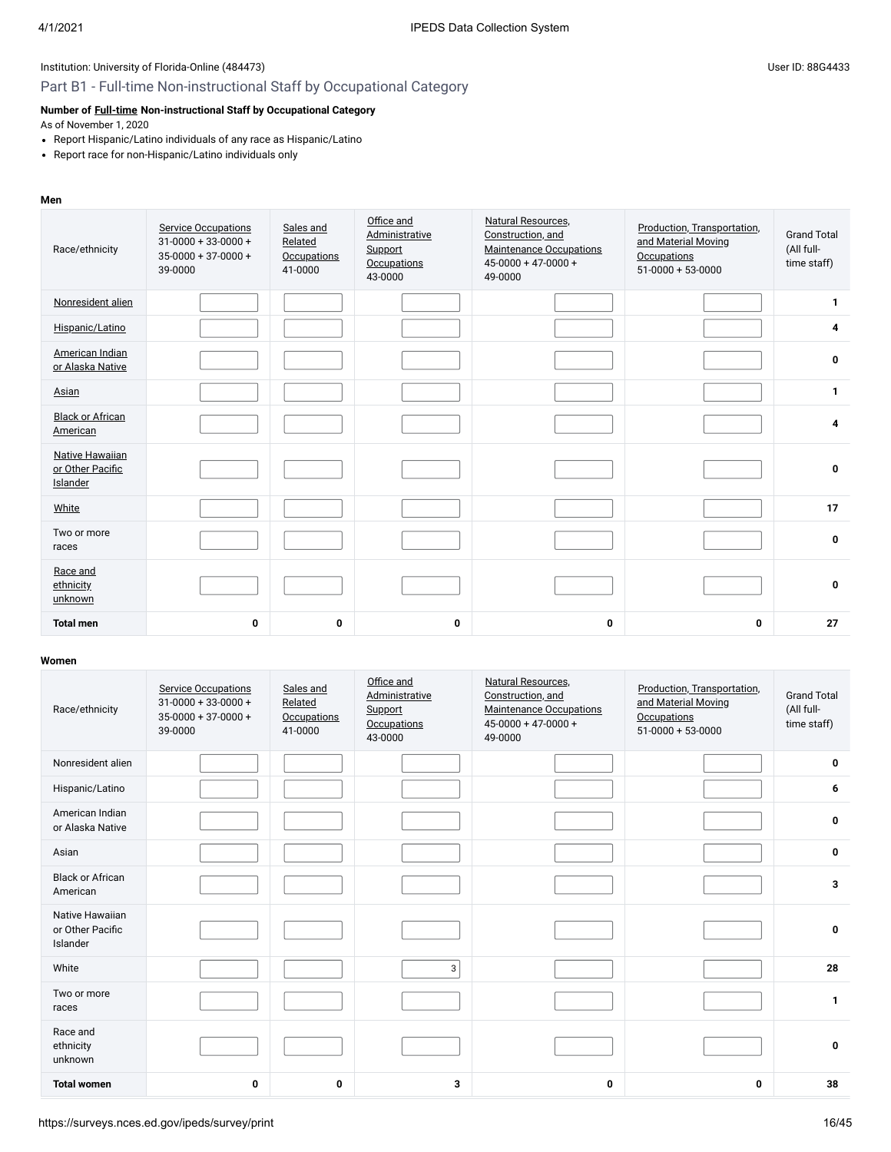### Part B1 - Full-time Non-instructional Staff by Occupational Category

### **Number of [Full-time](javascript:openglossary(257)) Non-instructional Staff by Occupational Category**

As of November 1, 2020

- Report Hispanic/Latino individuals of any race as Hispanic/Latino
- Report race for non-Hispanic/Latino individuals only

#### **Men**

| Race/ethnicity                                  | <b>Service Occupations</b><br>$31 - 0000 + 33 - 0000 +$<br>$35-0000+37-0000+$<br>39-0000 | Sales and<br>Related<br><b>Occupations</b><br>41-0000 | Office and<br><b>Administrative</b><br>Support<br><b>Occupations</b><br>43-0000 | Natural Resources,<br>Construction, and<br><b>Maintenance Occupations</b><br>$45 - 0000 + 47 - 0000 +$<br>49-0000 | Production, Transportation,<br>and Material Moving<br>Occupations<br>$51-0000 + 53-0000$ | <b>Grand Total</b><br>(All full-<br>time staff) |
|-------------------------------------------------|------------------------------------------------------------------------------------------|-------------------------------------------------------|---------------------------------------------------------------------------------|-------------------------------------------------------------------------------------------------------------------|------------------------------------------------------------------------------------------|-------------------------------------------------|
| Nonresident alien                               |                                                                                          |                                                       |                                                                                 |                                                                                                                   |                                                                                          | 1                                               |
| Hispanic/Latino                                 |                                                                                          |                                                       |                                                                                 |                                                                                                                   |                                                                                          | 4                                               |
| American Indian<br>or Alaska Native             |                                                                                          |                                                       |                                                                                 |                                                                                                                   |                                                                                          | 0                                               |
| Asian                                           |                                                                                          |                                                       |                                                                                 |                                                                                                                   |                                                                                          | $\mathbf{1}$                                    |
| <b>Black or African</b><br>American             |                                                                                          |                                                       |                                                                                 |                                                                                                                   |                                                                                          | 4                                               |
| Native Hawaiian<br>or Other Pacific<br>Islander |                                                                                          |                                                       |                                                                                 |                                                                                                                   |                                                                                          | 0                                               |
| White                                           |                                                                                          |                                                       |                                                                                 |                                                                                                                   |                                                                                          | 17                                              |
| Two or more<br>races                            |                                                                                          |                                                       |                                                                                 |                                                                                                                   |                                                                                          | $\mathbf{0}$                                    |
| Race and<br>ethnicity<br>unknown                |                                                                                          |                                                       |                                                                                 |                                                                                                                   |                                                                                          | 0                                               |
| <b>Total men</b>                                | 0                                                                                        | 0                                                     | $\mathbf 0$                                                                     | 0                                                                                                                 | 0                                                                                        | 27                                              |

| Race/ethnicity                                  | <b>Service Occupations</b><br>$31 - 0000 + 33 - 0000 +$<br>$35-0000+37-0000+$<br>39-0000 | Sales and<br>Related<br><b>Occupations</b><br>41-0000 | Office and<br>Administrative<br>Support<br><b>Occupations</b><br>43-0000 | <b>Natural Resources,</b><br>Construction, and<br><b>Maintenance Occupations</b><br>$45 - 0000 + 47 - 0000 +$<br>49-0000 | Production, Transportation,<br>and Material Moving<br><b>Occupations</b><br>$51-0000 + 53-0000$ | <b>Grand Total</b><br>(All full-<br>time staff) |
|-------------------------------------------------|------------------------------------------------------------------------------------------|-------------------------------------------------------|--------------------------------------------------------------------------|--------------------------------------------------------------------------------------------------------------------------|-------------------------------------------------------------------------------------------------|-------------------------------------------------|
| Nonresident alien                               |                                                                                          |                                                       |                                                                          |                                                                                                                          |                                                                                                 | 0                                               |
| Hispanic/Latino                                 |                                                                                          |                                                       |                                                                          |                                                                                                                          |                                                                                                 | 6                                               |
| American Indian<br>or Alaska Native             |                                                                                          |                                                       |                                                                          |                                                                                                                          |                                                                                                 | $\mathbf 0$                                     |
| Asian                                           |                                                                                          |                                                       |                                                                          |                                                                                                                          |                                                                                                 | $\mathbf 0$                                     |
| <b>Black or African</b><br>American             |                                                                                          |                                                       |                                                                          |                                                                                                                          |                                                                                                 | 3                                               |
| Native Hawaiian<br>or Other Pacific<br>Islander |                                                                                          |                                                       |                                                                          |                                                                                                                          |                                                                                                 | $\mathbf 0$                                     |
| White                                           |                                                                                          |                                                       | 3                                                                        |                                                                                                                          |                                                                                                 | 28                                              |
| Two or more<br>races                            |                                                                                          |                                                       |                                                                          |                                                                                                                          |                                                                                                 | $\mathbf{1}$                                    |
| Race and<br>ethnicity<br>unknown                |                                                                                          |                                                       |                                                                          |                                                                                                                          |                                                                                                 | $\mathbf 0$                                     |
| <b>Total women</b>                              | 0                                                                                        | 0                                                     | 3                                                                        | 0                                                                                                                        | $\mathbf 0$                                                                                     | 38                                              |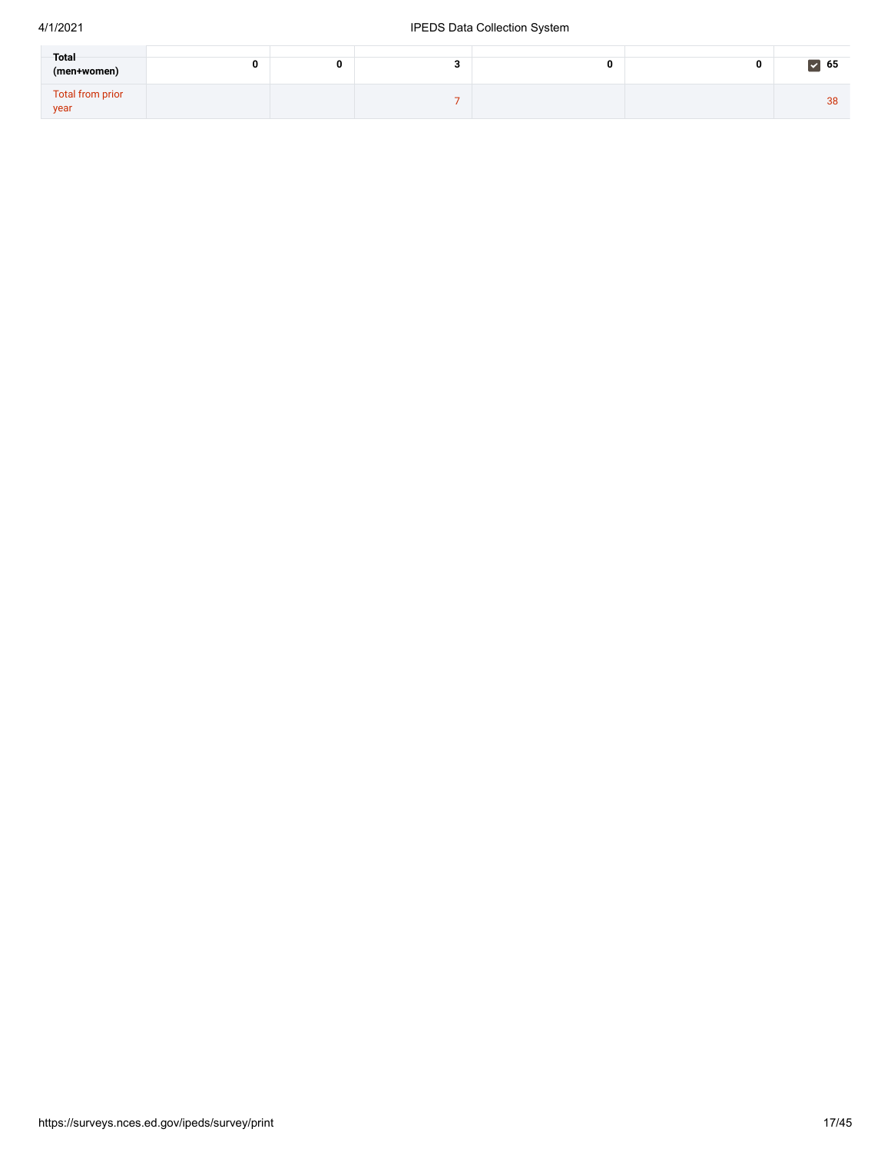| Total<br>(men+women)     |  |  | $\triangleright$ 65 |
|--------------------------|--|--|---------------------|
| Total from prior<br>year |  |  | 38                  |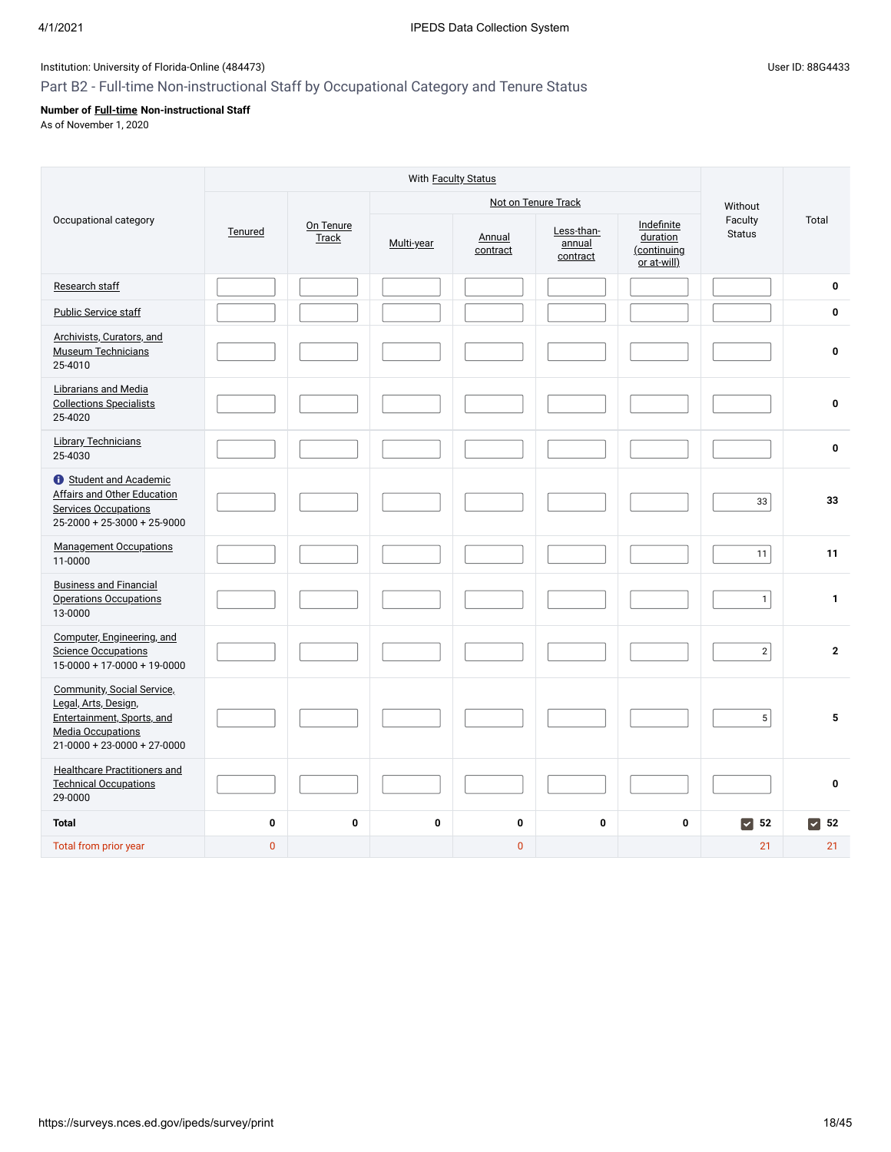# Part B2 - Full-time Non-instructional Staff by Occupational Category and Tenure Status

# **Number of [Full-time](javascript:openglossary(257)) Non-instructional Staff**

As of November 1, 2020

|                                                                                                                                                      |                |                    |            |                    | Not on Tenure Track              |                                                      | Without                                |                |
|------------------------------------------------------------------------------------------------------------------------------------------------------|----------------|--------------------|------------|--------------------|----------------------------------|------------------------------------------------------|----------------------------------------|----------------|
| Occupational category                                                                                                                                | Tenured        | On Tenure<br>Track | Multi-year | Annual<br>contract | Less-than-<br>annual<br>contract | Indefinite<br>duration<br>(continuing<br>or at-will) | Faculty<br><b>Status</b>               | Total          |
| Research staff                                                                                                                                       |                |                    |            |                    |                                  |                                                      |                                        | $\bf{0}$       |
| <b>Public Service staff</b>                                                                                                                          |                |                    |            |                    |                                  |                                                      |                                        | $\mathbf 0$    |
| Archivists, Curators, and<br><b>Museum Technicians</b><br>25-4010                                                                                    |                |                    |            |                    |                                  |                                                      |                                        | $\mathbf 0$    |
| Librarians and Media<br><b>Collections Specialists</b><br>25-4020                                                                                    |                |                    |            |                    |                                  |                                                      |                                        | $\mathbf 0$    |
| <b>Library Technicians</b><br>25-4030                                                                                                                |                |                    |            |                    |                                  |                                                      |                                        | $\bf{0}$       |
| <b>t</b> Student and Academic<br>Affairs and Other Education<br><b>Services Occupations</b><br>25-2000 + 25-3000 + 25-9000                           |                |                    |            |                    |                                  |                                                      | 33                                     | 33             |
| <b>Management Occupations</b><br>11-0000                                                                                                             |                |                    |            |                    |                                  |                                                      | 11                                     | 11             |
| <b>Business and Financial</b><br><b>Operations Occupations</b><br>13-0000                                                                            |                |                    |            |                    |                                  |                                                      | $\mathbf{1}$                           | $\mathbf{1}$   |
| Computer, Engineering, and<br><b>Science Occupations</b><br>$15-0000 + 17-0000 + 19-0000$                                                            |                |                    |            |                    |                                  |                                                      | $\mathbf 2$                            | $\overline{2}$ |
| <b>Community, Social Service,</b><br>Legal, Arts, Design,<br>Entertainment, Sports, and<br><b>Media Occupations</b><br>$21-0000 + 23-0000 + 27-0000$ |                |                    |            |                    |                                  |                                                      | $\mathbf 5$                            | 5              |
| <b>Healthcare Practitioners and</b><br><b>Technical Occupations</b><br>29-0000                                                                       |                |                    |            |                    |                                  |                                                      |                                        | $\mathbf{0}$   |
| <b>Total</b>                                                                                                                                         | $\pmb{0}$      | $\mathbf 0$        | 0          | 0                  | $\mathbf 0$                      | $\mathbf 0$                                          | $\vert \bm{\triangledown} \vert$<br>52 | $\sqrt{52}$    |
| Total from prior year                                                                                                                                | $\overline{0}$ |                    |            | $\overline{0}$     |                                  |                                                      | 21                                     | 21             |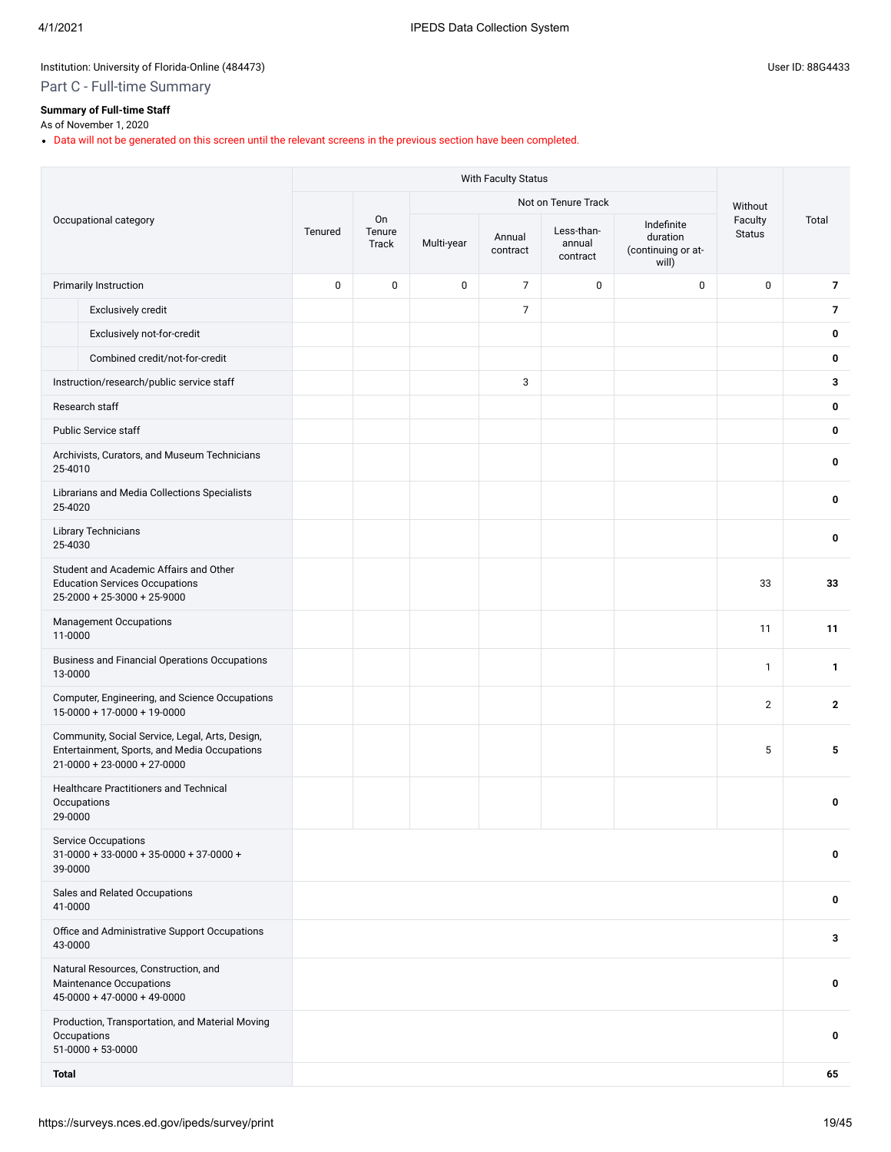# Part C - Full-time Summary

## **Summary of Full-time Staff**

### As of November 1, 2020

Data will not be generated on this screen until the relevant screens in the previous section have been completed.

|              |                                                                                                                                  |           |                       |            |                    | Not on Tenure Track              |                                                       | Without                  |                |
|--------------|----------------------------------------------------------------------------------------------------------------------------------|-----------|-----------------------|------------|--------------------|----------------------------------|-------------------------------------------------------|--------------------------|----------------|
|              | Occupational category                                                                                                            | Tenured   | On<br>Tenure<br>Track | Multi-year | Annual<br>contract | Less-than-<br>annual<br>contract | Indefinite<br>duration<br>(continuing or at-<br>will) | Faculty<br><b>Status</b> | Total          |
|              | <b>Primarily Instruction</b>                                                                                                     | $\pmb{0}$ | $\pmb{0}$             | 0          | $\overline{7}$     | $\mathbf 0$                      | $\mathbf 0$                                           | 0                        | $\overline{7}$ |
|              | Exclusively credit                                                                                                               |           |                       |            | $\overline{7}$     |                                  |                                                       |                          | $\overline{7}$ |
|              | Exclusively not-for-credit                                                                                                       |           |                       |            |                    |                                  |                                                       |                          | 0              |
|              | Combined credit/not-for-credit                                                                                                   |           |                       |            |                    |                                  |                                                       |                          | 0              |
|              | Instruction/research/public service staff                                                                                        |           |                       |            | 3                  |                                  |                                                       |                          | 3              |
|              | Research staff                                                                                                                   |           |                       |            |                    |                                  |                                                       |                          | 0              |
|              | <b>Public Service staff</b>                                                                                                      |           |                       |            |                    |                                  |                                                       |                          | 0              |
| 25-4010      | Archivists, Curators, and Museum Technicians                                                                                     |           |                       |            |                    |                                  |                                                       |                          | 0              |
| 25-4020      | Librarians and Media Collections Specialists                                                                                     |           |                       |            |                    |                                  |                                                       |                          | 0              |
| 25-4030      | <b>Library Technicians</b>                                                                                                       |           |                       |            |                    |                                  |                                                       |                          | 0              |
|              | Student and Academic Affairs and Other<br><b>Education Services Occupations</b><br>$25-2000 + 25-3000 + 25-9000$                 |           |                       |            |                    |                                  |                                                       | 33                       | 33             |
| 11-0000      | <b>Management Occupations</b>                                                                                                    |           |                       |            |                    |                                  |                                                       | 11                       | 11             |
| 13-0000      | <b>Business and Financial Operations Occupations</b>                                                                             |           |                       |            |                    |                                  |                                                       | $\mathbf{1}$             | 1              |
|              | Computer, Engineering, and Science Occupations<br>$15-0000 + 17-0000 + 19-0000$                                                  |           |                       |            |                    |                                  |                                                       | $\mathbf{2}$             | $\overline{2}$ |
|              | Community, Social Service, Legal, Arts, Design,<br>Entertainment, Sports, and Media Occupations<br>$21-0000 + 23-0000 + 27-0000$ |           |                       |            |                    |                                  |                                                       | 5                        | 5              |
| 29-0000      | Healthcare Practitioners and Technical<br>Occupations                                                                            |           |                       |            |                    |                                  |                                                       |                          | 0              |
| 39-0000      | <b>Service Occupations</b><br>$31-0000 + 33-0000 + 35-0000 + 37-0000 +$                                                          |           |                       |            |                    |                                  |                                                       |                          | 0              |
| 41-0000      | Sales and Related Occupations                                                                                                    |           |                       |            |                    |                                  |                                                       |                          | 0              |
| 43-0000      | Office and Administrative Support Occupations                                                                                    |           |                       |            |                    |                                  |                                                       |                          | 3              |
|              | Natural Resources, Construction, and<br>Maintenance Occupations<br>$45-0000 + 47-0000 + 49-0000$                                 |           |                       |            |                    |                                  |                                                       |                          | 0              |
|              | Production, Transportation, and Material Moving<br>Occupations<br>$51-0000 + 53-0000$                                            |           |                       |            |                    |                                  |                                                       |                          | 0              |
| <b>Total</b> |                                                                                                                                  |           |                       |            |                    |                                  |                                                       |                          | 65             |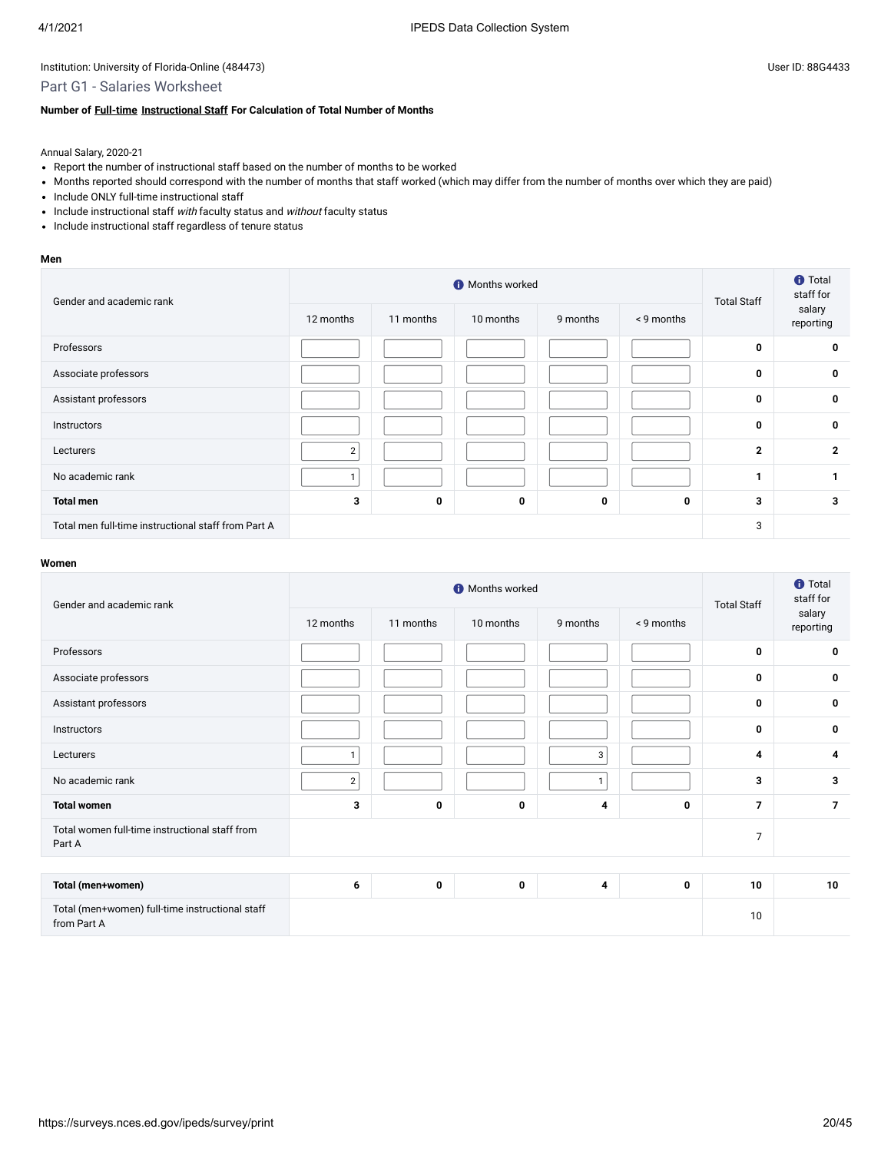# Part G1 - Salaries Worksheet

### **Number of [Full-time](javascript:openglossary(257)) [Instructional Staff](javascript:openglossary(996)) For Calculation of Total Number of Months**

Annual Salary, 2020-21

- Report the number of instructional staff based on the number of months to be worked
- Months reported should correspond with the number of months that staff worked (which may differ from the number of months over which they are paid)
- Include ONLY full-time instructional staff
- Include instructional staff with faculty status and without faculty status
- Include instructional staff regardless of tenure status

#### **Men**

| Gender and academic rank                            |                | <b>O</b> Months worked |             | <b>Total Staff</b> | <b>f</b> Total<br>staff for |              |                     |
|-----------------------------------------------------|----------------|------------------------|-------------|--------------------|-----------------------------|--------------|---------------------|
|                                                     | 12 months      | 11 months              | 10 months   | 9 months           | < 9 months                  |              | salary<br>reporting |
| Professors                                          |                |                        |             |                    |                             | 0            | 0                   |
| Associate professors                                |                |                        |             |                    |                             | $\mathbf 0$  | 0                   |
| Assistant professors                                |                |                        |             |                    |                             | $\mathbf 0$  | 0                   |
| Instructors                                         |                |                        |             |                    |                             | $\mathbf 0$  | $\mathbf 0$         |
| Lecturers                                           | $\overline{2}$ |                        |             |                    |                             | $\mathbf{2}$ | $\mathbf{2}$        |
| No academic rank                                    |                |                        |             |                    |                             |              |                     |
| <b>Total men</b>                                    | 3              | 0                      | $\mathbf 0$ | 0                  | 0                           | 3            | 3                   |
| Total men full-time instructional staff from Part A |                |                        |             |                    |                             | 3            |                     |

| Gender and academic rank                                       |                | <b>O</b> Months worked |           | <b>Total Staff</b> | <b>f</b> Total<br>staff for |                |                     |
|----------------------------------------------------------------|----------------|------------------------|-----------|--------------------|-----------------------------|----------------|---------------------|
|                                                                | 12 months      | 11 months              | 10 months | 9 months           | < 9 months                  |                | salary<br>reporting |
| Professors                                                     |                |                        |           |                    |                             | $\mathbf 0$    | 0                   |
| Associate professors                                           |                |                        |           |                    |                             | $\mathbf 0$    | 0                   |
| Assistant professors                                           |                |                        |           |                    |                             | $\mathbf 0$    | 0                   |
| Instructors                                                    |                |                        |           |                    |                             | $\mathbf 0$    | $\mathbf 0$         |
| Lecturers                                                      | 1              |                        |           | 3                  |                             | $\overline{4}$ | 4                   |
| No academic rank                                               | $\overline{2}$ |                        |           | $\mathbf{I}$       |                             | 3              | 3                   |
| <b>Total women</b>                                             | 3              | 0                      | 0         | 4                  | 0                           | $\overline{7}$ | $\overline{7}$      |
| Total women full-time instructional staff from<br>Part A       |                |                        |           |                    |                             |                |                     |
|                                                                |                |                        |           |                    |                             |                |                     |
| Total (men+women)                                              | 6              | 0                      | 0         | 4                  | 0                           | 10             | 10                  |
| Total (men+women) full-time instructional staff<br>from Part A |                |                        |           |                    |                             | 10             |                     |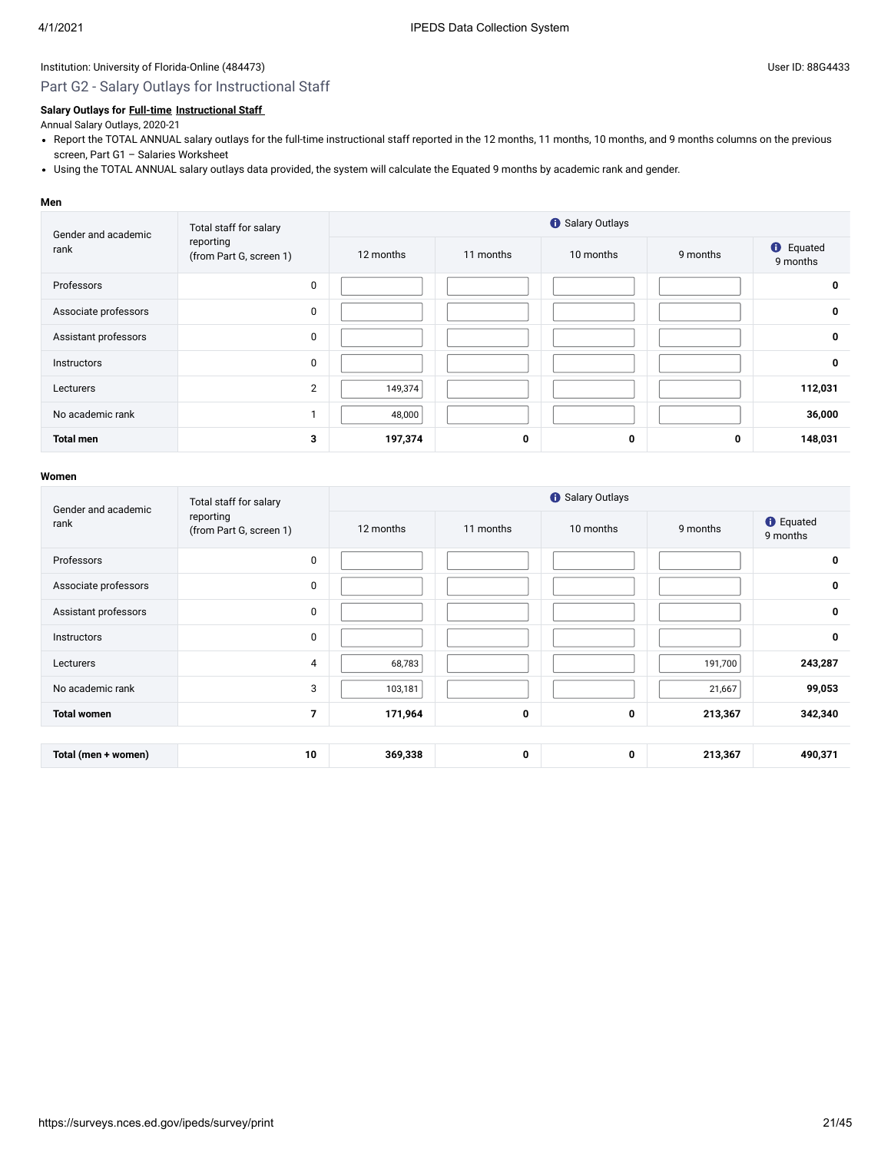### Part G2 - Salary Outlays for Instructional Staff

#### **Salary Outlays for [Full-time](javascript:openglossary(257)) [Instructional Staff](javascript:openglossary(996))**

Annual Salary Outlays, 2020-21

- Report the TOTAL ANNUAL salary outlays for the full-time instructional staff reported in the 12 months, 11 months, 10 months, and 9 months columns on the previous screen, Part G1 – Salaries Worksheet
- Using the TOTAL ANNUAL salary outlays data provided, the system will calculate the Equated 9 months by academic rank and gender.

#### **Men**

| Gender and academic  | Total staff for salary<br>reporting<br>(from Part G, screen 1) |           | <b>6</b> Salary Outlays |           |          |                              |  |  |  |  |
|----------------------|----------------------------------------------------------------|-----------|-------------------------|-----------|----------|------------------------------|--|--|--|--|
| rank                 |                                                                | 12 months | 11 months               | 10 months | 9 months | <b>O</b> Equated<br>9 months |  |  |  |  |
| Professors           | $\pmb{0}$                                                      |           |                         |           |          | 0                            |  |  |  |  |
| Associate professors | 0                                                              |           |                         |           |          | $\mathbf 0$                  |  |  |  |  |
| Assistant professors | 0                                                              |           |                         |           |          | $\mathbf 0$                  |  |  |  |  |
| <b>Instructors</b>   | $\mathbf{0}$                                                   |           |                         |           |          | $\mathbf 0$                  |  |  |  |  |
| Lecturers            | 2                                                              | 149,374   |                         |           |          | 112,031                      |  |  |  |  |
| No academic rank     |                                                                | 48,000    |                         |           |          | 36,000                       |  |  |  |  |
| <b>Total men</b>     | 3                                                              | 197,374   | 0                       | 0         | 0        | 148,031                      |  |  |  |  |

| Gender and academic  | Total staff for salary               |           | <b>O</b> Salary Outlays |             |          |                              |  |  |  |  |  |
|----------------------|--------------------------------------|-----------|-------------------------|-------------|----------|------------------------------|--|--|--|--|--|
| rank                 | reporting<br>(from Part G, screen 1) | 12 months | 11 months               | 10 months   | 9 months | <b>O</b> Equated<br>9 months |  |  |  |  |  |
| Professors           | $\pmb{0}$                            |           |                         |             |          | $\mathbf 0$                  |  |  |  |  |  |
| Associate professors | $\pmb{0}$                            |           |                         |             |          | $\mathbf 0$                  |  |  |  |  |  |
| Assistant professors | $\mathbf{0}$                         |           |                         |             |          | $\mathbf 0$                  |  |  |  |  |  |
| <b>Instructors</b>   | $\mathbf 0$                          |           |                         |             |          | $\mathbf 0$                  |  |  |  |  |  |
| Lecturers            | 4                                    | 68,783    |                         |             | 191,700  | 243,287                      |  |  |  |  |  |
| No academic rank     | 3                                    | 103,181   |                         |             | 21,667   | 99,053                       |  |  |  |  |  |
| <b>Total women</b>   | $\overline{7}$                       | 171,964   | 0                       | $\mathbf 0$ | 213,367  | 342,340                      |  |  |  |  |  |
|                      |                                      |           |                         |             |          |                              |  |  |  |  |  |
| Total (men + women)  | 10                                   | 369,338   | 0                       | $\mathbf 0$ | 213,367  | 490,371                      |  |  |  |  |  |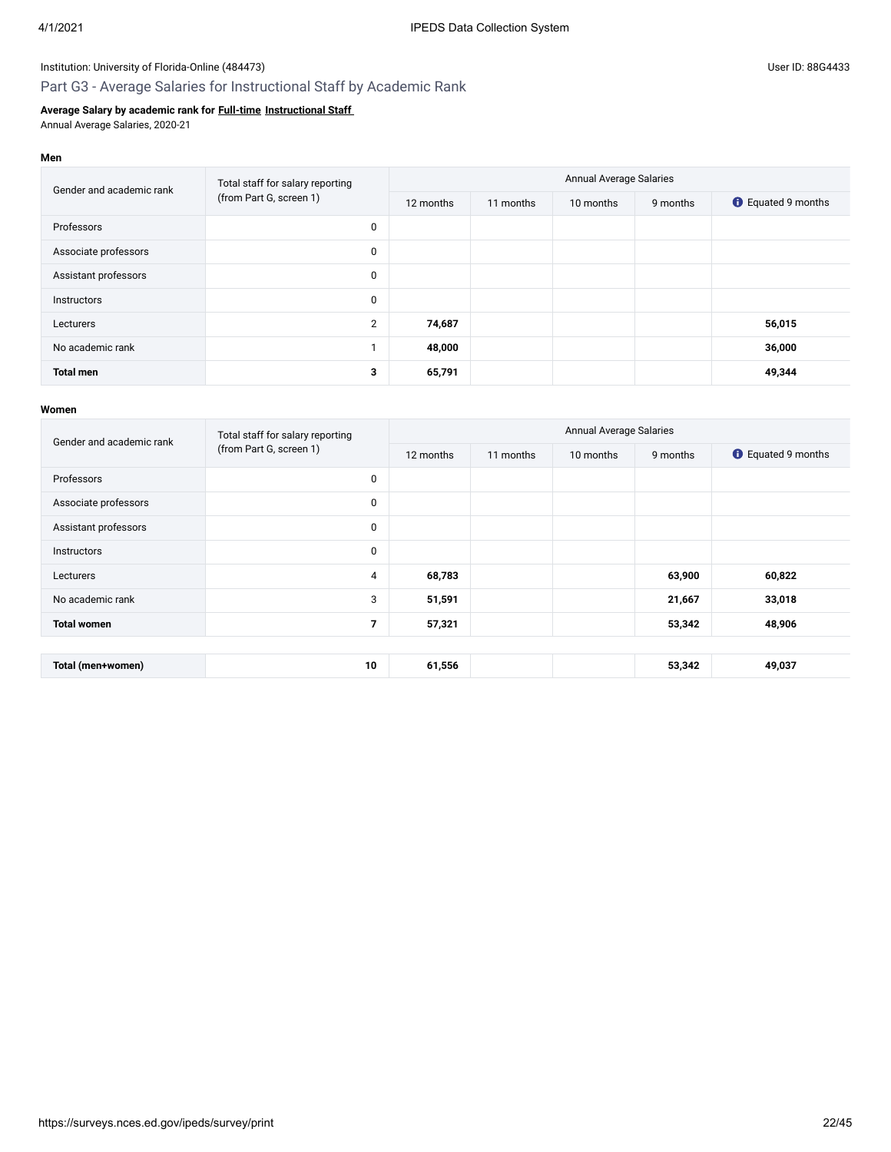**Men**

### Institution: University of Florida-Online (484473) Channel Assembly Diser ID: 88G4433

## Part G3 - Average Salaries for Instructional Staff by Academic Rank

### **Average Salary by academic rank for [Full-time](javascript:openglossary(257)) [Instructional Staff](javascript:openglossary(996))**

Annual Average Salaries, 2020-21

| Gender and academic rank | Total staff for salary reporting | <b>Annual Average Salaries</b> |           |           |          |                           |  |  |
|--------------------------|----------------------------------|--------------------------------|-----------|-----------|----------|---------------------------|--|--|
|                          | (from Part G, screen 1)          | 12 months                      | 11 months | 10 months | 9 months | <b>C</b> Equated 9 months |  |  |
| Professors               | 0                                |                                |           |           |          |                           |  |  |
| Associate professors     | 0                                |                                |           |           |          |                           |  |  |
| Assistant professors     | 0                                |                                |           |           |          |                           |  |  |
| Instructors              | 0                                |                                |           |           |          |                           |  |  |
| Lecturers                | $\overline{2}$                   | 74,687                         |           |           |          | 56,015                    |  |  |
| No academic rank         |                                  | 48,000                         |           |           |          | 36,000                    |  |  |
| <b>Total men</b>         | 3                                | 65,791                         |           |           |          | 49,344                    |  |  |

| Gender and academic rank | Total staff for salary reporting | <b>Annual Average Salaries</b> |           |           |          |                           |  |  |
|--------------------------|----------------------------------|--------------------------------|-----------|-----------|----------|---------------------------|--|--|
|                          | (from Part G, screen 1)          | 12 months                      | 11 months | 10 months | 9 months | <b>C</b> Equated 9 months |  |  |
| Professors               | 0                                |                                |           |           |          |                           |  |  |
| Associate professors     | $\mathbf 0$                      |                                |           |           |          |                           |  |  |
| Assistant professors     | 0                                |                                |           |           |          |                           |  |  |
| <b>Instructors</b>       | $\mathbf 0$                      |                                |           |           |          |                           |  |  |
| Lecturers                | 4                                | 68,783                         |           |           | 63,900   | 60,822                    |  |  |
| No academic rank         | 3                                | 51,591                         |           |           | 21,667   | 33,018                    |  |  |
| <b>Total women</b>       | $\overline{7}$                   | 57,321                         |           |           | 53,342   | 48,906                    |  |  |
|                          |                                  |                                |           |           |          |                           |  |  |
| Total (men+women)        | 10                               | 61,556                         |           |           | 53,342   | 49,037                    |  |  |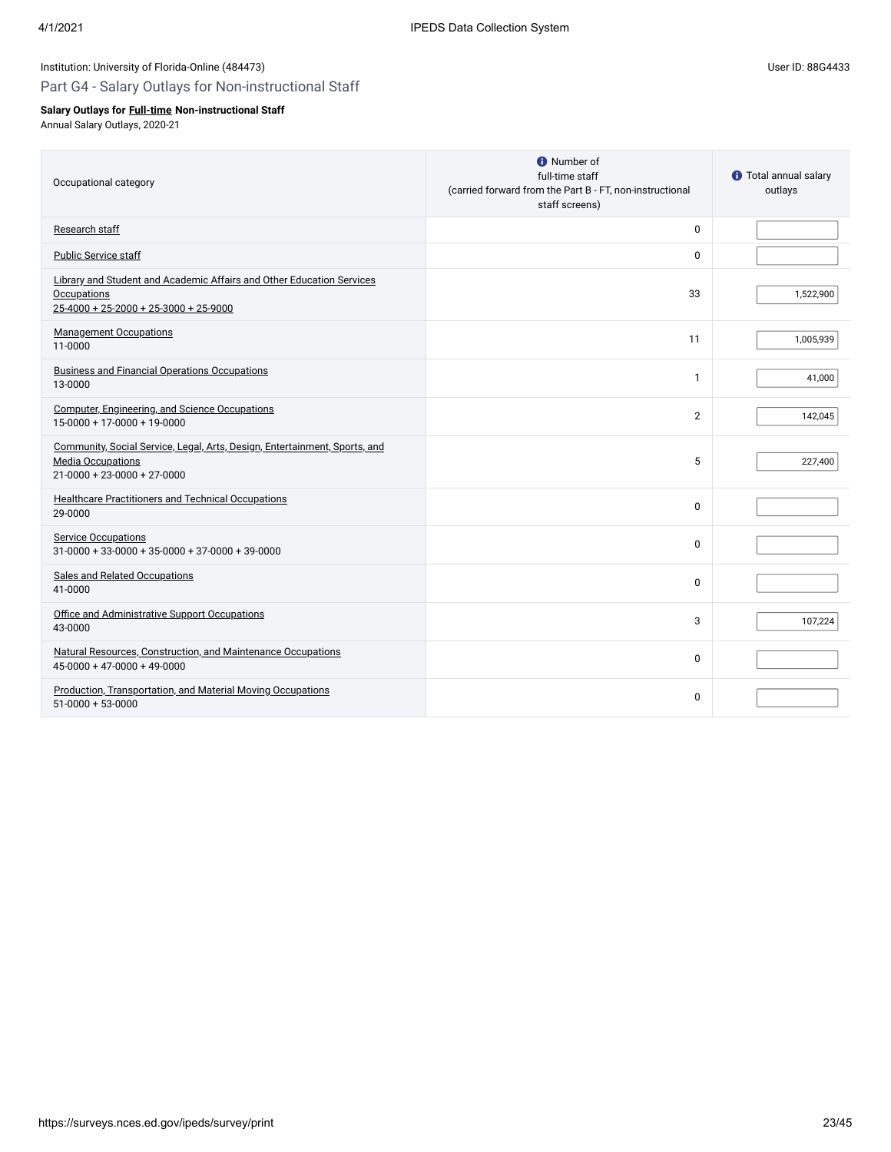## Part G4 - Salary Outlays for Non-instructional Staff

## **Salary Outlays for [Full-time](javascript:openglossary(257)) Non-instructional Staff**

Annual Salary Outlays, 2020-21

| Occupational category                                                                                                                          | <b>O</b> Number of<br>full-time staff<br>(carried forward from the Part B - FT, non-instructional<br>staff screens) | <b>1</b> Total annual salary<br>outlays |
|------------------------------------------------------------------------------------------------------------------------------------------------|---------------------------------------------------------------------------------------------------------------------|-----------------------------------------|
| Research staff                                                                                                                                 | 0                                                                                                                   |                                         |
| Public Service staff                                                                                                                           | 0                                                                                                                   |                                         |
| Library and Student and Academic Affairs and Other Education Services<br><b>Occupations</b><br>$25 - 4000 + 25 - 2000 + 25 - 3000 + 25 - 9000$ | 33                                                                                                                  | 1,522,900                               |
| <b>Management Occupations</b><br>11-0000                                                                                                       | 11                                                                                                                  | 1,005,939                               |
| <b>Business and Financial Operations Occupations</b><br>13-0000                                                                                | $\mathbf{1}$                                                                                                        | 41,000                                  |
| Computer, Engineering, and Science Occupations<br>15-0000 + 17-0000 + 19-0000                                                                  | $\overline{2}$                                                                                                      | 142,045                                 |
| Community, Social Service, Legal, Arts, Design, Entertainment, Sports, and<br><b>Media Occupations</b><br>$21-0000 + 23-0000 + 27-0000$        | 5                                                                                                                   | 227,400                                 |
| Healthcare Practitioners and Technical Occupations<br>29-0000                                                                                  | 0                                                                                                                   |                                         |
| <b>Service Occupations</b><br>$31-0000 + 33-0000 + 35-0000 + 37-0000 + 39-0000$                                                                | $\Omega$                                                                                                            |                                         |
| Sales and Related Occupations<br>41-0000                                                                                                       | $\Omega$                                                                                                            |                                         |
| Office and Administrative Support Occupations<br>43-0000                                                                                       | 3                                                                                                                   | 107,224                                 |
| Natural Resources, Construction, and Maintenance Occupations<br>$45-0000 + 47-0000 + 49-0000$                                                  | 0                                                                                                                   |                                         |
| Production, Transportation, and Material Moving Occupations<br>$51-0000 + 53-0000$                                                             | 0                                                                                                                   |                                         |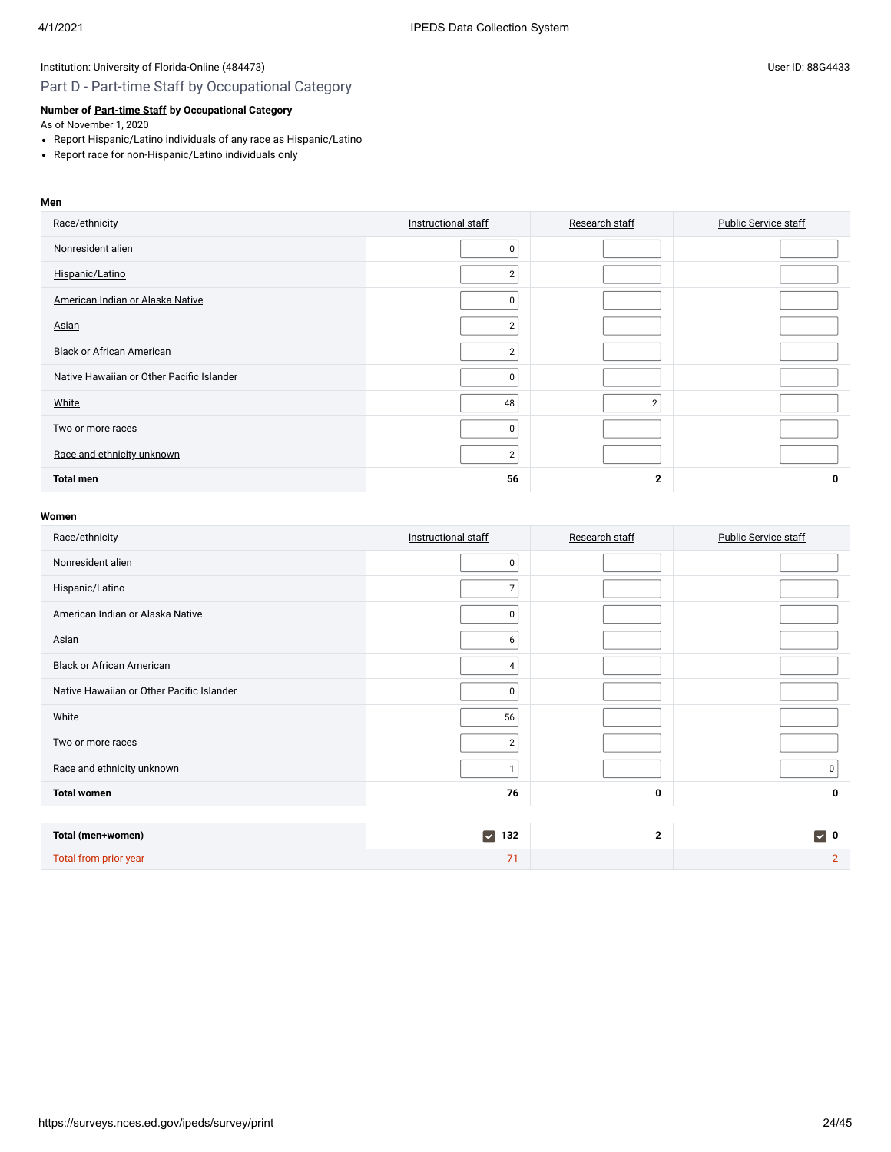## Part D - Part-time Staff by Occupational Category

### **Number of [Part-time Staff](javascript:openglossary(467)) by Occupational Category**

As of November 1, 2020

- Report Hispanic/Latino individuals of any race as Hispanic/Latino
- Report race for non-Hispanic/Latino individuals only

### **Men**

| Race/ethnicity                            | Instructional staff | Research staff | <b>Public Service staff</b> |
|-------------------------------------------|---------------------|----------------|-----------------------------|
| Nonresident alien                         | 0                   |                |                             |
| Hispanic/Latino                           | $\overline{2}$      |                |                             |
| American Indian or Alaska Native          | $\Omega$            |                |                             |
| Asian                                     | $\overline{2}$      |                |                             |
| <b>Black or African American</b>          | $\overline{2}$      |                |                             |
| Native Hawaiian or Other Pacific Islander | 0                   |                |                             |
| White                                     | 48                  | $\overline{2}$ |                             |
| Two or more races                         | 0                   |                |                             |
| Race and ethnicity unknown                | $\overline{2}$      |                |                             |
| <b>Total men</b>                          | 56                  | $\mathbf{2}$   | 0                           |

| Race/ethnicity                            | Instructional staff         | Research staff | <b>Public Service staff</b> |
|-------------------------------------------|-----------------------------|----------------|-----------------------------|
| Nonresident alien                         | 0                           |                |                             |
| Hispanic/Latino                           | $\overline{7}$              |                |                             |
| American Indian or Alaska Native          | 0                           |                |                             |
| Asian                                     | 6                           |                |                             |
| <b>Black or African American</b>          | 4                           |                |                             |
| Native Hawaiian or Other Pacific Islander | 0                           |                |                             |
| White                                     | 56                          |                |                             |
| Two or more races                         | $\sqrt{2}$                  |                |                             |
| Race and ethnicity unknown                | 1                           |                | 0 <sup>1</sup>              |
| <b>Total women</b>                        | 76                          | $\mathbf 0$    | $\mathbf 0$                 |
|                                           |                             |                |                             |
| Total (men+women)                         | $\blacktriangledown$<br>132 | $\mathbf{2}$   | $\triangledown$ 0           |
| Total from prior year                     | 71                          |                | $\overline{2}$              |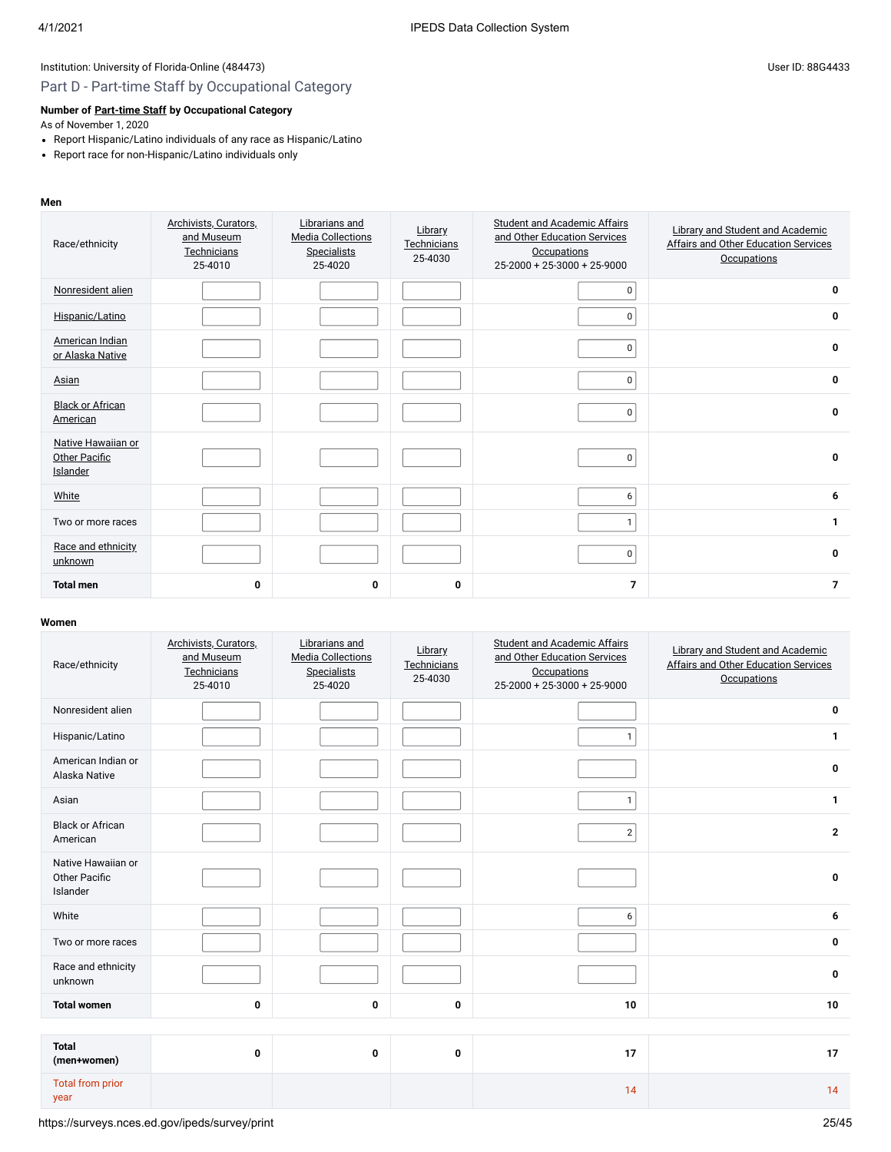# Part D - Part-time Staff by Occupational Category

#### **Number of [Part-time Staff](javascript:openglossary(467)) by Occupational Category**

As of November 1, 2020

- Report Hispanic/Latino individuals of any race as Hispanic/Latino
- Report race for non-Hispanic/Latino individuals only

#### **Men**

| Race/ethnicity                                         | Archivists, Curators,<br>and Museum<br>Technicians<br>25-4010 | Librarians and<br><b>Media Collections</b><br><b>Specialists</b><br>25-4020 | Library<br>Technicians<br>25-4030 | <b>Student and Academic Affairs</b><br>and Other Education Services<br>Occupations<br>$25-2000 + 25-3000 + 25-9000$ | Library and Student and Academic<br><b>Affairs and Other Education Services</b><br><b>Occupations</b> |
|--------------------------------------------------------|---------------------------------------------------------------|-----------------------------------------------------------------------------|-----------------------------------|---------------------------------------------------------------------------------------------------------------------|-------------------------------------------------------------------------------------------------------|
| Nonresident alien                                      |                                                               |                                                                             |                                   | 0                                                                                                                   | 0                                                                                                     |
| Hispanic/Latino                                        |                                                               |                                                                             |                                   | 0                                                                                                                   | 0                                                                                                     |
| American Indian<br>or Alaska Native                    |                                                               |                                                                             |                                   | 0                                                                                                                   | 0                                                                                                     |
| Asian                                                  |                                                               |                                                                             |                                   | 0                                                                                                                   | 0                                                                                                     |
| <b>Black or African</b><br>American                    |                                                               |                                                                             |                                   | 0                                                                                                                   | 0                                                                                                     |
| Native Hawaiian or<br>Other Pacific<br><b>Islander</b> |                                                               |                                                                             |                                   | 0                                                                                                                   | $\mathbf{0}$                                                                                          |
| White                                                  |                                                               |                                                                             |                                   | 6                                                                                                                   | 6                                                                                                     |
| Two or more races                                      |                                                               |                                                                             |                                   | $\mathbf{1}$                                                                                                        | $\mathbf{1}$                                                                                          |
| Race and ethnicity<br>unknown                          |                                                               |                                                                             |                                   | 0                                                                                                                   | $\mathbf{0}$                                                                                          |
| <b>Total men</b>                                       | 0                                                             | 0                                                                           | 0                                 | $\overline{7}$                                                                                                      | $\overline{7}$                                                                                        |

| Race/ethnicity                                         | Archivists, Curators,<br>and Museum<br>Technicians<br>25-4010 | Librarians and<br><b>Media Collections</b><br><b>Specialists</b><br>25-4020 | Library<br>Technicians<br>25-4030 | <b>Student and Academic Affairs</b><br>and Other Education Services<br><b>Occupations</b><br>$25-2000 + 25-3000 + 25-9000$ | Library and Student and Academic<br><b>Affairs and Other Education Services</b><br><b>Occupations</b> |
|--------------------------------------------------------|---------------------------------------------------------------|-----------------------------------------------------------------------------|-----------------------------------|----------------------------------------------------------------------------------------------------------------------------|-------------------------------------------------------------------------------------------------------|
| Nonresident alien                                      |                                                               |                                                                             |                                   |                                                                                                                            | 0                                                                                                     |
| Hispanic/Latino                                        |                                                               |                                                                             |                                   | $\mathbf{1}$                                                                                                               | 1                                                                                                     |
| American Indian or<br>Alaska Native                    |                                                               |                                                                             |                                   |                                                                                                                            | 0                                                                                                     |
| Asian                                                  |                                                               |                                                                             |                                   | $\mathbf{1}$                                                                                                               | 1                                                                                                     |
| <b>Black or African</b><br>American                    |                                                               |                                                                             |                                   | $\overline{2}$                                                                                                             | $\mathbf{2}$                                                                                          |
| Native Hawaiian or<br><b>Other Pacific</b><br>Islander |                                                               |                                                                             |                                   |                                                                                                                            | 0                                                                                                     |
| White                                                  |                                                               |                                                                             |                                   | 6                                                                                                                          | 6                                                                                                     |
| Two or more races                                      |                                                               |                                                                             |                                   |                                                                                                                            | $\mathbf 0$                                                                                           |
| Race and ethnicity<br>unknown                          |                                                               |                                                                             |                                   |                                                                                                                            | $\mathbf 0$                                                                                           |
| <b>Total women</b>                                     | 0                                                             | 0                                                                           | 0                                 | 10                                                                                                                         | 10                                                                                                    |
|                                                        |                                                               |                                                                             |                                   |                                                                                                                            |                                                                                                       |
| <b>Total</b><br>(men+women)                            | 0                                                             | 0                                                                           | 0                                 | 17                                                                                                                         | 17                                                                                                    |
| <b>Total from prior</b><br>year                        |                                                               |                                                                             |                                   | 14                                                                                                                         | 14                                                                                                    |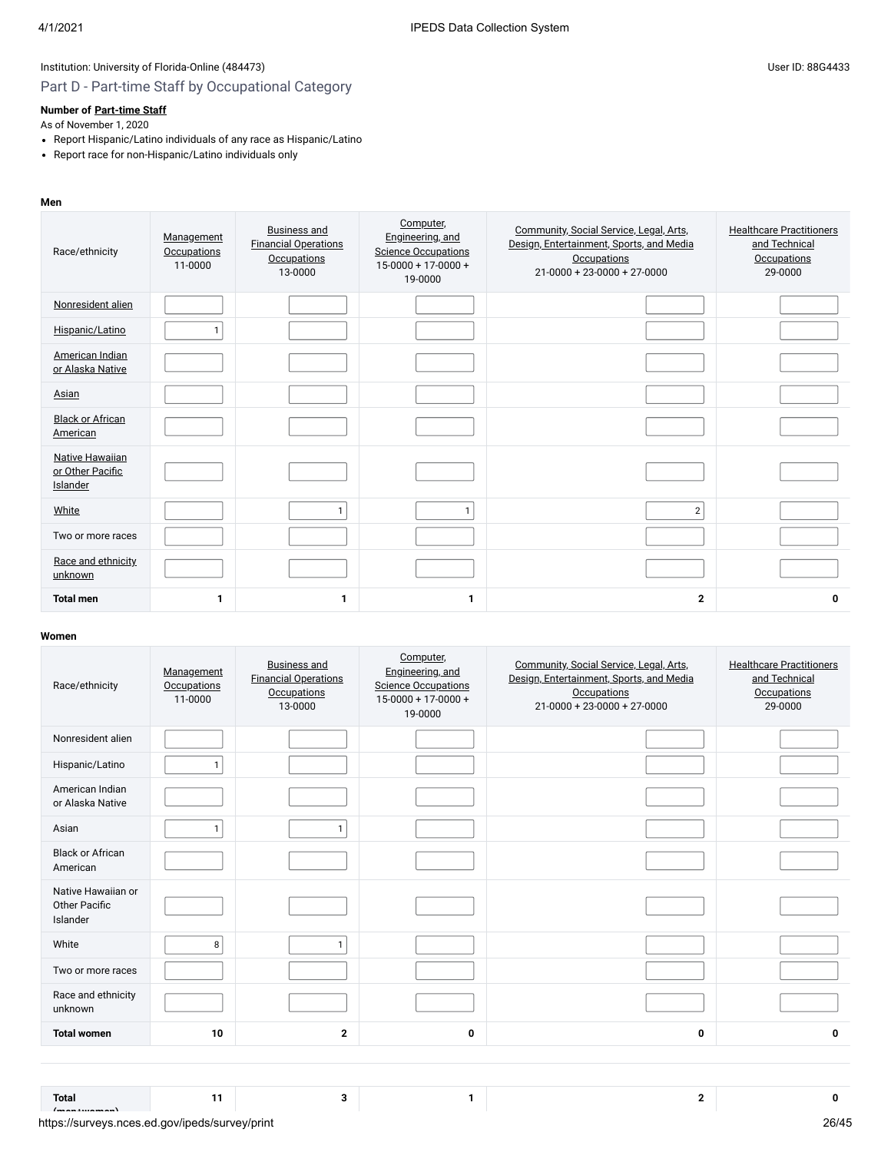# Part D - Part-time Staff by Occupational Category

### **Number of [Part-time Staff](javascript:openglossary(467))**

As of November 1, 2020

- Report Hispanic/Latino individuals of any race as Hispanic/Latino
- Report race for non-Hispanic/Latino individuals only

#### **Men**

| Race/ethnicity                                         | Management<br><b>Occupations</b><br>11-0000 | <b>Business and</b><br><b>Financial Operations</b><br><b>Occupations</b><br>13-0000 | Computer,<br>Engineering, and<br><b>Science Occupations</b><br>15-0000 + 17-0000 +<br>19-0000 | Community, Social Service, Legal, Arts,<br>Design, Entertainment, Sports, and Media<br><b>Occupations</b><br>$21 - 0000 + 23 - 0000 + 27 - 0000$ | <b>Healthcare Practitioners</b><br>and Technical<br><b>Occupations</b><br>29-0000 |
|--------------------------------------------------------|---------------------------------------------|-------------------------------------------------------------------------------------|-----------------------------------------------------------------------------------------------|--------------------------------------------------------------------------------------------------------------------------------------------------|-----------------------------------------------------------------------------------|
| Nonresident alien                                      |                                             |                                                                                     |                                                                                               |                                                                                                                                                  |                                                                                   |
| Hispanic/Latino                                        | $\mathbf{1}$                                |                                                                                     |                                                                                               |                                                                                                                                                  |                                                                                   |
| American Indian<br>or Alaska Native                    |                                             |                                                                                     |                                                                                               |                                                                                                                                                  |                                                                                   |
| Asian                                                  |                                             |                                                                                     |                                                                                               |                                                                                                                                                  |                                                                                   |
| <b>Black or African</b><br>American                    |                                             |                                                                                     |                                                                                               |                                                                                                                                                  |                                                                                   |
| <b>Native Hawaiian</b><br>or Other Pacific<br>Islander |                                             |                                                                                     |                                                                                               |                                                                                                                                                  |                                                                                   |
| White                                                  |                                             | $\mathbf{1}$                                                                        | $\mathbf{1}$                                                                                  | $\overline{2}$                                                                                                                                   |                                                                                   |
| Two or more races                                      |                                             |                                                                                     |                                                                                               |                                                                                                                                                  |                                                                                   |
| Race and ethnicity<br>unknown                          |                                             |                                                                                     |                                                                                               |                                                                                                                                                  |                                                                                   |
| <b>Total men</b>                                       | 1                                           | 1                                                                                   | $\mathbf{1}$                                                                                  | $\mathbf{2}$                                                                                                                                     | 0                                                                                 |

#### **Women**

| Race/ethnicity                                  | Management<br><b>Occupations</b><br>11-0000 | <b>Business and</b><br><b>Financial Operations</b><br><b>Occupations</b><br>13-0000 | Computer,<br>Engineering, and<br><b>Science Occupations</b><br>$15-0000 + 17-0000 +$<br>19-0000 | Community, Social Service, Legal, Arts,<br>Design, Entertainment, Sports, and Media<br><b>Occupations</b><br>$21-0000 + 23-0000 + 27-0000$ | <b>Healthcare Practitioners</b><br>and Technical<br><b>Occupations</b><br>29-0000 |
|-------------------------------------------------|---------------------------------------------|-------------------------------------------------------------------------------------|-------------------------------------------------------------------------------------------------|--------------------------------------------------------------------------------------------------------------------------------------------|-----------------------------------------------------------------------------------|
| Nonresident alien                               |                                             |                                                                                     |                                                                                                 |                                                                                                                                            |                                                                                   |
| Hispanic/Latino                                 | 1                                           |                                                                                     |                                                                                                 |                                                                                                                                            |                                                                                   |
| American Indian<br>or Alaska Native             |                                             |                                                                                     |                                                                                                 |                                                                                                                                            |                                                                                   |
| Asian                                           |                                             | 1                                                                                   |                                                                                                 |                                                                                                                                            |                                                                                   |
| <b>Black or African</b><br>American             |                                             |                                                                                     |                                                                                                 |                                                                                                                                            |                                                                                   |
| Native Hawaiian or<br>Other Pacific<br>Islander |                                             |                                                                                     |                                                                                                 |                                                                                                                                            |                                                                                   |
| White                                           | 8                                           | $\mathbf{1}$                                                                        |                                                                                                 |                                                                                                                                            |                                                                                   |
| Two or more races                               |                                             |                                                                                     |                                                                                                 |                                                                                                                                            |                                                                                   |
| Race and ethnicity<br>unknown                   |                                             |                                                                                     |                                                                                                 |                                                                                                                                            |                                                                                   |
| <b>Total women</b>                              | 10                                          | $\mathbf{2}$                                                                        | 0                                                                                               | 0                                                                                                                                          | 0                                                                                 |

**11 3 1 2 0**

**Total**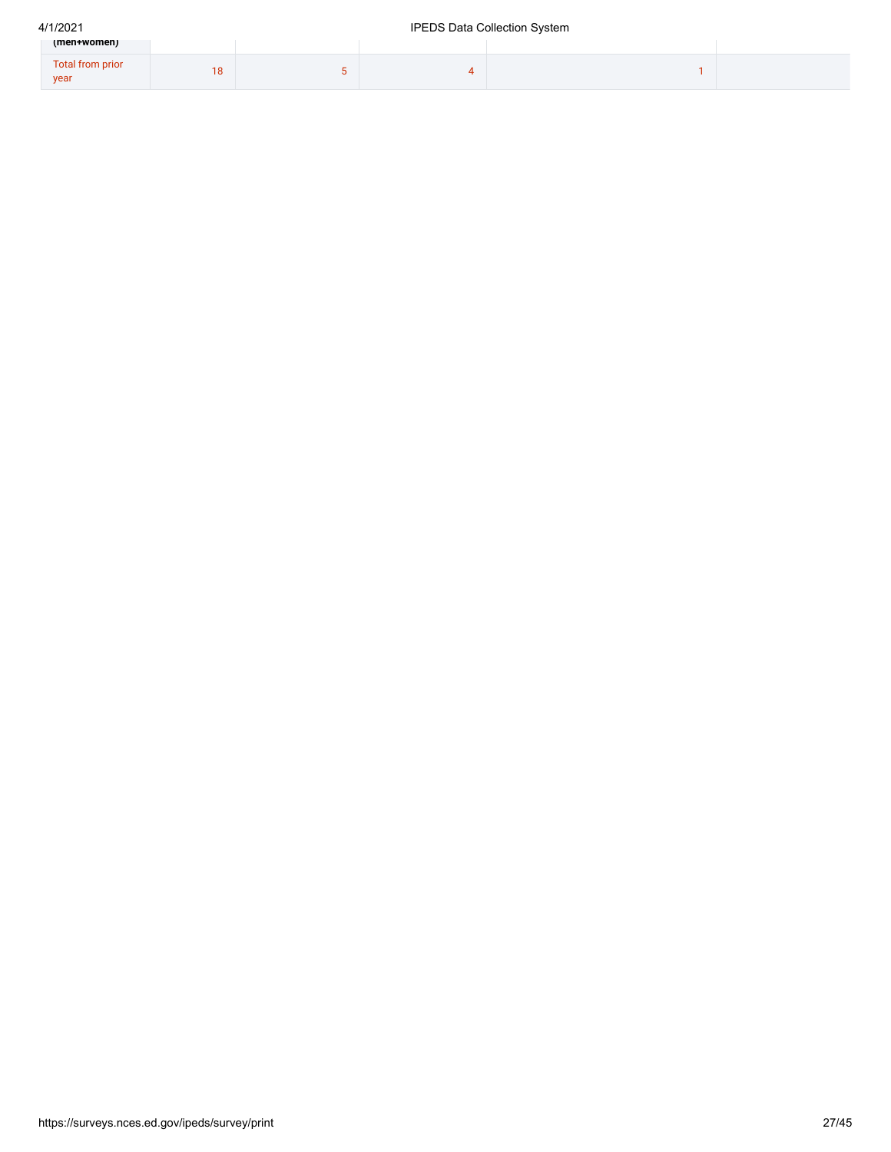| (men+women)                     |     |  |  |
|---------------------------------|-----|--|--|
| <b>Total from prior</b><br>year | ∣ O |  |  |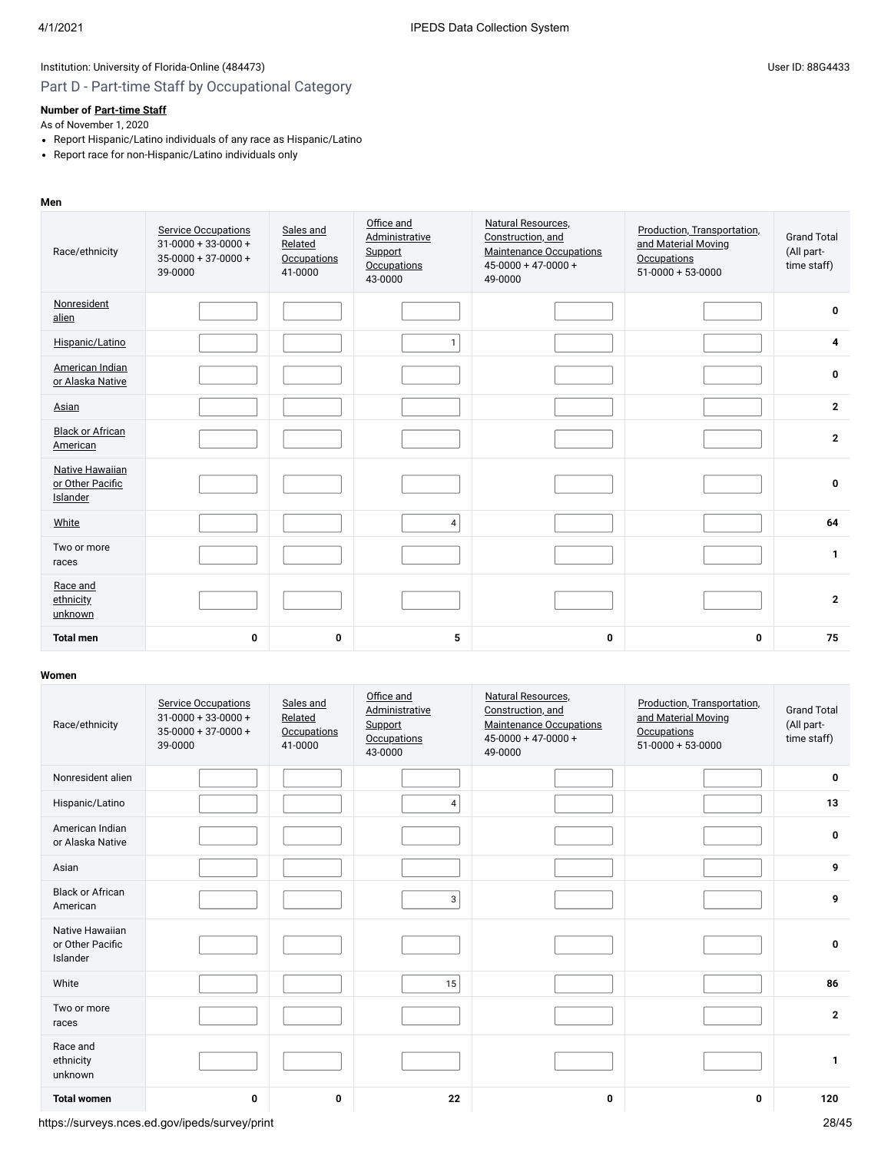# Part D - Part-time Staff by Occupational Category

### **Number of [Part-time Staff](javascript:openglossary(467))**

As of November 1, 2020

- Report Hispanic/Latino individuals of any race as Hispanic/Latino
- Report race for non-Hispanic/Latino individuals only

### **Men**

| Race/ethnicity                                         | <b>Service Occupations</b><br>$31-0000+33-0000+$<br>$35-0000 + 37-0000 +$<br>39-0000 | Sales and<br>Related<br><b>Occupations</b><br>41-0000 | Office and<br>Administrative<br>Support<br><b>Occupations</b><br>43-0000 | Natural Resources,<br>Construction, and<br><b>Maintenance Occupations</b><br>$45 - 0000 + 47 - 0000 +$<br>49-0000 | Production, Transportation,<br>and Material Moving<br>Occupations<br>$51-0000 + 53-0000$ | <b>Grand Total</b><br>(All part-<br>time staff) |
|--------------------------------------------------------|--------------------------------------------------------------------------------------|-------------------------------------------------------|--------------------------------------------------------------------------|-------------------------------------------------------------------------------------------------------------------|------------------------------------------------------------------------------------------|-------------------------------------------------|
| Nonresident<br>alien                                   |                                                                                      |                                                       |                                                                          |                                                                                                                   |                                                                                          | $\mathbf 0$                                     |
| Hispanic/Latino                                        |                                                                                      |                                                       | $\mathbf{1}$                                                             |                                                                                                                   |                                                                                          | 4                                               |
| American Indian<br>or Alaska Native                    |                                                                                      |                                                       |                                                                          |                                                                                                                   |                                                                                          | 0                                               |
| Asian                                                  |                                                                                      |                                                       |                                                                          |                                                                                                                   |                                                                                          | $\overline{2}$                                  |
| <b>Black or African</b><br>American                    |                                                                                      |                                                       |                                                                          |                                                                                                                   |                                                                                          | $\overline{2}$                                  |
| <b>Native Hawaiian</b><br>or Other Pacific<br>Islander |                                                                                      |                                                       |                                                                          |                                                                                                                   |                                                                                          | $\mathbf 0$                                     |
| White                                                  |                                                                                      |                                                       | $\overline{4}$                                                           |                                                                                                                   |                                                                                          | 64                                              |
| Two or more<br>races                                   |                                                                                      |                                                       |                                                                          |                                                                                                                   |                                                                                          | $\mathbf{1}$                                    |
| Race and<br>ethnicity<br>unknown                       |                                                                                      |                                                       |                                                                          |                                                                                                                   |                                                                                          | $\overline{2}$                                  |
| <b>Total men</b>                                       | 0                                                                                    | 0                                                     | 5                                                                        | 0                                                                                                                 | 0                                                                                        | 75                                              |

| Race/ethnicity                                  | <b>Service Occupations</b><br>$31 - 0000 + 33 - 0000 +$<br>$35 - 0000 + 37 - 0000 +$<br>39-0000 | Sales and<br>Related<br><b>Occupations</b><br>41-0000 | Office and<br>Administrative<br>Support<br><b>Occupations</b><br>43-0000 | Natural Resources,<br>Construction, and<br><b>Maintenance Occupations</b><br>$45-0000 + 47-0000 +$<br>49-0000 | Production, Transportation,<br>and Material Moving<br><b>Occupations</b><br>$51-0000 + 53-0000$ | <b>Grand Total</b><br>(All part-<br>time staff) |
|-------------------------------------------------|-------------------------------------------------------------------------------------------------|-------------------------------------------------------|--------------------------------------------------------------------------|---------------------------------------------------------------------------------------------------------------|-------------------------------------------------------------------------------------------------|-------------------------------------------------|
| Nonresident alien                               |                                                                                                 |                                                       |                                                                          |                                                                                                               |                                                                                                 | 0                                               |
| Hispanic/Latino                                 |                                                                                                 |                                                       | 4                                                                        |                                                                                                               |                                                                                                 | 13                                              |
| American Indian<br>or Alaska Native             |                                                                                                 |                                                       |                                                                          |                                                                                                               |                                                                                                 | 0                                               |
| Asian                                           |                                                                                                 |                                                       |                                                                          |                                                                                                               |                                                                                                 | 9                                               |
| <b>Black or African</b><br>American             |                                                                                                 |                                                       | 3                                                                        |                                                                                                               |                                                                                                 | 9                                               |
| Native Hawaiian<br>or Other Pacific<br>Islander |                                                                                                 |                                                       |                                                                          |                                                                                                               |                                                                                                 | $\mathbf 0$                                     |
| White                                           |                                                                                                 |                                                       | 15                                                                       |                                                                                                               |                                                                                                 | 86                                              |
| Two or more<br>races                            |                                                                                                 |                                                       |                                                                          |                                                                                                               |                                                                                                 | $\overline{2}$                                  |
| Race and<br>ethnicity<br>unknown                |                                                                                                 |                                                       |                                                                          |                                                                                                               |                                                                                                 | 1                                               |
| <b>Total women</b>                              | 0                                                                                               | 0                                                     | 22                                                                       | $\mathbf 0$                                                                                                   | 0                                                                                               | 120                                             |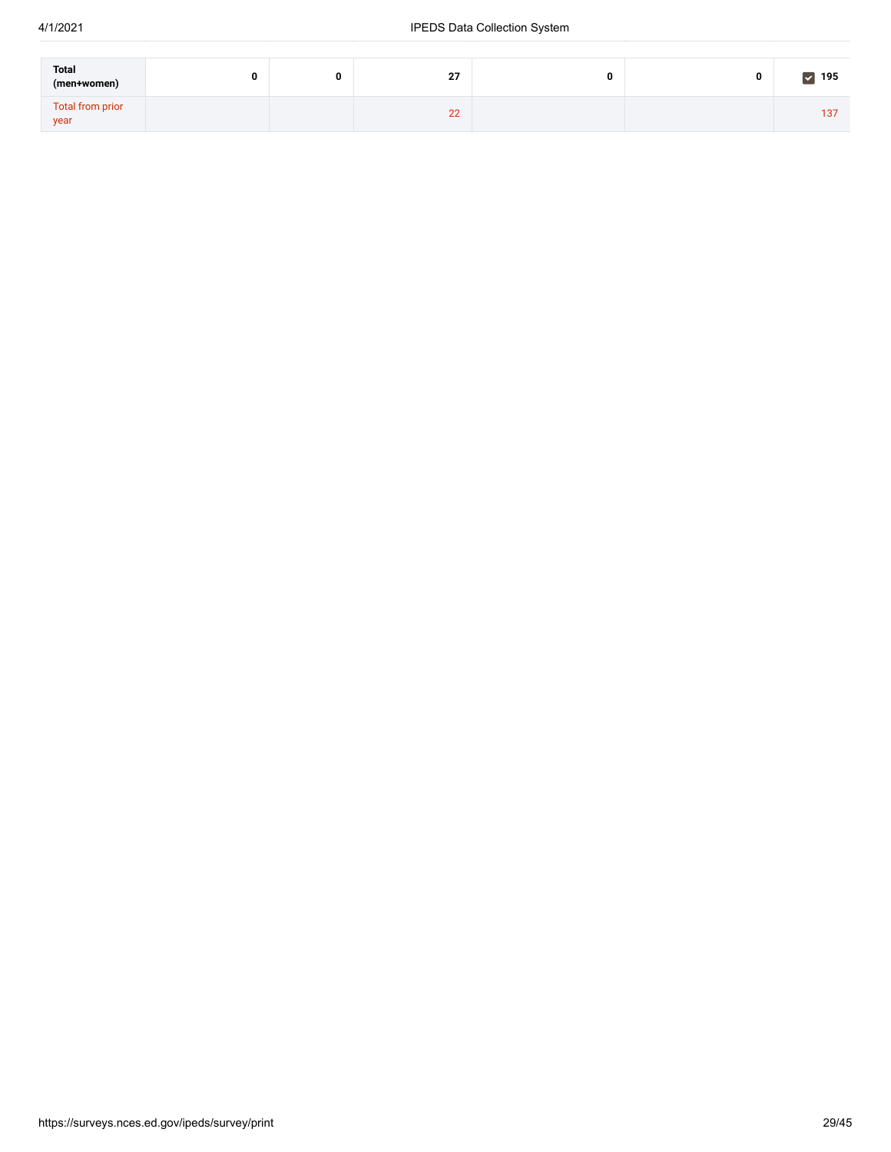| <b>Total</b><br>(men+women) |  | 27 | 0 | υ | $\triangledown$ 195 |
|-----------------------------|--|----|---|---|---------------------|
| Total from prior<br>year    |  | 22 |   |   | 137                 |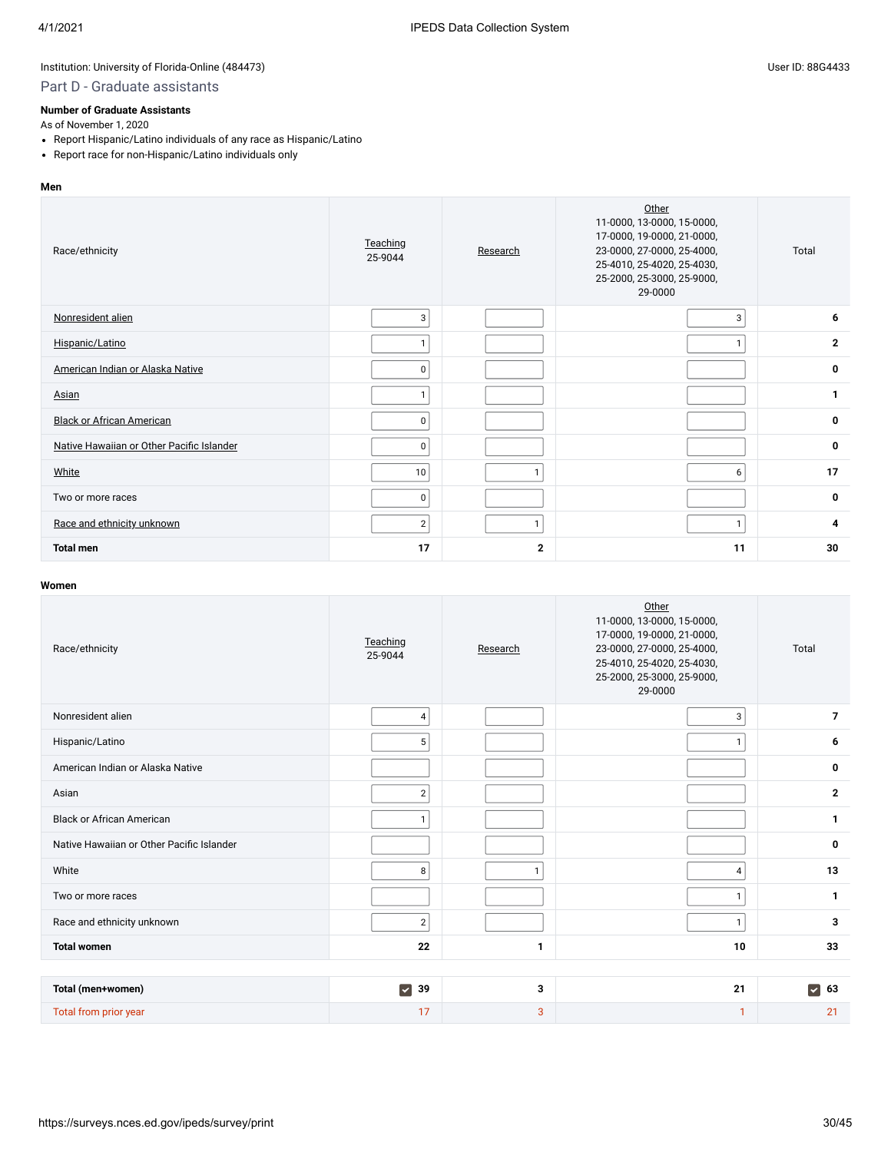### Part D - Graduate assistants

### **Number of Graduate Assistants**

As of November 1, 2020

- Report Hispanic/Latino individuals of any race as Hispanic/Latino
- Report race for non-Hispanic/Latino individuals only

#### **Men**

| Race/ethnicity                            | Teaching<br>25-9044 | Research     | Other<br>11-0000, 13-0000, 15-0000,<br>17-0000, 19-0000, 21-0000,<br>23-0000, 27-0000, 25-4000,<br>25-4010, 25-4020, 25-4030,<br>25-2000, 25-3000, 25-9000,<br>29-0000 | Total          |
|-------------------------------------------|---------------------|--------------|------------------------------------------------------------------------------------------------------------------------------------------------------------------------|----------------|
| Nonresident alien                         | 3                   |              | 3                                                                                                                                                                      | 6              |
| Hispanic/Latino                           |                     |              | 1                                                                                                                                                                      | $\overline{2}$ |
| American Indian or Alaska Native          | $\mathbf 0$         |              |                                                                                                                                                                        | $\mathbf 0$    |
| Asian                                     |                     |              |                                                                                                                                                                        | $\mathbf{1}$   |
| <b>Black or African American</b>          | 0                   |              |                                                                                                                                                                        | $\mathbf 0$    |
| Native Hawaiian or Other Pacific Islander | 0                   |              |                                                                                                                                                                        | $\mathbf 0$    |
| <b>White</b>                              | 10                  | 1            | 6                                                                                                                                                                      | 17             |
| Two or more races                         | 0                   |              |                                                                                                                                                                        | $\mathbf 0$    |
| Race and ethnicity unknown                | $\overline{2}$      |              |                                                                                                                                                                        | 4              |
| <b>Total men</b>                          | 17                  | $\mathbf{2}$ | 11                                                                                                                                                                     | 30             |

| Race/ethnicity                            | Teaching<br>25-9044                   | Research     | Other<br>11-0000, 13-0000, 15-0000,<br>17-0000, 19-0000, 21-0000,<br>23-0000, 27-0000, 25-4000,<br>25-4010, 25-4020, 25-4030,<br>25-2000, 25-3000, 25-9000,<br>29-0000 | Total                      |
|-------------------------------------------|---------------------------------------|--------------|------------------------------------------------------------------------------------------------------------------------------------------------------------------------|----------------------------|
| Nonresident alien                         | $\overline{4}$                        |              | 3                                                                                                                                                                      | $\overline{7}$             |
| Hispanic/Latino                           | 5                                     |              | $\mathbf{1}$                                                                                                                                                           | 6                          |
| American Indian or Alaska Native          |                                       |              |                                                                                                                                                                        | 0                          |
| Asian                                     | $\overline{2}$                        |              |                                                                                                                                                                        | $\mathbf{2}$               |
| <b>Black or African American</b>          | $\mathbf{1}$                          |              |                                                                                                                                                                        | 1                          |
| Native Hawaiian or Other Pacific Islander |                                       |              |                                                                                                                                                                        | 0                          |
| White                                     | 8                                     | $\mathbf{1}$ | 4                                                                                                                                                                      | 13                         |
| Two or more races                         |                                       |              | $\mathbf{1}$                                                                                                                                                           | 1                          |
| Race and ethnicity unknown                | $\overline{2}$                        |              | $\mathbf{1}$                                                                                                                                                           | 3                          |
| <b>Total women</b>                        | 22                                    | 1            | 10                                                                                                                                                                     | 33                         |
|                                           |                                       |              |                                                                                                                                                                        |                            |
| Total (men+women)                         | $\overline{\blacktriangledown}$<br>39 | 3            | 21                                                                                                                                                                     | $\blacktriangledown$<br>63 |
| Total from prior year                     | 17                                    | 3            | 1                                                                                                                                                                      | 21                         |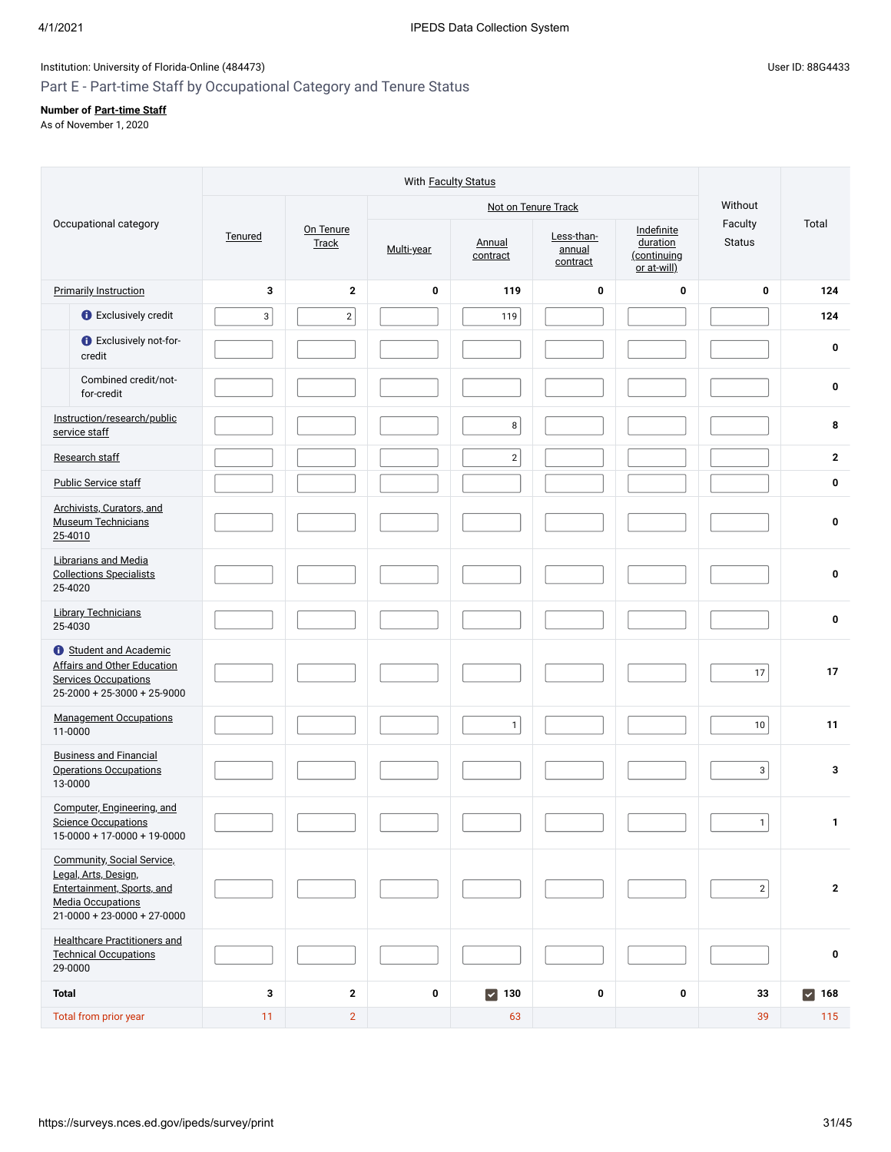# Part E - Part-time Staff by Occupational Category and Tenure Status

### **Number of [Part-time Staff](javascript:openglossary(467))**

As of November 1, 2020

|                                                                                                                                               |             |                           | With Faculty Status |                     |                                  |                                                      |                          |                     |
|-----------------------------------------------------------------------------------------------------------------------------------------------|-------------|---------------------------|---------------------|---------------------|----------------------------------|------------------------------------------------------|--------------------------|---------------------|
|                                                                                                                                               |             | Not on Tenure Track       |                     |                     |                                  |                                                      | Without                  |                     |
| Occupational category                                                                                                                         | Tenured     | On Tenure<br><b>Track</b> | Multi-year          | Annual<br>contract  | Less-than-<br>annual<br>contract | Indefinite<br>duration<br>(continuing<br>or at-will) | Faculty<br><b>Status</b> | Total               |
| <b>Primarily Instruction</b>                                                                                                                  | 3           | $\overline{2}$            | $\bf{0}$            | 119                 | 0                                | $\bf{0}$                                             | 0                        | 124                 |
| <b>O</b> Exclusively credit                                                                                                                   | $\mathsf 3$ | $\overline{2}$            |                     | 119                 |                                  |                                                      |                          | 124                 |
| <b>O</b> Exclusively not-for-<br>credit                                                                                                       |             |                           |                     |                     |                                  |                                                      |                          | 0                   |
| Combined credit/not-<br>for-credit                                                                                                            |             |                           |                     |                     |                                  |                                                      |                          | 0                   |
| Instruction/research/public<br>service staff                                                                                                  |             |                           |                     | 8 <sup>1</sup>      |                                  |                                                      |                          | 8                   |
| Research staff                                                                                                                                |             |                           |                     | $\sqrt{2}$          |                                  |                                                      |                          | $\mathbf{2}$        |
| Public Service staff                                                                                                                          |             |                           |                     |                     |                                  |                                                      |                          | 0                   |
| Archivists, Curators, and<br><b>Museum Technicians</b><br>25-4010                                                                             |             |                           |                     |                     |                                  |                                                      |                          | 0                   |
| <b>Librarians and Media</b><br><b>Collections Specialists</b><br>25-4020                                                                      |             |                           |                     |                     |                                  |                                                      |                          | 0                   |
| <b>Library Technicians</b><br>25-4030                                                                                                         |             |                           |                     |                     |                                  |                                                      |                          | 0                   |
| <b>t</b> Student and Academic<br><b>Affairs and Other Education</b><br><b>Services Occupations</b><br>$25-2000 + 25-3000 + 25-9000$           |             |                           |                     |                     |                                  |                                                      | 17                       | 17                  |
| <b>Management Occupations</b><br>11-0000                                                                                                      |             |                           |                     | 1                   |                                  |                                                      | 10                       | 11                  |
| <b>Business and Financial</b><br><b>Operations Occupations</b><br>13-0000                                                                     |             |                           |                     |                     |                                  |                                                      | 3 <sup>1</sup>           | 3                   |
| Computer, Engineering, and<br><b>Science Occupations</b><br>$15-0000 + 17-0000 + 19-0000$                                                     |             |                           |                     |                     |                                  |                                                      | 1                        | 1                   |
| Community, Social Service,<br>Legal, Arts, Design,<br>Entertainment, Sports, and<br><b>Media Occupations</b><br>$21-0000 + 23-0000 + 27-0000$ |             |                           |                     |                     |                                  |                                                      | $2\vert$                 | $\mathbf{2}$        |
| <b>Healthcare Practitioners and</b><br><b>Technical Occupations</b><br>29-0000                                                                |             |                           |                     |                     |                                  |                                                      |                          | 0                   |
| <b>Total</b>                                                                                                                                  | 3           | $\overline{2}$            | $\pmb{0}$           | $\triangledown$ 130 | 0                                | 0                                                    | 33                       | $\triangledown$ 168 |
| Total from prior year                                                                                                                         | 11          | $\overline{2}$            |                     | 63                  |                                  |                                                      | 39                       | 115                 |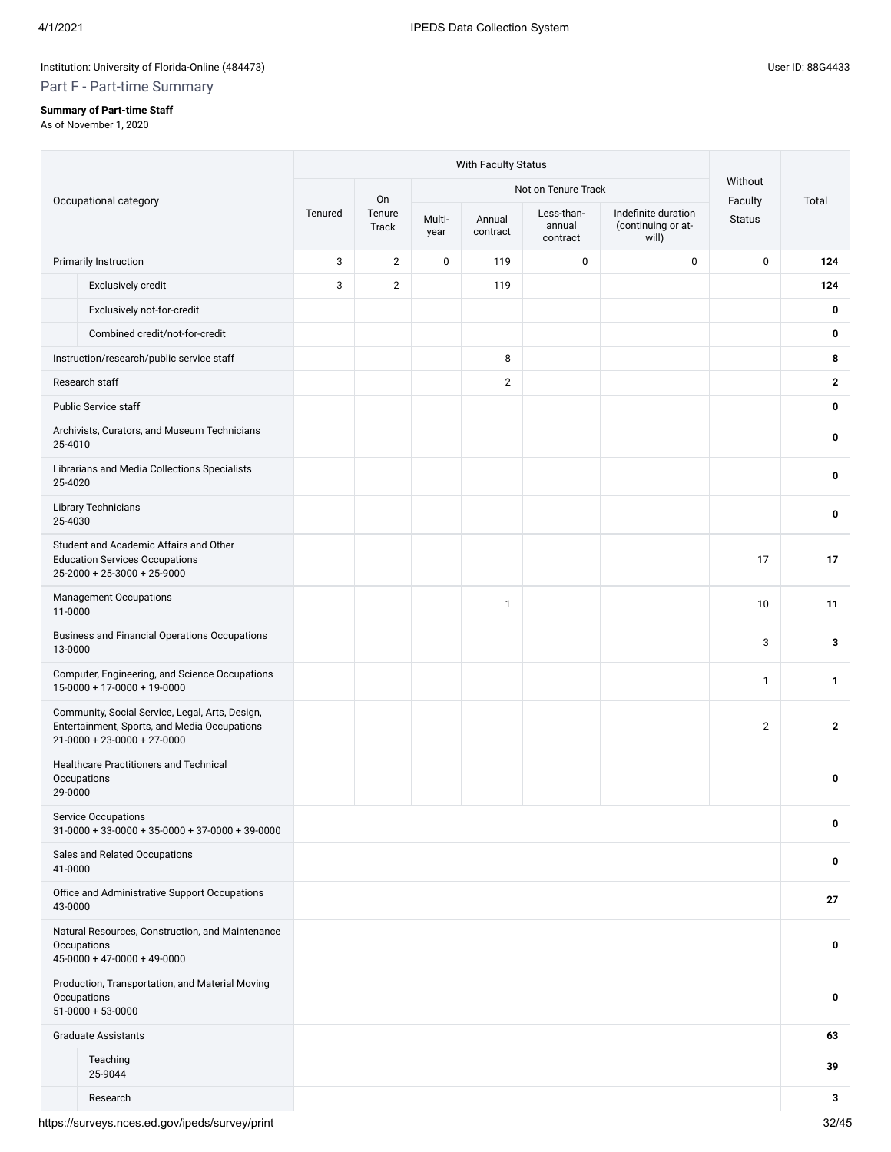# **Summary of Part-time Staff**

Part F - Part-time Summary

As of November 1, 2020

|         |                                                                                                                                  |         | With Faculty Status |                     |                    |                                  |                                                    |                          |              |  |
|---------|----------------------------------------------------------------------------------------------------------------------------------|---------|---------------------|---------------------|--------------------|----------------------------------|----------------------------------------------------|--------------------------|--------------|--|
|         |                                                                                                                                  |         | On                  | Not on Tenure Track |                    |                                  |                                                    | Without                  |              |  |
|         | Occupational category                                                                                                            | Tenured | Tenure<br>Track     | Multi-<br>year      | Annual<br>contract | Less-than-<br>annual<br>contract | Indefinite duration<br>(continuing or at-<br>will) | Faculty<br><b>Status</b> | Total        |  |
|         | Primarily Instruction                                                                                                            | 3       | $\overline{2}$      | 0                   | 119                | 0                                | $\pmb{0}$                                          | 0                        | 124          |  |
|         | Exclusively credit                                                                                                               | 3       | $\overline{2}$      |                     | 119                |                                  |                                                    |                          | 124          |  |
|         | Exclusively not-for-credit                                                                                                       |         |                     |                     |                    |                                  |                                                    |                          | 0            |  |
|         | Combined credit/not-for-credit                                                                                                   |         |                     |                     |                    |                                  |                                                    |                          | 0            |  |
|         | Instruction/research/public service staff                                                                                        |         |                     |                     | 8                  |                                  |                                                    |                          | 8            |  |
|         | Research staff                                                                                                                   |         |                     |                     | $\mathbf{2}$       |                                  |                                                    |                          | $\mathbf{2}$ |  |
|         | <b>Public Service staff</b>                                                                                                      |         |                     |                     |                    |                                  |                                                    |                          | 0            |  |
| 25-4010 | Archivists, Curators, and Museum Technicians                                                                                     |         |                     |                     |                    |                                  |                                                    |                          | 0            |  |
| 25-4020 | Librarians and Media Collections Specialists                                                                                     |         |                     |                     |                    |                                  |                                                    |                          | 0            |  |
| 25-4030 | <b>Library Technicians</b>                                                                                                       |         |                     |                     |                    |                                  |                                                    |                          | 0            |  |
|         | Student and Academic Affairs and Other<br><b>Education Services Occupations</b><br>25-2000 + 25-3000 + 25-9000                   |         |                     |                     |                    |                                  |                                                    | 17                       | 17           |  |
| 11-0000 | <b>Management Occupations</b>                                                                                                    |         |                     |                     | $\mathbf{1}$       |                                  |                                                    | 10                       | 11           |  |
| 13-0000 | <b>Business and Financial Operations Occupations</b>                                                                             |         |                     |                     |                    |                                  |                                                    | 3                        | 3            |  |
|         | Computer, Engineering, and Science Occupations<br>$15-0000 + 17-0000 + 19-0000$                                                  |         |                     |                     |                    |                                  |                                                    | $\mathbf{1}$             | 1            |  |
|         | Community, Social Service, Legal, Arts, Design,<br>Entertainment, Sports, and Media Occupations<br>$21-0000 + 23-0000 + 27-0000$ |         |                     |                     |                    |                                  |                                                    | $\overline{2}$           | $\mathbf{2}$ |  |
| 29-0000 | <b>Healthcare Practitioners and Technical</b><br>Occupations                                                                     |         |                     |                     |                    |                                  |                                                    |                          | 0            |  |
|         | Service Occupations<br>$31-0000+33-0000+35-0000+37-0000+39-0000$                                                                 |         |                     |                     |                    |                                  |                                                    |                          | 0            |  |
| 41-0000 | Sales and Related Occupations                                                                                                    |         |                     |                     |                    |                                  |                                                    |                          | 0            |  |
| 43-0000 | Office and Administrative Support Occupations                                                                                    |         |                     |                     |                    |                                  |                                                    |                          | 27           |  |
|         | Natural Resources, Construction, and Maintenance<br>Occupations<br>$45-0000 + 47-0000 + 49-0000$                                 |         |                     |                     |                    |                                  |                                                    |                          | 0            |  |
|         | Production, Transportation, and Material Moving<br>Occupations<br>$51-0000 + 53-0000$                                            |         |                     |                     |                    |                                  |                                                    |                          | 0            |  |
|         | <b>Graduate Assistants</b>                                                                                                       |         |                     |                     |                    |                                  |                                                    |                          | 63           |  |
|         | Teaching<br>25-9044                                                                                                              |         |                     |                     |                    |                                  |                                                    |                          | 39           |  |
|         | Research                                                                                                                         |         |                     |                     |                    |                                  |                                                    |                          | 3            |  |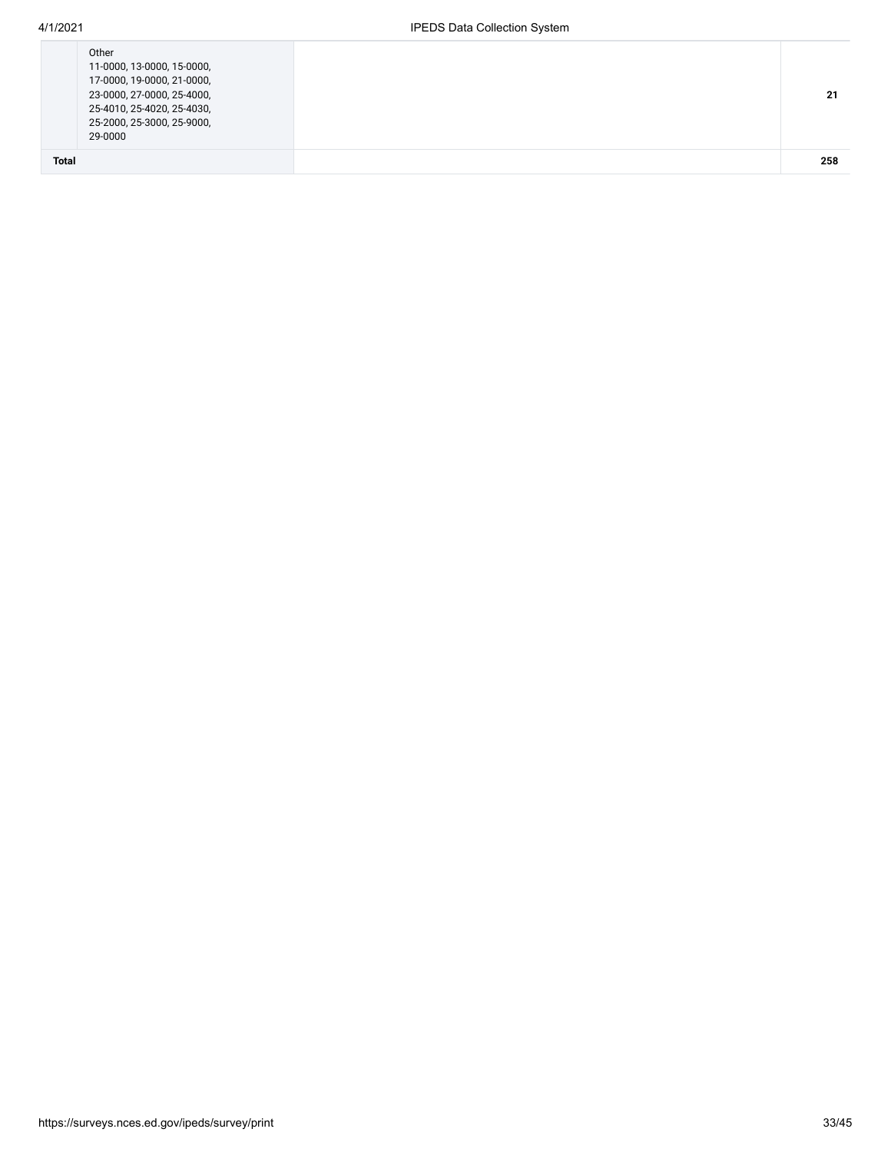| <b>Total</b> | 29-0000                                                  |  |
|--------------|----------------------------------------------------------|--|
|              | 25-4010, 25-4020, 25-4030,<br>25-2000, 25-3000, 25-9000, |  |
|              | 23-0000, 27-0000, 25-4000,                               |  |
|              | 17-0000, 19-0000, 21-0000,                               |  |
|              | 11-0000, 13-0000, 15-0000,                               |  |
|              | Other                                                    |  |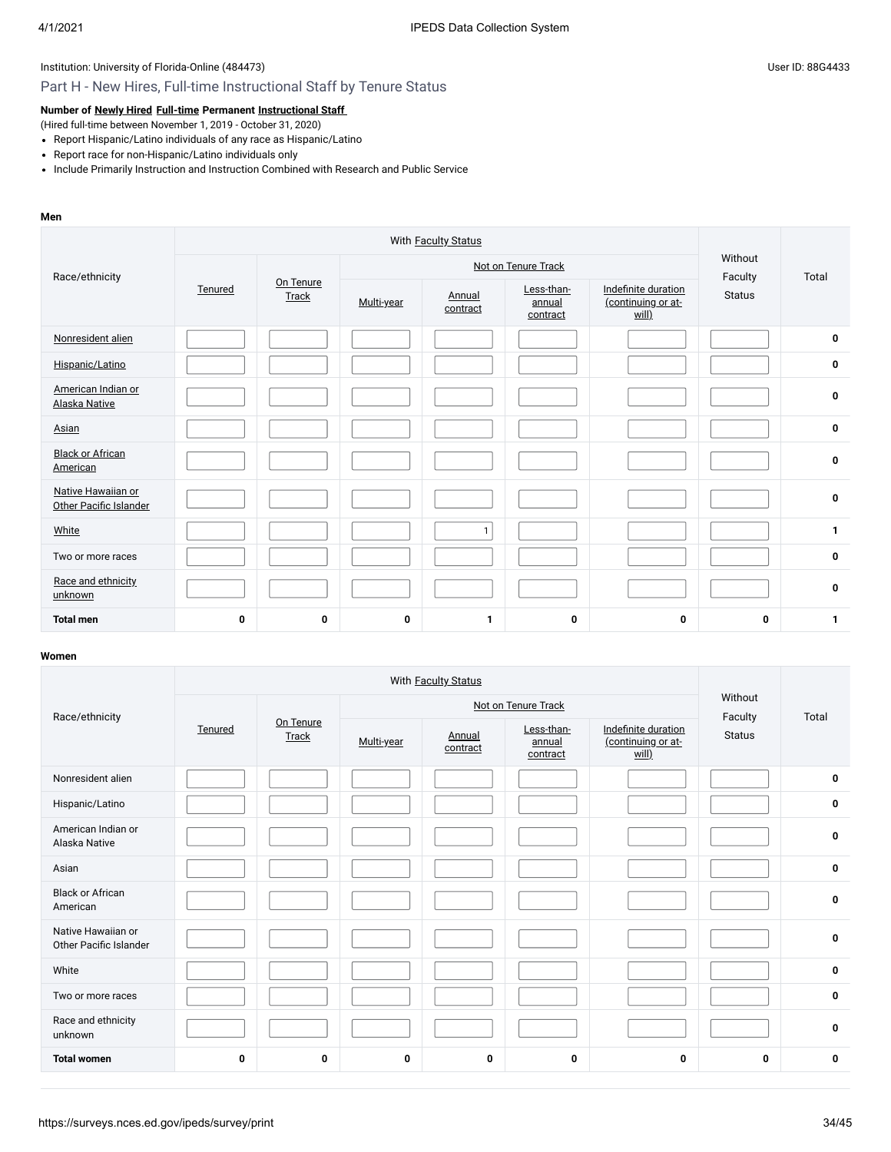### Part H - New Hires, Full-time Instructional Staff by Tenure Status

**Number of [Newly Hired](javascript:openglossary(407)) [Full-time](javascript:openglossary(257)) Permanent [Instructional Staff](javascript:openglossary(996))**

(Hired full-time between November 1, 2019 - October 31, 2020)

- Report Hispanic/Latino individuals of any race as Hispanic/Latino
- Report race for non-Hispanic/Latino individuals only
- Include Primarily Instruction and Instruction Combined with Research and Public Service

#### **Men**

| Race/ethnicity                               |         |                    |            | Not on Tenure Track                                             |   | Without<br>Faculty                        | Total |              |
|----------------------------------------------|---------|--------------------|------------|-----------------------------------------------------------------|---|-------------------------------------------|-------|--------------|
|                                              | Tenured | On Tenure<br>Track | Multi-year | Less-than-<br>Annual<br>annual<br>contract<br>will)<br>contract |   | Indefinite duration<br>(continuing or at- |       |              |
| Nonresident alien                            |         |                    |            |                                                                 |   |                                           |       | 0            |
| Hispanic/Latino                              |         |                    |            |                                                                 |   |                                           |       | 0            |
| American Indian or<br>Alaska Native          |         |                    |            |                                                                 |   |                                           |       | 0            |
| Asian                                        |         |                    |            |                                                                 |   |                                           |       | 0            |
| <b>Black or African</b><br>American          |         |                    |            |                                                                 |   |                                           |       | $\bf{0}$     |
| Native Hawaiian or<br>Other Pacific Islander |         |                    |            |                                                                 |   |                                           |       | 0            |
| White                                        |         |                    |            | $\mathbf{1}$                                                    |   |                                           |       | 1            |
| Two or more races                            |         |                    |            |                                                                 |   |                                           |       | 0            |
| Race and ethnicity<br>unknown                |         |                    |            |                                                                 |   |                                           |       | 0            |
| <b>Total men</b>                             | 0       | 0                  | 0          | 1                                                               | 0 | $\mathbf 0$                               | 0     | $\mathbf{1}$ |

| Race/ethnicity                               |             |                    |            | Not on Tenure Track | Without<br>Faculty               | Total                                              |               |             |
|----------------------------------------------|-------------|--------------------|------------|---------------------|----------------------------------|----------------------------------------------------|---------------|-------------|
|                                              | Tenured     | On Tenure<br>Track | Multi-year | Annual<br>contract  | Less-than-<br>annual<br>contract | Indefinite duration<br>(continuing or at-<br>will) | <b>Status</b> |             |
| Nonresident alien                            |             |                    |            |                     |                                  |                                                    |               | $\mathbf 0$ |
| Hispanic/Latino                              |             |                    |            |                     |                                  |                                                    |               | $\mathbf 0$ |
| American Indian or<br>Alaska Native          |             |                    |            |                     |                                  |                                                    |               | $\mathbf 0$ |
| Asian                                        |             |                    |            |                     |                                  |                                                    |               | $\mathbf 0$ |
| <b>Black or African</b><br>American          |             |                    |            |                     |                                  |                                                    |               | $\mathbf 0$ |
| Native Hawaiian or<br>Other Pacific Islander |             |                    |            |                     |                                  |                                                    |               | $\mathbf 0$ |
| White                                        |             |                    |            |                     |                                  |                                                    |               | $\mathbf 0$ |
| Two or more races                            |             |                    |            |                     |                                  |                                                    |               | $\mathbf 0$ |
| Race and ethnicity<br>unknown                |             |                    |            |                     |                                  |                                                    |               | $\mathbf 0$ |
| <b>Total women</b>                           | $\mathbf 0$ | 0                  | 0          | $\mathbf 0$         | 0                                | 0                                                  | 0             | $\mathbf 0$ |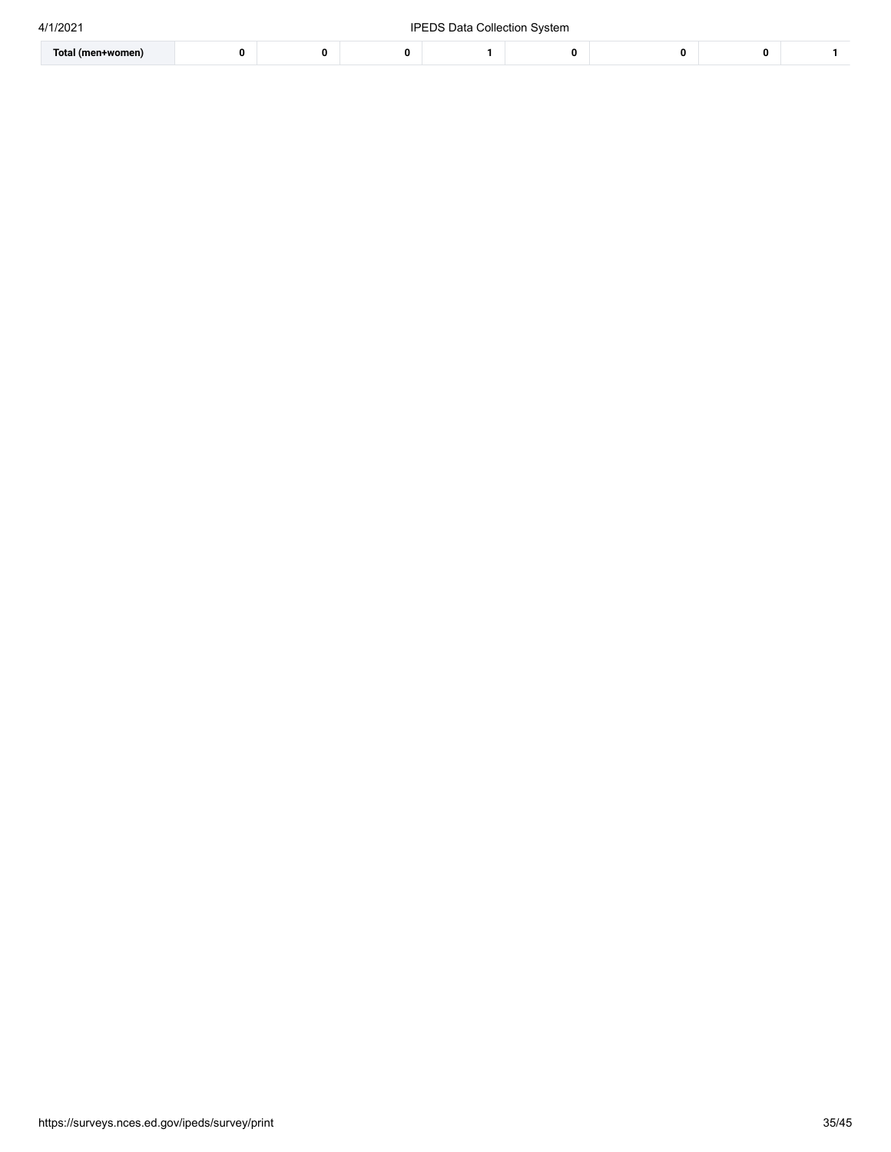| 4/1/2021 |  |
|----------|--|

| 4/1/2021          |  |  |  | .Ibi<br>i Data Collection System .<br>EDS |  |  |  |  |  |
|-------------------|--|--|--|-------------------------------------------|--|--|--|--|--|
| Total (men+women) |  |  |  |                                           |  |  |  |  |  |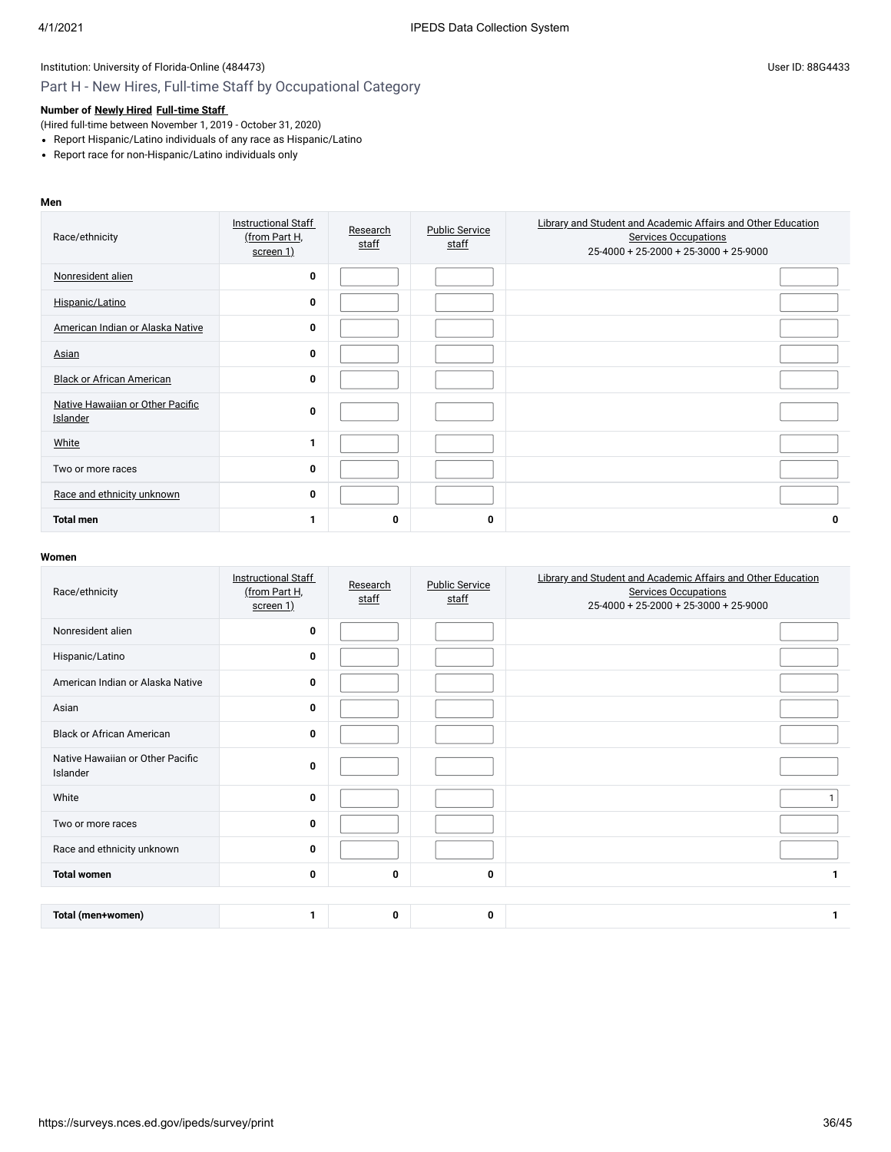# Part H - New Hires, Full-time Staff by Occupational Category

### **Number of [Newly Hired](javascript:openglossary(407)) [Full-time Staff](javascript:openglossary(257))**

(Hired full-time between November 1, 2019 - October 31, 2020)

- Report Hispanic/Latino individuals of any race as Hispanic/Latino
- Report race for non-Hispanic/Latino individuals only

### **Men**

| Race/ethnicity                               | <b>Instructional Staff</b><br>(from Part H,<br>screen 1) | Research<br>staff | <b>Public Service</b><br>staff | Library and Student and Academic Affairs and Other Education<br><b>Services Occupations</b><br>25-4000 + 25-2000 + 25-3000 + 25-9000 |
|----------------------------------------------|----------------------------------------------------------|-------------------|--------------------------------|--------------------------------------------------------------------------------------------------------------------------------------|
| Nonresident alien                            | $\mathbf 0$                                              |                   |                                |                                                                                                                                      |
| Hispanic/Latino                              | $\mathbf 0$                                              |                   |                                |                                                                                                                                      |
| American Indian or Alaska Native             | $\mathbf 0$                                              |                   |                                |                                                                                                                                      |
| Asian                                        | $\mathbf 0$                                              |                   |                                |                                                                                                                                      |
| <b>Black or African American</b>             | $\mathbf 0$                                              |                   |                                |                                                                                                                                      |
| Native Hawaiian or Other Pacific<br>Islander | $\mathbf 0$                                              |                   |                                |                                                                                                                                      |
| White                                        | 1                                                        |                   |                                |                                                                                                                                      |
| Two or more races                            | $\mathbf 0$                                              |                   |                                |                                                                                                                                      |
| Race and ethnicity unknown                   | $\mathbf 0$                                              |                   |                                |                                                                                                                                      |
| <b>Total men</b>                             | 1                                                        | 0                 | 0                              | 0                                                                                                                                    |

| Race/ethnicity                               | <b>Instructional Staff</b><br>(from Part H,<br>screen 1) | Research<br>staff | <b>Public Service</b><br>staff | Library and Student and Academic Affairs and Other Education<br><b>Services Occupations</b><br>$25-4000 + 25-2000 + 25-3000 + 25-9000$ |
|----------------------------------------------|----------------------------------------------------------|-------------------|--------------------------------|----------------------------------------------------------------------------------------------------------------------------------------|
| Nonresident alien                            | 0                                                        |                   |                                |                                                                                                                                        |
| Hispanic/Latino                              | 0                                                        |                   |                                |                                                                                                                                        |
| American Indian or Alaska Native             | 0                                                        |                   |                                |                                                                                                                                        |
| Asian                                        | 0                                                        |                   |                                |                                                                                                                                        |
| <b>Black or African American</b>             | 0                                                        |                   |                                |                                                                                                                                        |
| Native Hawaiian or Other Pacific<br>Islander | 0                                                        |                   |                                |                                                                                                                                        |
| White                                        | 0                                                        |                   |                                |                                                                                                                                        |
| Two or more races                            | 0                                                        |                   |                                |                                                                                                                                        |
| Race and ethnicity unknown                   | 0                                                        |                   |                                |                                                                                                                                        |
| <b>Total women</b>                           | 0                                                        | 0                 | 0                              | $\mathbf{1}$                                                                                                                           |
|                                              |                                                          |                   |                                |                                                                                                                                        |
| Total (men+women)                            | 1                                                        | 0                 | 0                              | $\mathbf{1}$                                                                                                                           |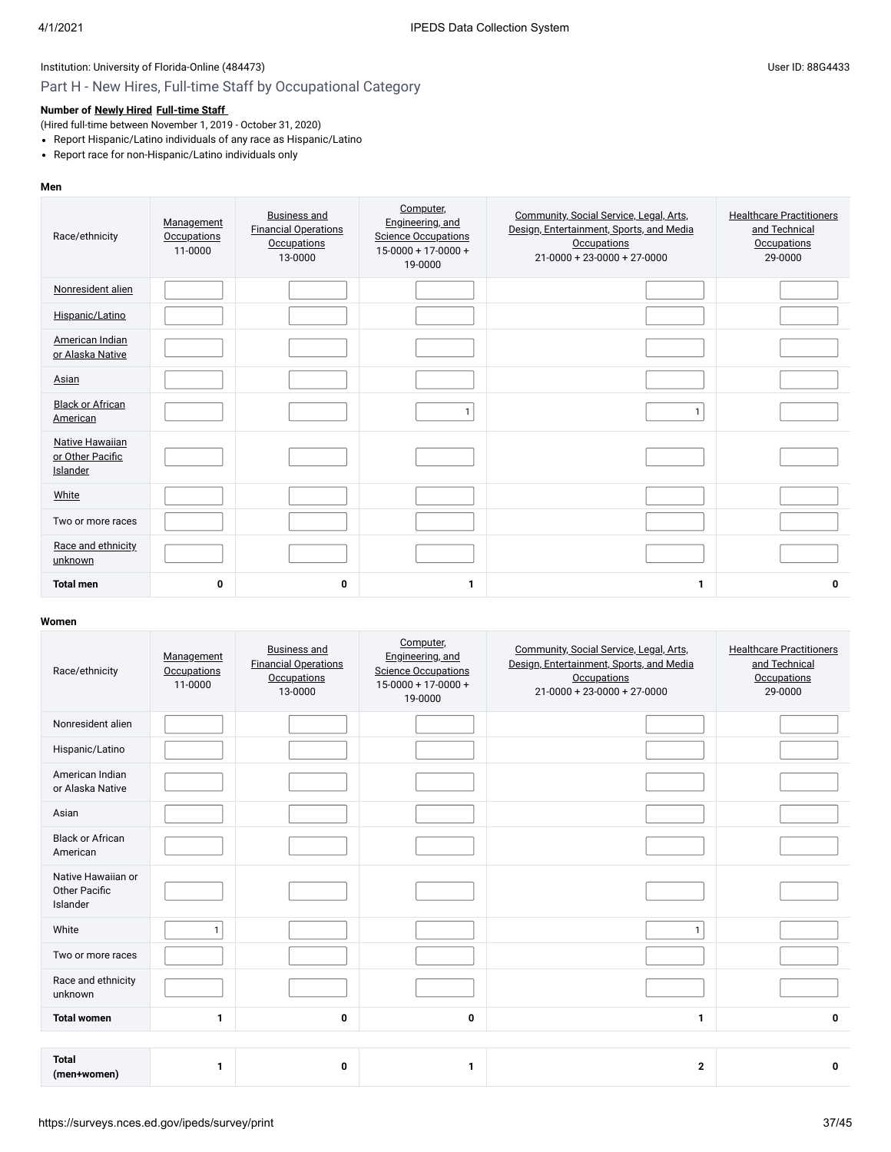# Part H - New Hires, Full-time Staff by Occupational Category

### **Number of [Newly Hired](javascript:openglossary(407)) [Full-time Staff](javascript:openglossary(257))**

- (Hired full-time between November 1, 2019 October 31, 2020)
- Report Hispanic/Latino individuals of any race as Hispanic/Latino
- Report race for non-Hispanic/Latino individuals only

#### **Men**

| Race/ethnicity                                         | Management<br><b>Occupations</b><br>11-0000 | <b>Business and</b><br><b>Financial Operations</b><br>Occupations<br>13-0000 | Computer,<br>Engineering, and<br><b>Science Occupations</b><br>$15-0000 + 17-0000 +$<br>19-0000 | Community, Social Service, Legal, Arts,<br>Design, Entertainment, Sports, and Media<br>Occupations<br>$21-0000 + 23-0000 + 27-0000$ | <b>Healthcare Practitioners</b><br>and Technical<br><b>Occupations</b><br>29-0000 |
|--------------------------------------------------------|---------------------------------------------|------------------------------------------------------------------------------|-------------------------------------------------------------------------------------------------|-------------------------------------------------------------------------------------------------------------------------------------|-----------------------------------------------------------------------------------|
| Nonresident alien                                      |                                             |                                                                              |                                                                                                 |                                                                                                                                     |                                                                                   |
| Hispanic/Latino                                        |                                             |                                                                              |                                                                                                 |                                                                                                                                     |                                                                                   |
| American Indian<br>or Alaska Native                    |                                             |                                                                              |                                                                                                 |                                                                                                                                     |                                                                                   |
| Asian                                                  |                                             |                                                                              |                                                                                                 |                                                                                                                                     |                                                                                   |
| <b>Black or African</b><br>American                    |                                             |                                                                              | $\mathbf{1}$                                                                                    | $\mathbf{1}$                                                                                                                        |                                                                                   |
| <b>Native Hawaiian</b><br>or Other Pacific<br>Islander |                                             |                                                                              |                                                                                                 |                                                                                                                                     |                                                                                   |
| White                                                  |                                             |                                                                              |                                                                                                 |                                                                                                                                     |                                                                                   |
| Two or more races                                      |                                             |                                                                              |                                                                                                 |                                                                                                                                     |                                                                                   |
| Race and ethnicity<br>unknown                          |                                             |                                                                              |                                                                                                 |                                                                                                                                     |                                                                                   |
| <b>Total men</b>                                       | 0                                           | 0                                                                            | 1                                                                                               | 1                                                                                                                                   | 0                                                                                 |

| Race/ethnicity                                  | Management<br><b>Occupations</b><br>11-0000 | <b>Business and</b><br><b>Financial Operations</b><br>Occupations<br>13-0000 | Computer,<br>Engineering, and<br><b>Science Occupations</b><br>$15-0000 + 17-0000 +$<br>19-0000 | Community, Social Service, Legal, Arts,<br>Design, Entertainment, Sports, and Media<br><b>Occupations</b><br>$21 - 0000 + 23 - 0000 + 27 - 0000$ | <b>Healthcare Practitioners</b><br>and Technical<br><b>Occupations</b><br>29-0000 |
|-------------------------------------------------|---------------------------------------------|------------------------------------------------------------------------------|-------------------------------------------------------------------------------------------------|--------------------------------------------------------------------------------------------------------------------------------------------------|-----------------------------------------------------------------------------------|
| Nonresident alien                               |                                             |                                                                              |                                                                                                 |                                                                                                                                                  |                                                                                   |
| Hispanic/Latino                                 |                                             |                                                                              |                                                                                                 |                                                                                                                                                  |                                                                                   |
| American Indian<br>or Alaska Native             |                                             |                                                                              |                                                                                                 |                                                                                                                                                  |                                                                                   |
| Asian                                           |                                             |                                                                              |                                                                                                 |                                                                                                                                                  |                                                                                   |
| <b>Black or African</b><br>American             |                                             |                                                                              |                                                                                                 |                                                                                                                                                  |                                                                                   |
| Native Hawaiian or<br>Other Pacific<br>Islander |                                             |                                                                              |                                                                                                 |                                                                                                                                                  |                                                                                   |
| White                                           | $\mathbf{1}$                                |                                                                              |                                                                                                 | $\mathbf{1}$                                                                                                                                     |                                                                                   |
| Two or more races                               |                                             |                                                                              |                                                                                                 |                                                                                                                                                  |                                                                                   |
| Race and ethnicity<br>unknown                   |                                             |                                                                              |                                                                                                 |                                                                                                                                                  |                                                                                   |
| <b>Total women</b>                              | $\mathbf{1}$                                | 0                                                                            | 0                                                                                               | 1                                                                                                                                                | 0                                                                                 |
|                                                 |                                             |                                                                              |                                                                                                 |                                                                                                                                                  |                                                                                   |
| <b>Total</b><br>(men+women)                     | $\mathbf{1}$                                | 0                                                                            | 1                                                                                               | $\mathbf{2}$                                                                                                                                     | 0                                                                                 |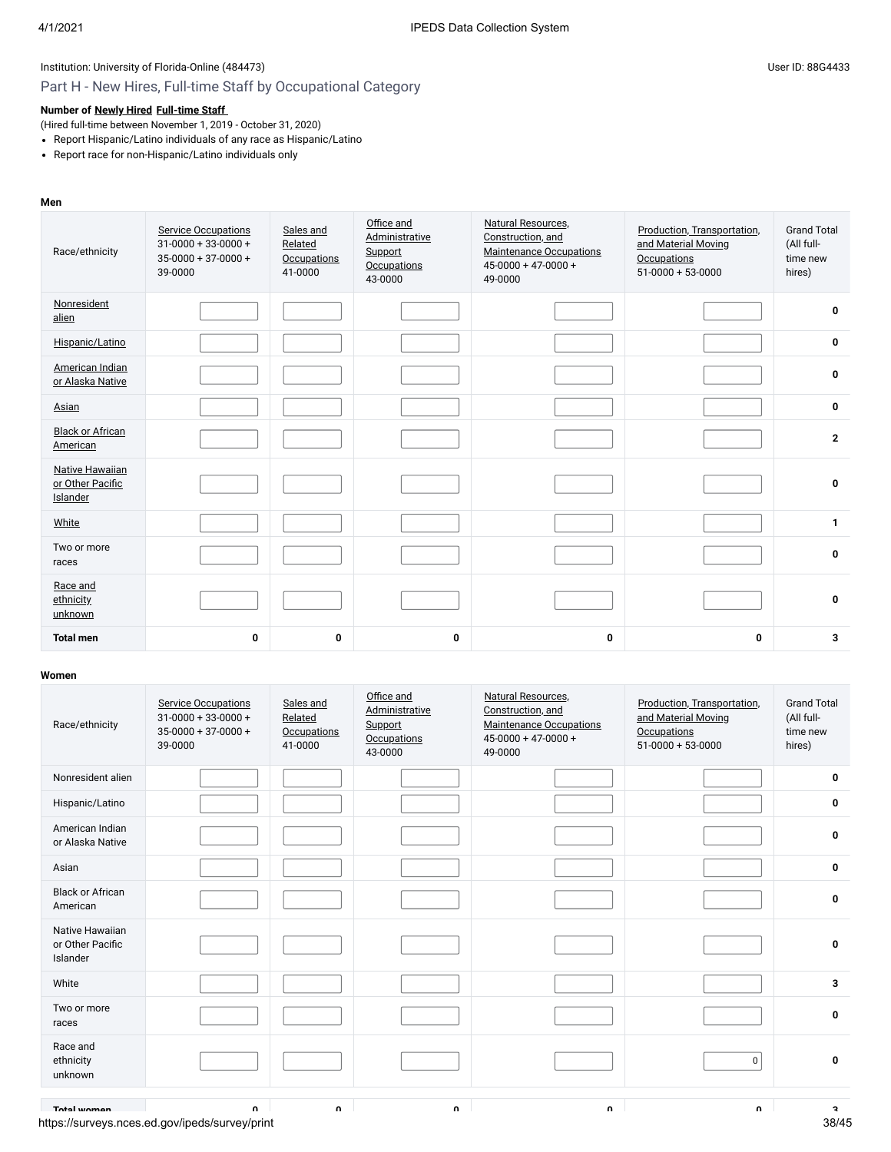# Part H - New Hires, Full-time Staff by Occupational Category

### **Number of [Newly Hired](javascript:openglossary(407)) [Full-time Staff](javascript:openglossary(257))**

(Hired full-time between November 1, 2019 - October 31, 2020)

- Report Hispanic/Latino individuals of any race as Hispanic/Latino
- Report race for non-Hispanic/Latino individuals only

### **Men**

| Race/ethnicity                                  | <b>Service Occupations</b><br>$31-0000+33-0000+$<br>$35-0000+37-0000+$<br>39-0000 | Sales and<br>Related<br><b>Occupations</b><br>41-0000 | Office and<br>Administrative<br>Support<br><b>Occupations</b><br>43-0000 | Natural Resources.<br>Construction, and<br><b>Maintenance Occupations</b><br>$45 - 0000 + 47 - 0000 +$<br>49-0000 | Production, Transportation,<br>and Material Moving<br>Occupations<br>$51-0000 + 53-0000$ | <b>Grand Total</b><br>(All full-<br>time new<br>hires) |
|-------------------------------------------------|-----------------------------------------------------------------------------------|-------------------------------------------------------|--------------------------------------------------------------------------|-------------------------------------------------------------------------------------------------------------------|------------------------------------------------------------------------------------------|--------------------------------------------------------|
| Nonresident<br>alien                            |                                                                                   |                                                       |                                                                          |                                                                                                                   |                                                                                          | 0                                                      |
| Hispanic/Latino                                 |                                                                                   |                                                       |                                                                          |                                                                                                                   |                                                                                          | 0                                                      |
| American Indian<br>or Alaska Native             |                                                                                   |                                                       |                                                                          |                                                                                                                   |                                                                                          | 0                                                      |
| Asian                                           |                                                                                   |                                                       |                                                                          |                                                                                                                   |                                                                                          | 0                                                      |
| <b>Black or African</b><br>American             |                                                                                   |                                                       |                                                                          |                                                                                                                   |                                                                                          | $\mathbf{2}$                                           |
| Native Hawaiian<br>or Other Pacific<br>Islander |                                                                                   |                                                       |                                                                          |                                                                                                                   |                                                                                          | 0                                                      |
| White                                           |                                                                                   |                                                       |                                                                          |                                                                                                                   |                                                                                          | $\mathbf{1}$                                           |
| Two or more<br>races                            |                                                                                   |                                                       |                                                                          |                                                                                                                   |                                                                                          | 0                                                      |
| Race and<br>ethnicity<br>unknown                |                                                                                   |                                                       |                                                                          |                                                                                                                   |                                                                                          | 0                                                      |
| <b>Total men</b>                                | $\mathbf{0}$                                                                      | 0                                                     | 0                                                                        | $\mathbf 0$                                                                                                       | 0                                                                                        | 3                                                      |

| Race/ethnicity                                  | <b>Service Occupations</b><br>$31-0000+33-0000+$<br>$35-0000+37-0000+$<br>39-0000 | Sales and<br>Related<br><b>Occupations</b><br>41-0000 | Office and<br>Administrative<br>Support<br><b>Occupations</b><br>43-0000 | <b>Natural Resources,</b><br>Construction, and<br><b>Maintenance Occupations</b><br>$45 - 0000 + 47 - 0000 +$<br>49-0000 | Production, Transportation,<br>and Material Moving<br><b>Occupations</b><br>$51-0000 + 53-0000$ | <b>Grand Total</b><br>(All full-<br>time new<br>hires) |
|-------------------------------------------------|-----------------------------------------------------------------------------------|-------------------------------------------------------|--------------------------------------------------------------------------|--------------------------------------------------------------------------------------------------------------------------|-------------------------------------------------------------------------------------------------|--------------------------------------------------------|
| Nonresident alien                               |                                                                                   |                                                       |                                                                          |                                                                                                                          |                                                                                                 | 0                                                      |
| Hispanic/Latino                                 |                                                                                   |                                                       |                                                                          |                                                                                                                          |                                                                                                 | 0                                                      |
| American Indian<br>or Alaska Native             |                                                                                   |                                                       |                                                                          |                                                                                                                          |                                                                                                 | $\pmb{0}$                                              |
| Asian                                           |                                                                                   |                                                       |                                                                          |                                                                                                                          |                                                                                                 | $\mathbf 0$                                            |
| <b>Black or African</b><br>American             |                                                                                   |                                                       |                                                                          |                                                                                                                          |                                                                                                 | 0                                                      |
| Native Hawaiian<br>or Other Pacific<br>Islander |                                                                                   |                                                       |                                                                          |                                                                                                                          |                                                                                                 | $\mathbf 0$                                            |
| White                                           |                                                                                   |                                                       |                                                                          |                                                                                                                          |                                                                                                 | 3                                                      |
| Two or more<br>races                            |                                                                                   |                                                       |                                                                          |                                                                                                                          |                                                                                                 | 0                                                      |
| Race and<br>ethnicity<br>unknown                |                                                                                   |                                                       |                                                                          |                                                                                                                          | 0                                                                                               | $\mathbf 0$                                            |
| Total waman                                     | $\mathbf{r}$                                                                      | n                                                     | $\mathbf{r}$                                                             | <b>n</b>                                                                                                                 | $\mathbf{r}$                                                                                    | c                                                      |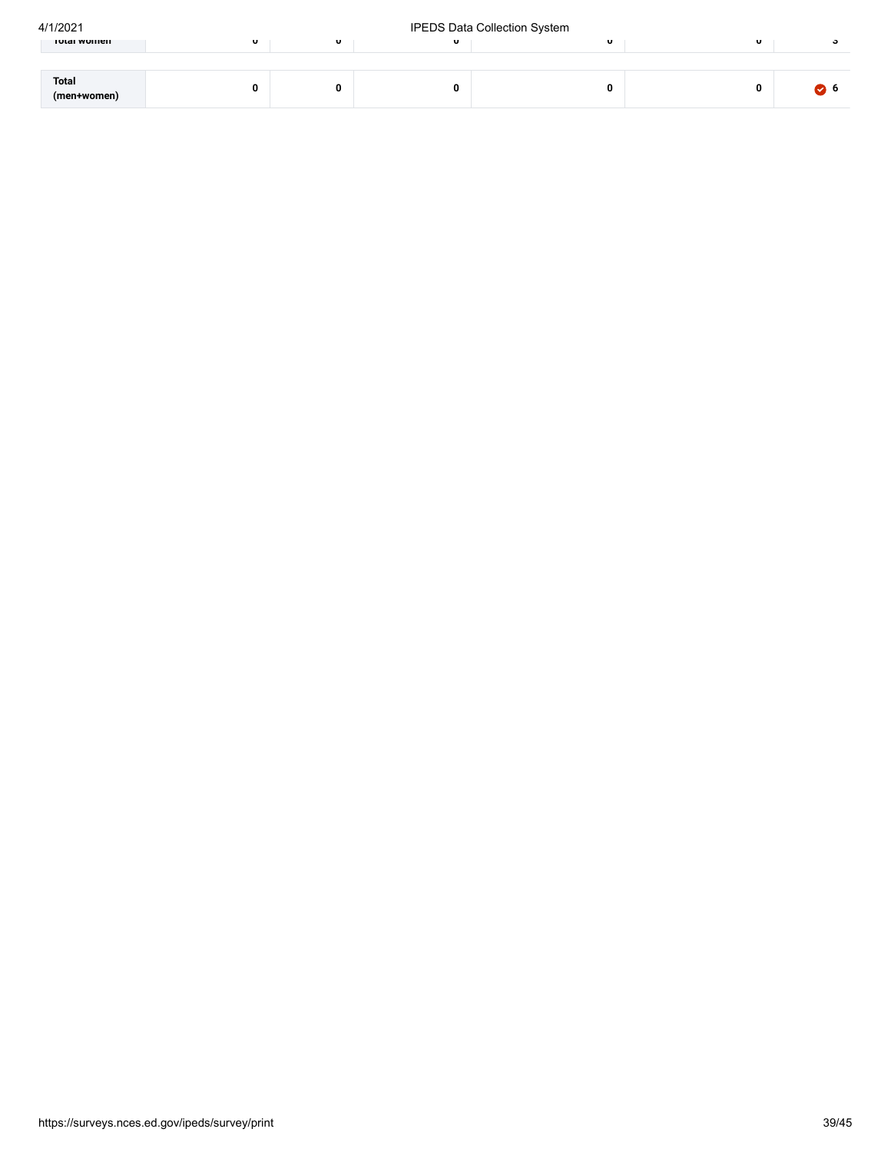| 4/1/2021 |
|----------|
|          |

### IPEDS Data Collection System

| וושוט א טוויכוו      | $\mathbf{v}$ | $\mathbf{u}$ | $\mathbf{U}$ | $\mathbf{v}$ | $\mathbf{U}$ |  |
|----------------------|--------------|--------------|--------------|--------------|--------------|--|
|                      |              |              |              |              |              |  |
| Total<br>(men+women) |              |              | 0            |              | 0            |  |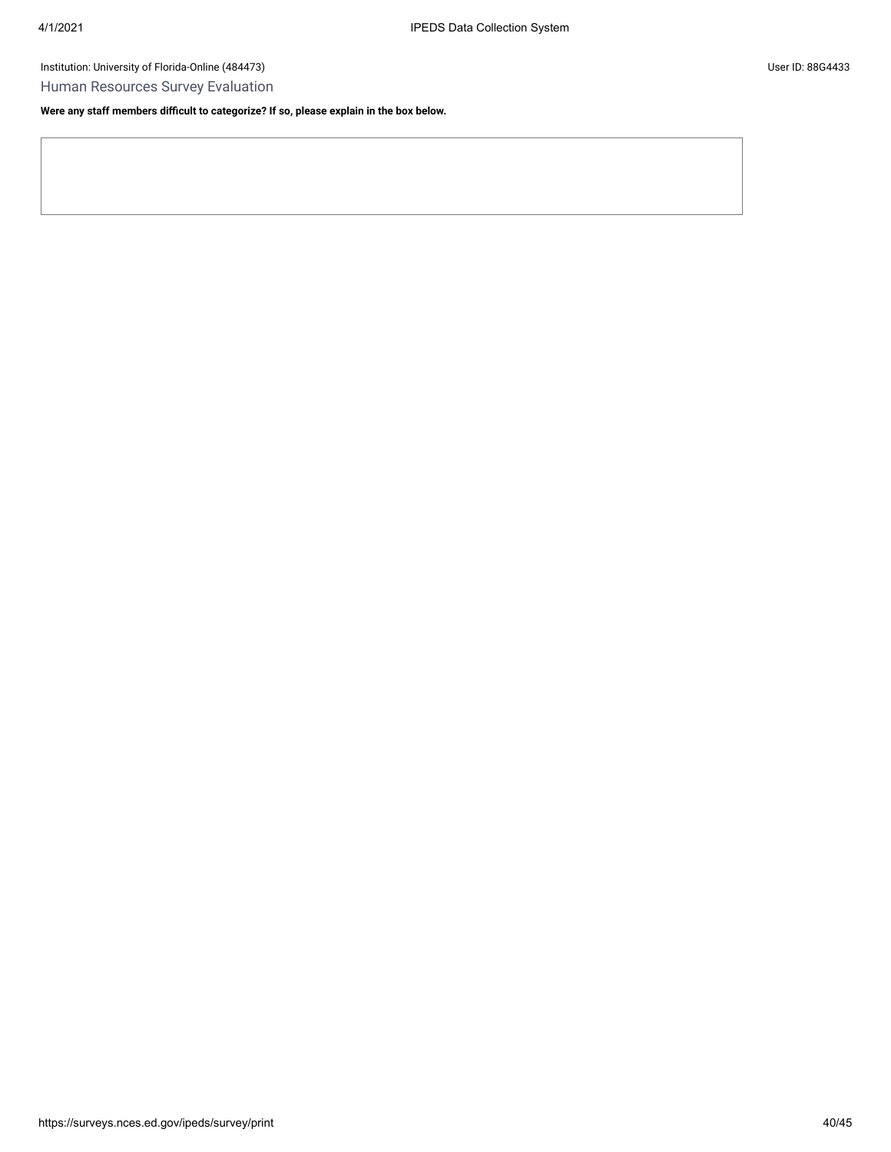Human Resources Survey Evaluation

**Were any staff members difficult to categorize? If so, please explain in the box below.**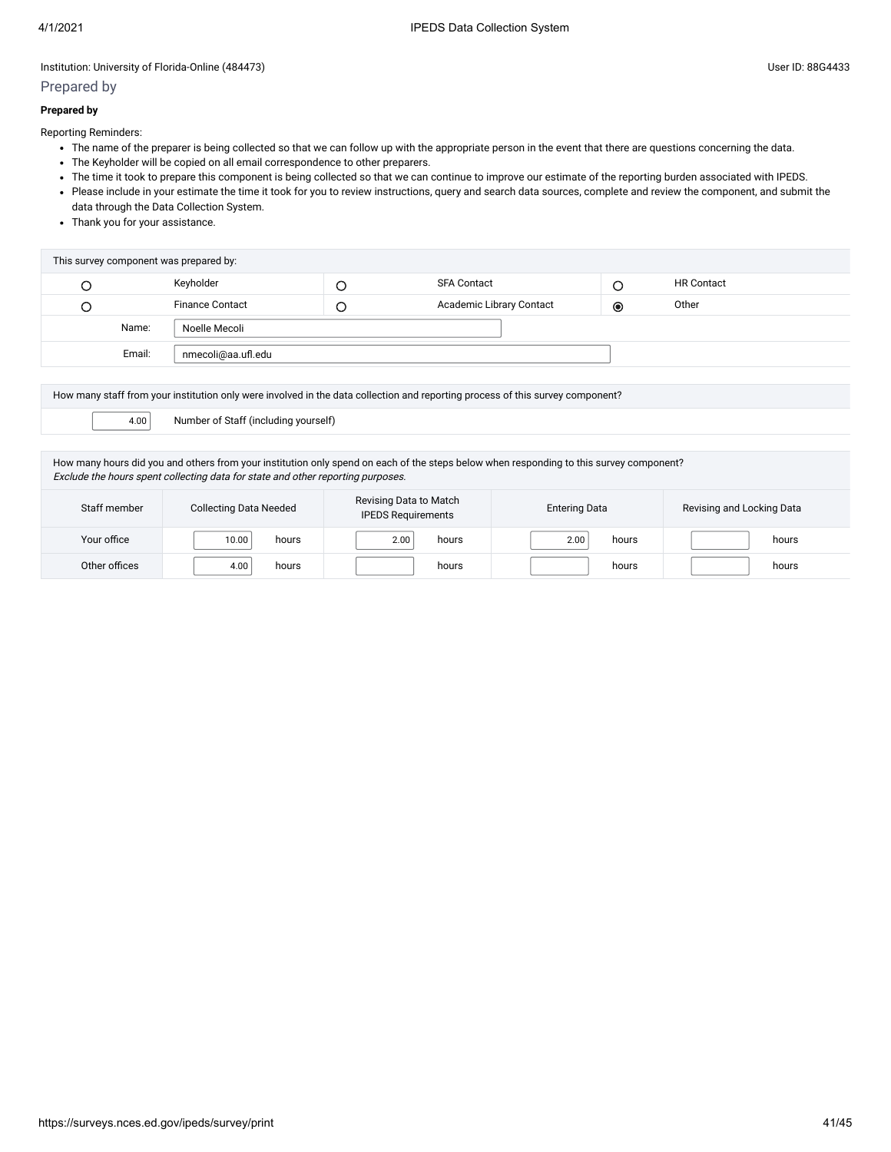# Prepared by

#### **Prepared by**

Reporting Reminders:

- The name of the preparer is being collected so that we can follow up with the appropriate person in the event that there are questions concerning the data.
- The Keyholder will be copied on all email correspondence to other preparers.
- The time it took to prepare this component is being collected so that we can continue to improve our estimate of the reporting burden associated with IPEDS.
- Please include in your estimate the time it took for you to review instructions, query and search data sources, complete and review the component, and submit the data through the Data Collection System.
- Thank you for your assistance.

| This survey component was prepared by: |        |                        |  |                          |   |                   |
|----------------------------------------|--------|------------------------|--|--------------------------|---|-------------------|
|                                        |        | Keyholder              |  | <b>SFA Contact</b>       |   | <b>HR Contact</b> |
|                                        |        | <b>Finance Contact</b> |  | Academic Library Contact | ◉ | Other             |
|                                        | Name:  | Noelle Mecoli          |  |                          |   |                   |
|                                        | Email: | nmecoli@aa.ufl.edu     |  |                          |   |                   |
|                                        |        |                        |  |                          |   |                   |

| How many staff from your institution only were involved in the data collection and reporting process of this survey component?                                                                                             |                |               |               |       |  |  |  |
|----------------------------------------------------------------------------------------------------------------------------------------------------------------------------------------------------------------------------|----------------|---------------|---------------|-------|--|--|--|
| Number of Staff (including yourself)<br>4.00                                                                                                                                                                               |                |               |               |       |  |  |  |
| How many hours did you and others from your institution only spend on each of the steps below when responding to this survey component?<br>Exclude the hours spent collecting data for state and other reporting purposes. |                |               |               |       |  |  |  |
| Revising Data to Match<br>Staff member<br><b>Collecting Data Needed</b><br>Revising and Locking Data<br><b>Entering Data</b><br><b>IPEDS Requirements</b>                                                                  |                |               |               |       |  |  |  |
| Your office                                                                                                                                                                                                                | 10.00<br>hours | 2.00<br>hours | 2.00<br>hours | hours |  |  |  |

Other offices 4.00 | hours hours hours hours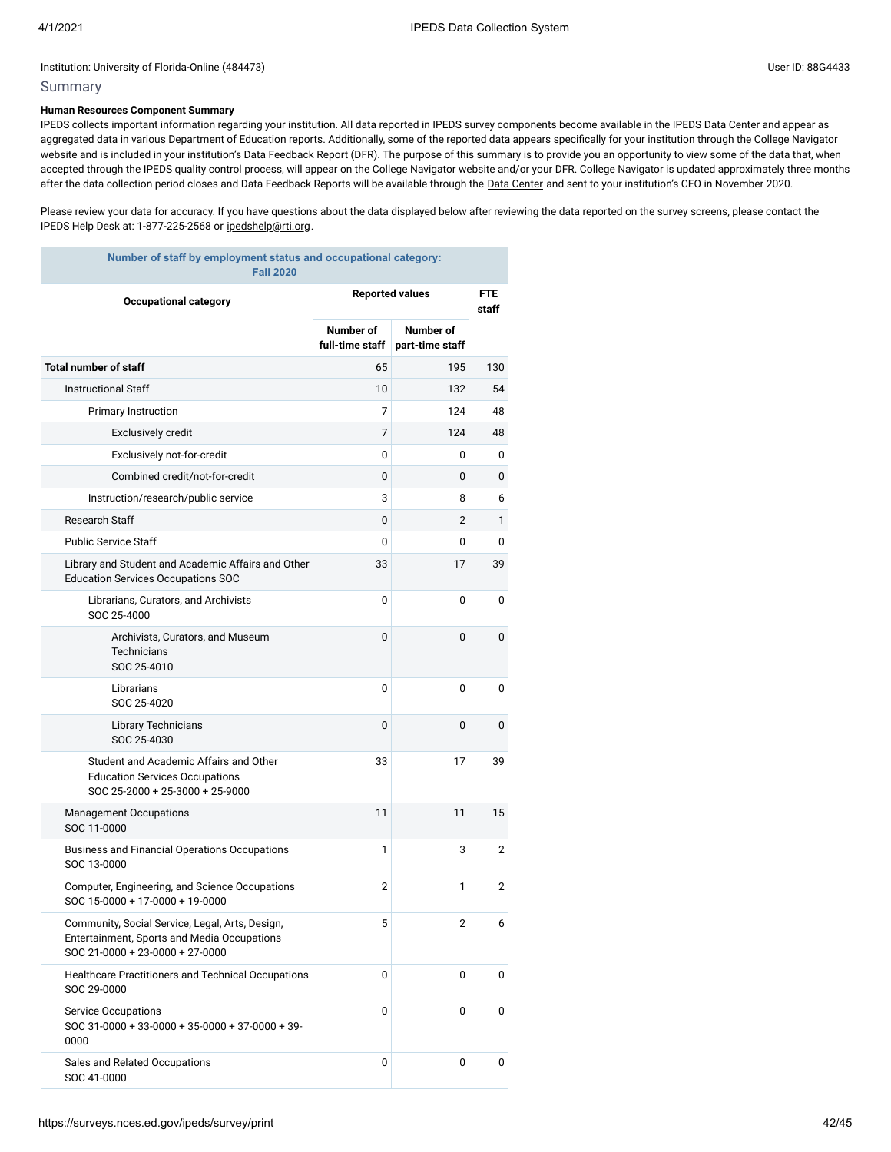### Summary

### **Human Resources Component Summary**

IPEDS collects important information regarding your institution. All data reported in IPEDS survey components become available in the IPEDS Data Center and appear as aggregated data in various Department of Education reports. Additionally, some of the reported data appears specifically for your institution through the College Navigator website and is included in your institution's Data Feedback Report (DFR). The purpose of this summary is to provide you an opportunity to view some of the data that, when accepted through the IPEDS quality control process, will appear on the College Navigator website and/or your DFR. College Navigator is updated approximately three months after the data collection period closes and Data Feedback Reports will be available through the Data [Center](https://nces.ed.gov/ipeds/use-the-data) and sent to your institution's CEO in November 2020.

Please review your data for accuracy. If you have questions about the data displayed below after reviewing the data reported on the survey screens, please contact the IPEDS Help Desk at: 1-877-225-2568 or [ipedshelp@rti.org.](mailto:ipedshelp@rti.org)

| Number of staff by employment status and occupational category:<br><b>Fall 2020</b>                                               |                              |                              |     |  |  |  |
|-----------------------------------------------------------------------------------------------------------------------------------|------------------------------|------------------------------|-----|--|--|--|
| <b>Reported values</b><br><b>Occupational category</b>                                                                            |                              |                              |     |  |  |  |
|                                                                                                                                   | Number of<br>full-time staff | Number of<br>part-time staff |     |  |  |  |
| <b>Total number of staff</b>                                                                                                      | 65                           | 195                          | 130 |  |  |  |
| <b>Instructional Staff</b>                                                                                                        | 10                           | 132                          | 54  |  |  |  |
| Primary Instruction                                                                                                               | 7                            | 124                          | 48  |  |  |  |
| <b>Exclusively credit</b>                                                                                                         | 7                            | 124                          | 48  |  |  |  |
| Exclusively not-for-credit                                                                                                        | 0                            | 0                            | 0   |  |  |  |
| Combined credit/not-for-credit                                                                                                    | 0                            | 0                            | 0   |  |  |  |
| Instruction/research/public service                                                                                               | 3                            | 8                            | 6   |  |  |  |
| <b>Research Staff</b>                                                                                                             | 0                            | $\overline{2}$               | 1   |  |  |  |
| <b>Public Service Staff</b>                                                                                                       | 0                            | 0                            | 0   |  |  |  |
| Library and Student and Academic Affairs and Other<br><b>Education Services Occupations SOC</b>                                   | 33                           | 17                           | 39  |  |  |  |
| Librarians, Curators, and Archivists<br>SOC 25-4000                                                                               | 0                            | 0                            | 0   |  |  |  |
| Archivists, Curators, and Museum<br><b>Technicians</b><br>SOC 25-4010                                                             | 0                            | 0                            | 0   |  |  |  |
| Librarians<br>SOC 25-4020                                                                                                         | 0                            | 0                            | 0   |  |  |  |
| Library Technicians<br>SOC 25-4030                                                                                                | 0                            | 0                            | 0   |  |  |  |
| Student and Academic Affairs and Other<br><b>Education Services Occupations</b><br>SOC 25-2000 + 25-3000 + 25-9000                | 33                           | 17                           | 39  |  |  |  |
| <b>Management Occupations</b><br>SOC 11-0000                                                                                      | 11                           | 11                           | 15  |  |  |  |
| Business and Financial Operations Occupations<br>SOC 13-0000                                                                      | 1                            | 3                            | 2   |  |  |  |
| Computer, Engineering, and Science Occupations<br>SOC 15-0000 + 17-0000 + 19-0000                                                 | $\overline{2}$               | 1                            | 2   |  |  |  |
| Community, Social Service, Legal, Arts, Design,<br>Entertainment, Sports and Media Occupations<br>SOC 21-0000 + 23-0000 + 27-0000 | 5                            | 2                            | 6   |  |  |  |
| Healthcare Practitioners and Technical Occupations<br>SOC 29-0000                                                                 | 0                            | 0                            | 0   |  |  |  |
| <b>Service Occupations</b><br>SOC 31-0000 + 33-0000 + 35-0000 + 37-0000 + 39-<br>0000                                             | 0                            | 0                            | 0   |  |  |  |
| Sales and Related Occupations<br>SOC 41-0000                                                                                      | 0                            | 0                            | 0   |  |  |  |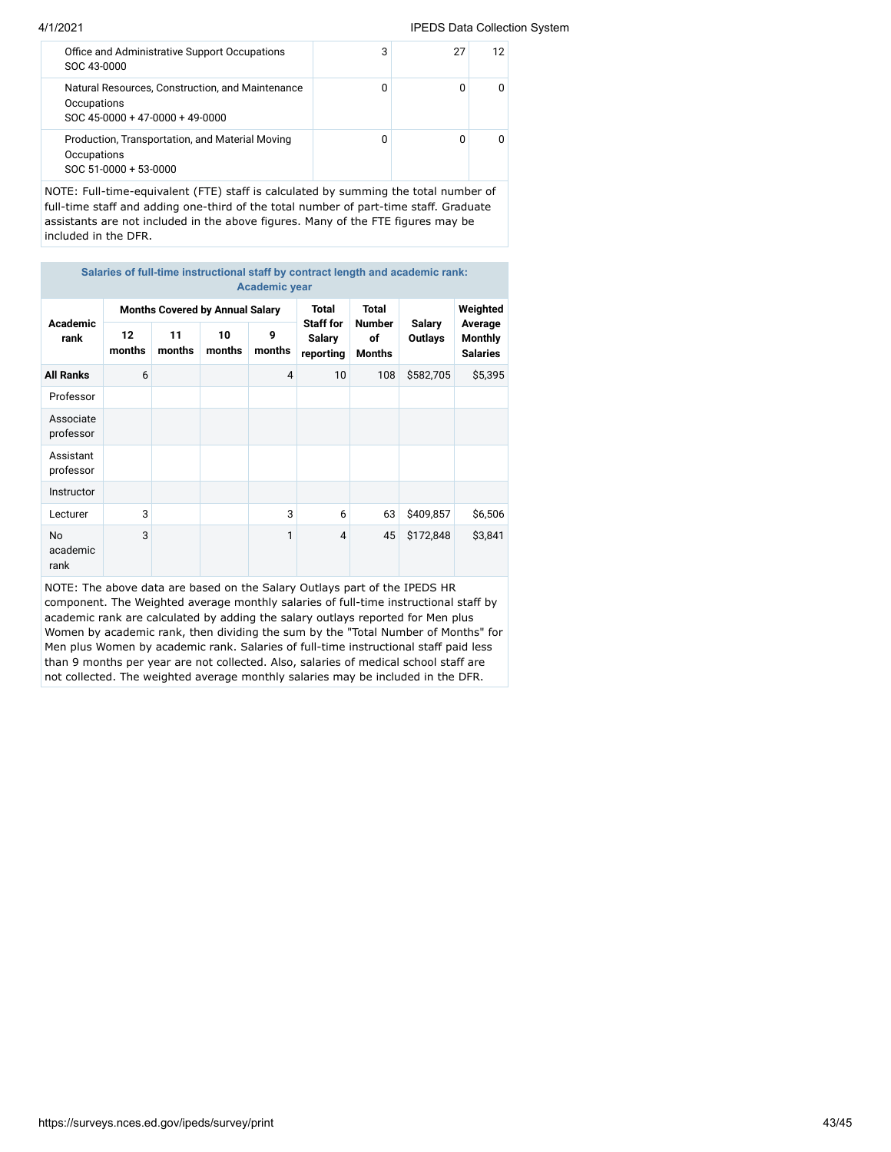#### 4/1/2021 IPEDS Data Collection System

| SOC 43-0000 | Office and Administrative Support Occupations                                       | 3 | 27 | 12 |
|-------------|-------------------------------------------------------------------------------------|---|----|----|
| Occupations | Natural Resources, Construction, and Maintenance<br>SOC 45-0000 + 47-0000 + 49-0000 | 0 | n  |    |
| Occupations | Production, Transportation, and Material Moving<br>SOC 51-0000 + 53-0000            | 0 | n  |    |
|             |                                                                                     |   |    |    |

NOTE: Full-time-equivalent (FTE) staff is calculated by summing the total number of full-time staff and adding one-third of the total number of part-time staff. Graduate assistants are not included in the above figures. Many of the FTE figures may be included in the DFR.

**Salaries of full-time instructional staff by contract length and academic rank: Academic year**

| Academic                      |              |              | <b>Months Covered by Annual Salary</b> |                | <b>Total</b><br><b>Staff for</b> | <b>Total</b>                         |                          | Weighted                                     |  |
|-------------------------------|--------------|--------------|----------------------------------------|----------------|----------------------------------|--------------------------------------|--------------------------|----------------------------------------------|--|
| rank                          | 12<br>months | 11<br>months | 10<br>months                           | 9<br>months    | Salary<br>reporting              | <b>Number</b><br>of<br><b>Months</b> | Salary<br><b>Outlays</b> | Average<br><b>Monthly</b><br><b>Salaries</b> |  |
| <b>All Ranks</b>              | 6            |              |                                        | $\overline{4}$ | 10                               | 108                                  | \$582,705                | \$5,395                                      |  |
| Professor                     |              |              |                                        |                |                                  |                                      |                          |                                              |  |
| Associate<br>professor        |              |              |                                        |                |                                  |                                      |                          |                                              |  |
| Assistant<br>professor        |              |              |                                        |                |                                  |                                      |                          |                                              |  |
| Instructor                    |              |              |                                        |                |                                  |                                      |                          |                                              |  |
| Lecturer                      | 3            |              |                                        | 3              | 6                                | 63                                   | \$409,857                | \$6,506                                      |  |
| <b>No</b><br>academic<br>rank | 3            |              |                                        | 1              | 4                                | 45                                   | \$172,848                | \$3,841                                      |  |

NOTE: The above data are based on the Salary Outlays part of the IPEDS HR component. The Weighted average monthly salaries of full-time instructional staff by academic rank are calculated by adding the salary outlays reported for Men plus Women by academic rank, then dividing the sum by the "Total Number of Months" for Men plus Women by academic rank. Salaries of full-time instructional staff paid less than 9 months per year are not collected. Also, salaries of medical school staff are not collected. The weighted average monthly salaries may be included in the DFR.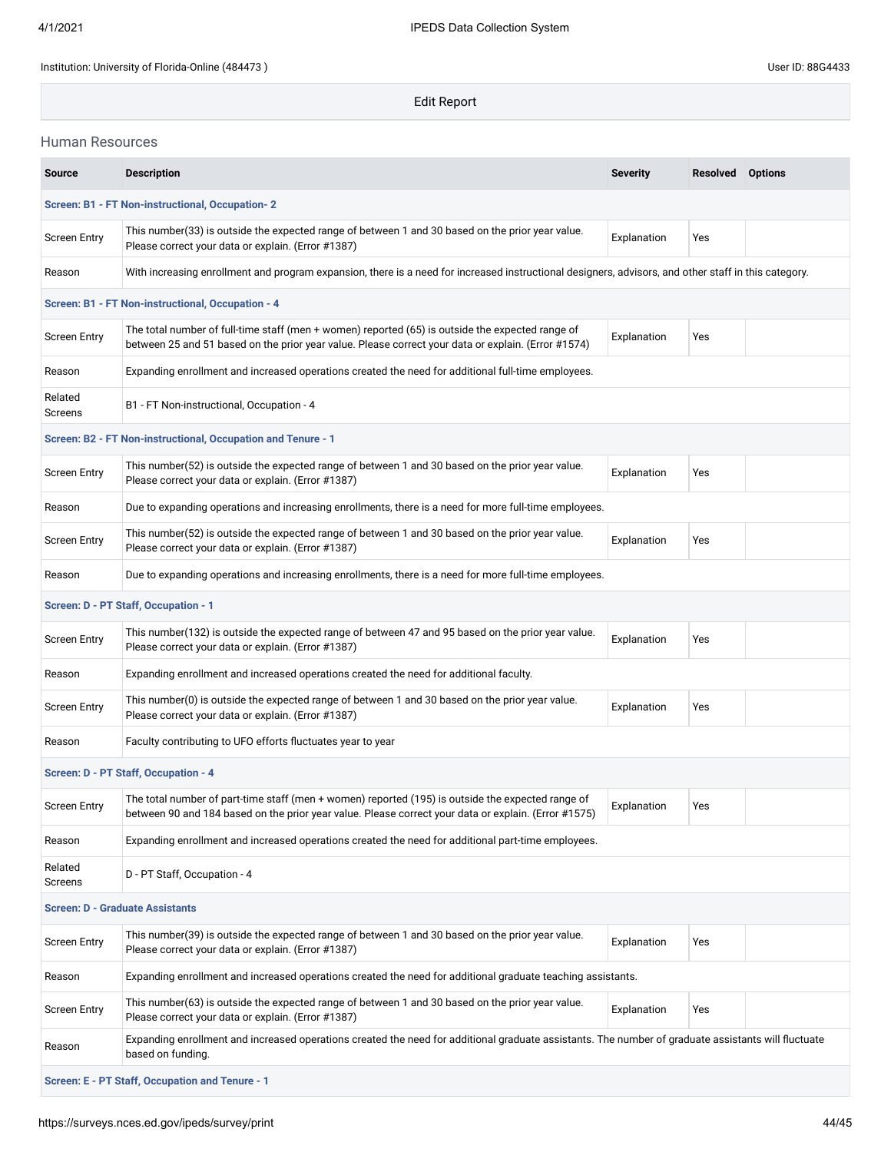Edit Report

### Human Resources

| <b>Source</b>                                    | <b>Description</b>                                                                                                                                                                                        | <b>Severity</b> | <b>Resolved</b> Options |  |  |  |  |  |  |
|--------------------------------------------------|-----------------------------------------------------------------------------------------------------------------------------------------------------------------------------------------------------------|-----------------|-------------------------|--|--|--|--|--|--|
| Screen: B1 - FT Non-instructional, Occupation- 2 |                                                                                                                                                                                                           |                 |                         |  |  |  |  |  |  |
| <b>Screen Entry</b>                              | This number (33) is outside the expected range of between 1 and 30 based on the prior year value.<br>Please correct your data or explain. (Error #1387)                                                   | Explanation     | Yes                     |  |  |  |  |  |  |
| Reason                                           | With increasing enrollment and program expansion, there is a need for increased instructional designers, advisors, and other staff in this category.                                                      |                 |                         |  |  |  |  |  |  |
|                                                  | Screen: B1 - FT Non-instructional, Occupation - 4                                                                                                                                                         |                 |                         |  |  |  |  |  |  |
| <b>Screen Entry</b>                              | The total number of full-time staff (men + women) reported (65) is outside the expected range of<br>between 25 and 51 based on the prior year value. Please correct your data or explain. (Error #1574)   | Explanation     | Yes                     |  |  |  |  |  |  |
| Reason                                           | Expanding enrollment and increased operations created the need for additional full-time employees.                                                                                                        |                 |                         |  |  |  |  |  |  |
| Related<br>Screens                               | B1 - FT Non-instructional, Occupation - 4                                                                                                                                                                 |                 |                         |  |  |  |  |  |  |
|                                                  | Screen: B2 - FT Non-instructional, Occupation and Tenure - 1                                                                                                                                              |                 |                         |  |  |  |  |  |  |
| <b>Screen Entry</b>                              | This number(52) is outside the expected range of between 1 and 30 based on the prior year value.<br>Please correct your data or explain. (Error #1387)                                                    | Explanation     | Yes                     |  |  |  |  |  |  |
| Reason                                           | Due to expanding operations and increasing enrollments, there is a need for more full-time employees.                                                                                                     |                 |                         |  |  |  |  |  |  |
| <b>Screen Entry</b>                              | This number(52) is outside the expected range of between 1 and 30 based on the prior year value.<br>Please correct your data or explain. (Error #1387)                                                    | Explanation     | Yes                     |  |  |  |  |  |  |
| Reason                                           | Due to expanding operations and increasing enrollments, there is a need for more full-time employees.                                                                                                     |                 |                         |  |  |  |  |  |  |
|                                                  | Screen: D - PT Staff, Occupation - 1                                                                                                                                                                      |                 |                         |  |  |  |  |  |  |
| <b>Screen Entry</b>                              | This number(132) is outside the expected range of between 47 and 95 based on the prior year value.<br>Please correct your data or explain. (Error #1387)                                                  | Explanation     | Yes                     |  |  |  |  |  |  |
| Reason                                           | Expanding enrollment and increased operations created the need for additional faculty.                                                                                                                    |                 |                         |  |  |  |  |  |  |
| <b>Screen Entry</b>                              | This number(0) is outside the expected range of between 1 and 30 based on the prior year value.<br>Please correct your data or explain. (Error #1387)                                                     | Explanation     | Yes                     |  |  |  |  |  |  |
| Reason                                           | Faculty contributing to UFO efforts fluctuates year to year                                                                                                                                               |                 |                         |  |  |  |  |  |  |
|                                                  | Screen: D - PT Staff, Occupation - 4                                                                                                                                                                      |                 |                         |  |  |  |  |  |  |
| <b>Screen Entry</b>                              | The total number of part-time staff (men + women) reported (195) is outside the expected range of<br>between 90 and 184 based on the prior year value. Please correct your data or explain. (Error #1575) | Explanation     | Yes                     |  |  |  |  |  |  |
| Reason                                           | Expanding enrollment and increased operations created the need for additional part-time employees.                                                                                                        |                 |                         |  |  |  |  |  |  |
| Related<br>Screens                               | D - PT Staff, Occupation - 4                                                                                                                                                                              |                 |                         |  |  |  |  |  |  |
| <b>Screen: D - Graduate Assistants</b>           |                                                                                                                                                                                                           |                 |                         |  |  |  |  |  |  |
| <b>Screen Entry</b>                              | This number(39) is outside the expected range of between 1 and 30 based on the prior year value.<br>Please correct your data or explain. (Error #1387)                                                    | Explanation     | Yes                     |  |  |  |  |  |  |
| Reason                                           | Expanding enrollment and increased operations created the need for additional graduate teaching assistants.                                                                                               |                 |                         |  |  |  |  |  |  |
| <b>Screen Entry</b>                              | This number(63) is outside the expected range of between 1 and 30 based on the prior year value.<br>Please correct your data or explain. (Error #1387)                                                    | Explanation     | Yes                     |  |  |  |  |  |  |
| Reason                                           | Expanding enrollment and increased operations created the need for additional graduate assistants. The number of graduate assistants will fluctuate<br>based on funding.                                  |                 |                         |  |  |  |  |  |  |
| Screen: E - PT Staff, Occupation and Tenure - 1  |                                                                                                                                                                                                           |                 |                         |  |  |  |  |  |  |